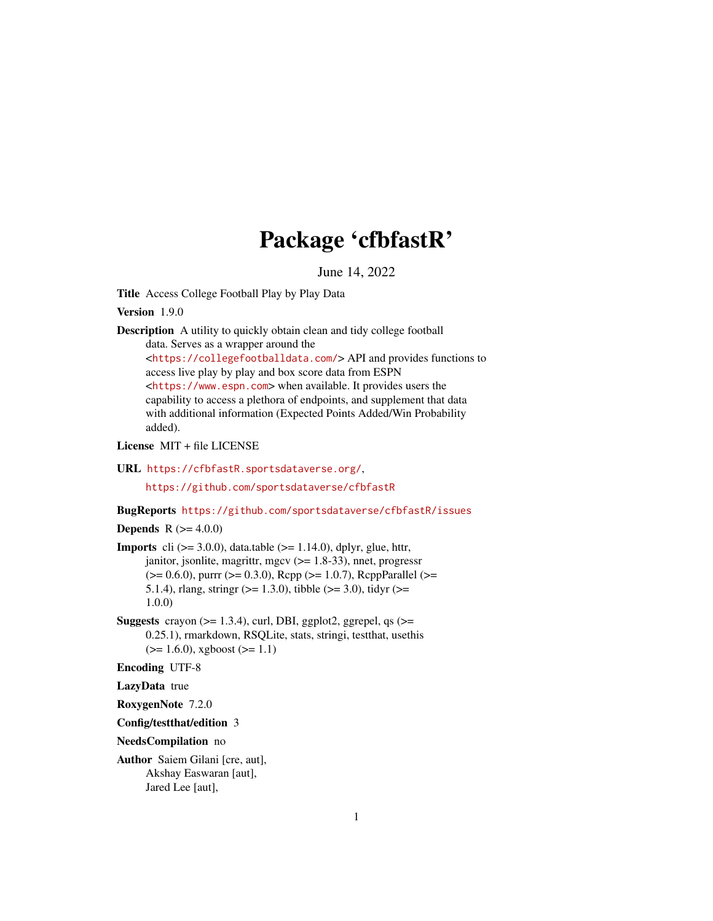# Package 'cfbfastR'

June 14, 2022

Title Access College Football Play by Play Data

Version 1.9.0

Description A utility to quickly obtain clean and tidy college football data. Serves as a wrapper around the

<<https://collegefootballdata.com/>> API and provides functions to access live play by play and box score data from ESPN <<https://www.espn.com>> when available. It provides users the capability to access a plethora of endpoints, and supplement that data with additional information (Expected Points Added/Win Probability added).

License MIT + file LICENSE

URL <https://cfbfastR.sportsdataverse.org/>,

<https://github.com/sportsdataverse/cfbfastR>

BugReports <https://github.com/sportsdataverse/cfbfastR/issues>

**Depends** R  $(>= 4.0.0)$ 

**Imports** cli  $(>= 3.0.0)$ , data.table  $(>= 1.14.0)$ , dplyr, glue, httr, janitor, jsonlite, magrittr, mgcv (>= 1.8-33), nnet, progressr (>= 0.6.0), purrr (>= 0.3.0), Rcpp (>= 1.0.7), RcppParallel (>= 5.1.4), rlang, stringr ( $>= 1.3.0$ ), tibble ( $>= 3.0$ ), tidyr ( $>= 5.1.4$ ) 1.0.0)

Suggests crayon  $(>= 1.3.4)$ , curl, DBI, ggplot2, ggrepel, qs  $(>=$ 0.25.1), rmarkdown, RSQLite, stats, stringi, testthat, usethis  $(>= 1.6.0)$ , xgboost  $(>= 1.1)$ 

Encoding UTF-8

LazyData true

RoxygenNote 7.2.0

Config/testthat/edition 3

NeedsCompilation no

Author Saiem Gilani [cre, aut], Akshay Easwaran [aut], Jared Lee [aut],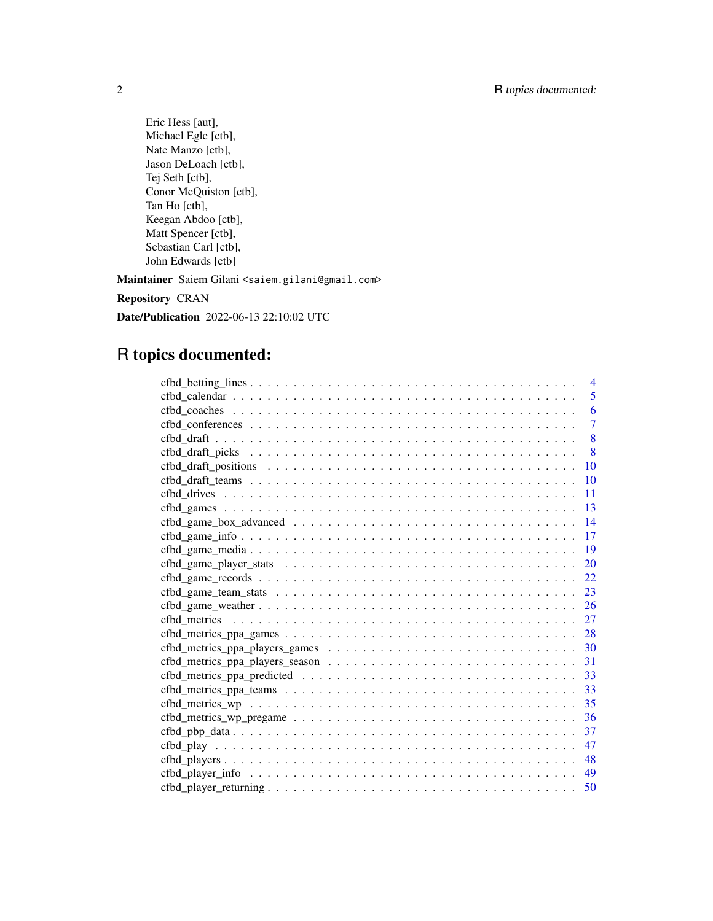Eric Hess [aut], Michael Egle [ctb], Nate Manzo [ctb], Jason DeLoach [ctb], Tej Seth [ctb], Conor McQuiston [ctb], Tan Ho [ctb], Keegan Abdoo [ctb], Matt Spencer [ctb], Sebastian Carl [ctb], John Edwards [ctb]

Maintainer Saiem Gilani <saiem.gilani@gmail.com>

Repository CRAN

Date/Publication 2022-06-13 22:10:02 UTC

# R topics documented:

| $\overline{4}$                                                                                                         |
|------------------------------------------------------------------------------------------------------------------------|
| 5                                                                                                                      |
| 6<br>$\text{cfbd}\_\text{coaches}\_\ldots$                                                                             |
| $\overline{7}$                                                                                                         |
| 8                                                                                                                      |
| 8                                                                                                                      |
| 10                                                                                                                     |
| 10                                                                                                                     |
| 11                                                                                                                     |
| 13                                                                                                                     |
| 14                                                                                                                     |
| 17                                                                                                                     |
| 19                                                                                                                     |
| 20                                                                                                                     |
| 22                                                                                                                     |
| 23                                                                                                                     |
| 26                                                                                                                     |
| 27                                                                                                                     |
| 28                                                                                                                     |
| 30                                                                                                                     |
| 31                                                                                                                     |
| 33                                                                                                                     |
| 33                                                                                                                     |
| 35                                                                                                                     |
| 36<br>$\text{cfbd\_metrics\_wp\_pregame \dots \dots \dots \dots \dots \dots \dots \dots \dots \dots \dots \dots \dots$ |
| 37                                                                                                                     |
| 47                                                                                                                     |
| 48                                                                                                                     |
| 49                                                                                                                     |
| 50                                                                                                                     |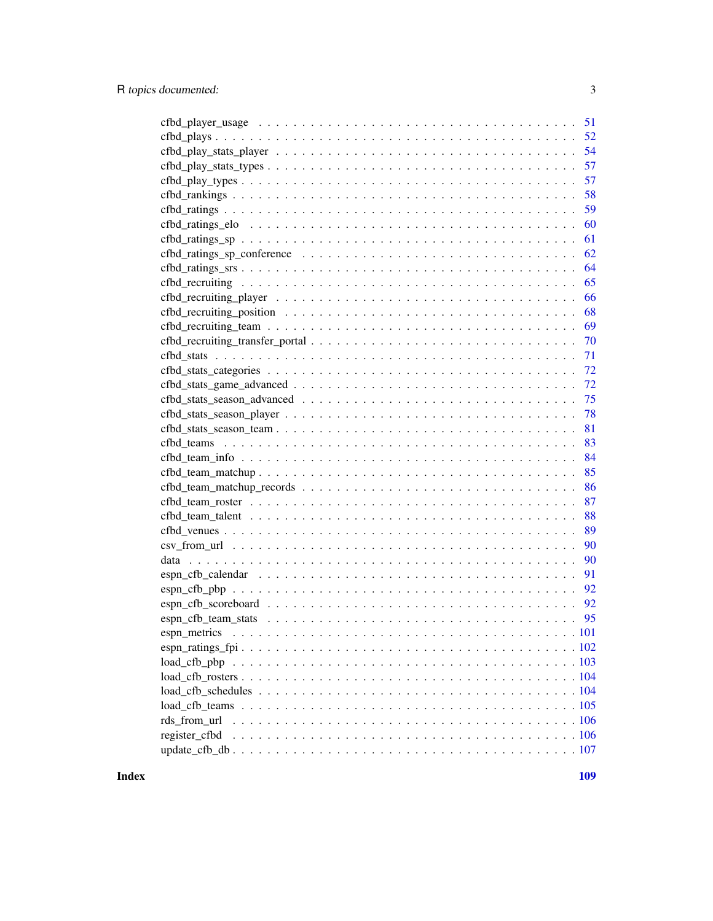| 57<br>$cfbd_play_types \ldots \ldots \ldots \ldots \ldots \ldots \ldots \ldots \ldots \ldots \ldots \ldots \ldots$        |
|---------------------------------------------------------------------------------------------------------------------------|
| 58                                                                                                                        |
| 59                                                                                                                        |
| 60                                                                                                                        |
| 61                                                                                                                        |
| 62                                                                                                                        |
| 64                                                                                                                        |
| 65                                                                                                                        |
| 66                                                                                                                        |
| 68                                                                                                                        |
| 69                                                                                                                        |
| 70                                                                                                                        |
| 71                                                                                                                        |
|                                                                                                                           |
| 72                                                                                                                        |
| 75                                                                                                                        |
| 78                                                                                                                        |
| 81                                                                                                                        |
| 83                                                                                                                        |
| 84                                                                                                                        |
| 85                                                                                                                        |
| $\text{cfbd\_team\_matchup\_records} \dots \dots \dots \dots \dots \dots \dots \dots \dots \dots \dots \dots \dots$<br>86 |
| 87                                                                                                                        |
| 88                                                                                                                        |
| 89                                                                                                                        |
| 90                                                                                                                        |
| 90                                                                                                                        |
| 91                                                                                                                        |
| 92                                                                                                                        |
| 92                                                                                                                        |
| 95                                                                                                                        |
|                                                                                                                           |
|                                                                                                                           |
|                                                                                                                           |
|                                                                                                                           |
|                                                                                                                           |
|                                                                                                                           |
|                                                                                                                           |
| register cfbd                                                                                                             |
|                                                                                                                           |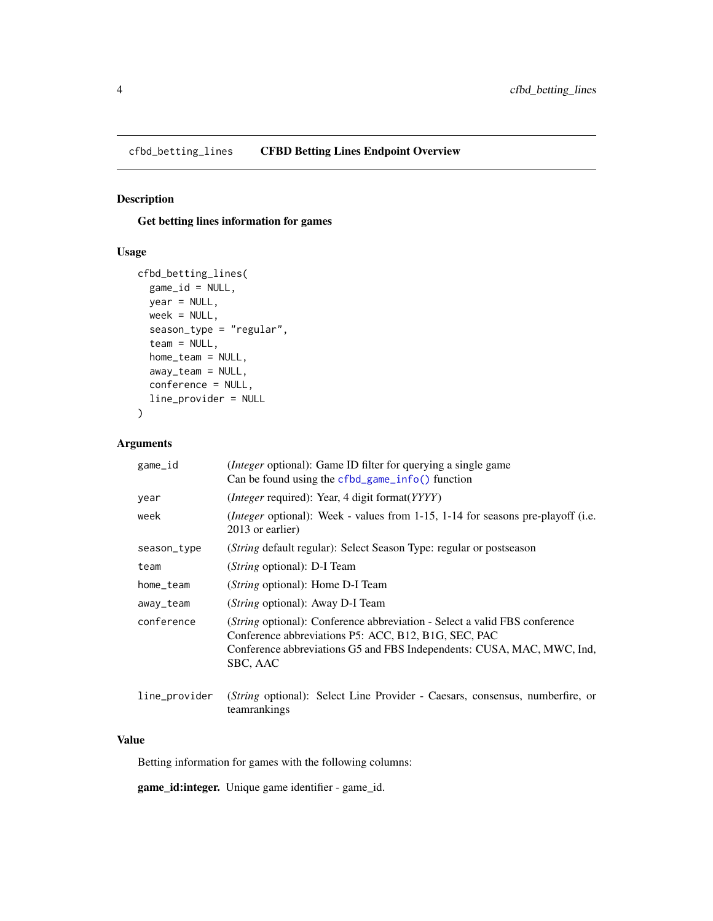<span id="page-3-0"></span>cfbd\_betting\_lines CFBD Betting Lines Endpoint Overview

# Description

Get betting lines information for games

# Usage

```
cfbd_betting_lines(
 game_id = NULL,
 year = NULL,
 week = NULL,season_type = "regular",
  team = NULL,home_team = NULL,
 away_team = NULL,
 conference = NULL,
 line_provider = NULL
)
```
# Arguments

| game_id       | ( <i>Integer</i> optional): Game ID filter for querying a single game<br>Can be found using the $cfbd_game_info()$ function                                                                                                     |
|---------------|---------------------------------------------------------------------------------------------------------------------------------------------------------------------------------------------------------------------------------|
| year          | ( <i>Integer</i> required): Year, 4 digit format( <i>YYYY</i> )                                                                                                                                                                 |
| week          | ( <i>Integer</i> optional): Week - values from 1-15, 1-14 for seasons pre-playoff (i.e.<br>2013 or earlier)                                                                                                                     |
| season_type   | ( <i>String</i> default regular): Select Season Type: regular or postseason                                                                                                                                                     |
| team          | ( <i>String</i> optional): D-I Team                                                                                                                                                                                             |
| home_team     | ( <i>String</i> optional): Home D-I Team                                                                                                                                                                                        |
| away_team     | ( <i>String</i> optional): Away D-I Team                                                                                                                                                                                        |
| conference    | <i>(String optional):</i> Conference abbreviation - Select a valid FBS conference<br>Conference abbreviations P5: ACC, B12, B1G, SEC, PAC<br>Conference abbreviations G5 and FBS Independents: CUSA, MAC, MWC, Ind.<br>SBC, AAC |
| line_provider | ( <i>String</i> optional): Select Line Provider - Caesars, consensus, numberfire, or                                                                                                                                            |

teamrankings

#### Value

Betting information for games with the following columns:

game\_id:integer. Unique game identifier - game\_id.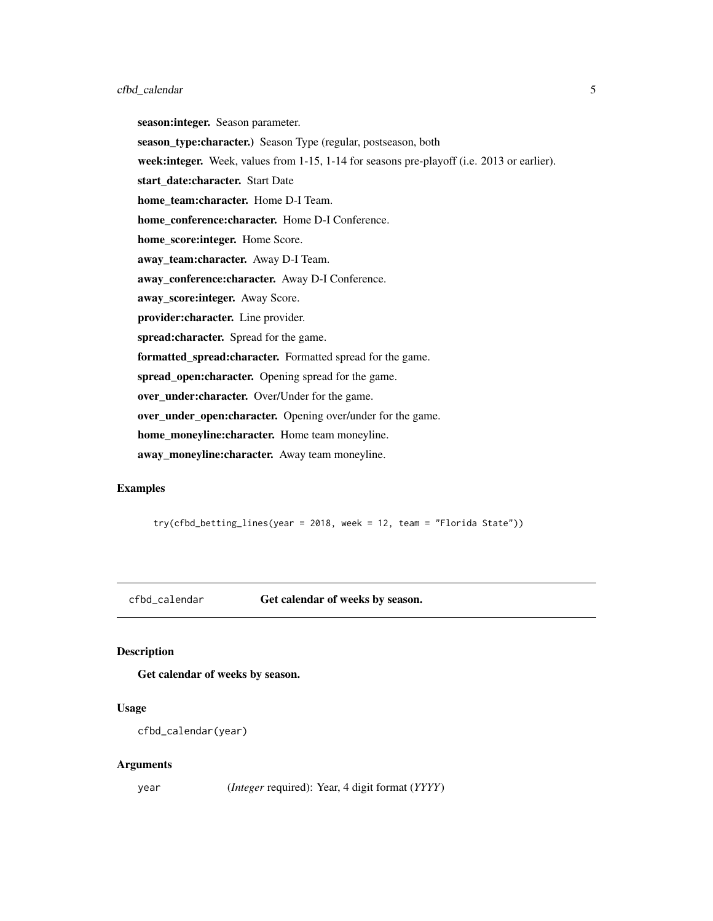<span id="page-4-0"></span>season:integer. Season parameter. season\_type:character.) Season Type (regular, postseason, both week: integer. Week, values from 1-15, 1-14 for seasons pre-playoff (i.e. 2013 or earlier). start\_date:character. Start Date home team:character. Home D-I Team. home\_conference:character. Home D-I Conference. home\_score:integer. Home Score. away\_team:character. Away D-I Team. away\_conference:character. Away D-I Conference. away\_score: integer. Away Score. provider:character. Line provider. spread: character. Spread for the game. formatted\_spread:character. Formatted spread for the game. spread\_open:character. Opening spread for the game. over\_under:character. Over/Under for the game. over\_under\_open:character. Opening over/under for the game. home\_moneyline:character. Home team moneyline. away\_moneyline:character. Away team moneyline.

## Examples

try(cfbd\_betting\_lines(year = 2018, week = 12, team = "Florida State"))

<span id="page-4-1"></span>cfbd\_calendar Get calendar of weeks by season.

#### Description

Get calendar of weeks by season.

#### Usage

```
cfbd_calendar(year)
```
#### **Arguments**

year (*Integer* required): Year, 4 digit format (*YYYY*)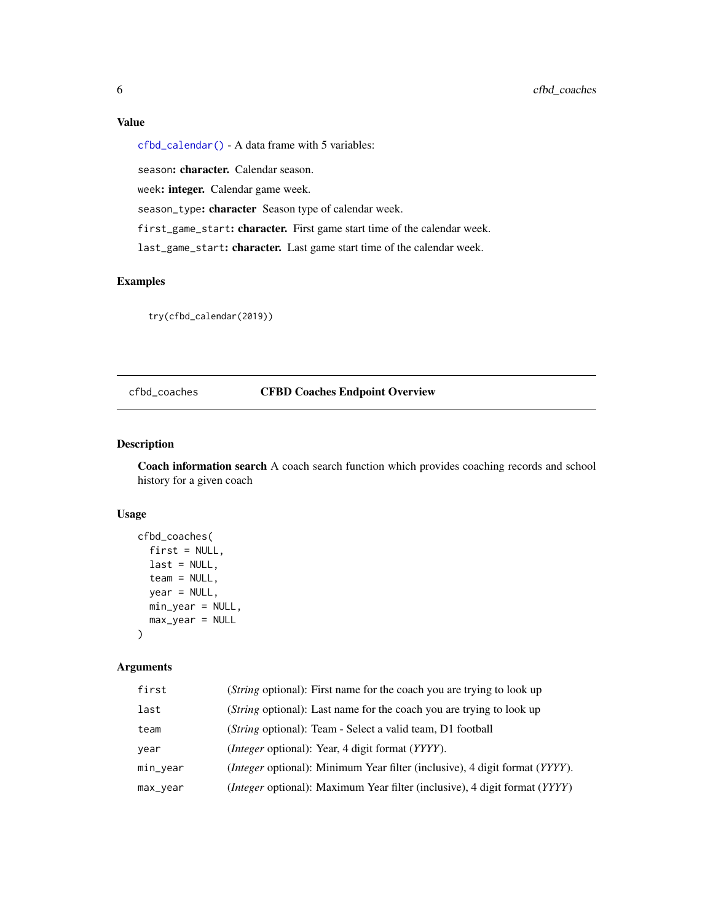# <span id="page-5-0"></span>Value

[cfbd\\_calendar\(\)](#page-4-1) - A data frame with 5 variables:

season: character. Calendar season.

week: integer. Calendar game week.

season\_type: character Season type of calendar week.

first\_game\_start: character. First game start time of the calendar week.

last\_game\_start: character. Last game start time of the calendar week.

# Examples

try(cfbd\_calendar(2019))

## cfbd\_coaches CFBD Coaches Endpoint Overview

#### Description

Coach information search A coach search function which provides coaching records and school history for a given coach

## Usage

```
cfbd_coaches(
  first = NULL,
  last = NULL,team = NULL,
  year = NULL,
 min_year = NULL,
 max_year = NULL
)
```
#### Arguments

| first    | ( <i>String</i> optional): First name for the coach you are trying to look up                    |
|----------|--------------------------------------------------------------------------------------------------|
| last     | ( <i>String</i> optional): Last name for the coach you are trying to look up                     |
| team     | ( <i>String</i> optional): Team - Select a valid team, D1 football                               |
| year     | <i>(Integer optional): Year, 4 digit format (YYYY).</i>                                          |
| min_year | ( <i>Integer</i> optional): Minimum Year filter (inclusive), 4 digit format (YYYY).              |
| max_year | <i>(Integer optional):</i> Maximum Year filter <i>(inclusive)</i> , 4 digit format <i>(YYYY)</i> |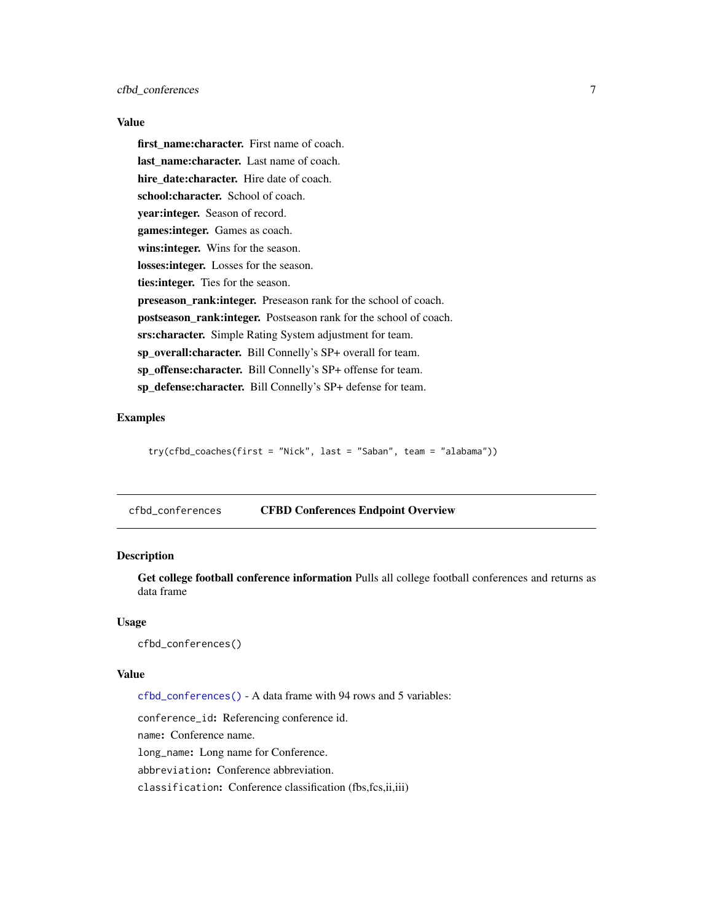## <span id="page-6-0"></span>Value

first name: character. First name of coach. last name:character. Last name of coach. hire date:character. Hire date of coach. school:character. School of coach. year:integer. Season of record. games:integer. Games as coach. wins: integer. Wins for the season. losses:integer. Losses for the season. ties: integer. Ties for the season. preseason\_rank: integer. Preseason rank for the school of coach. postseason\_rank:integer. Postseason rank for the school of coach. srs:character. Simple Rating System adjustment for team. sp\_overall:character. Bill Connelly's SP+ overall for team. sp\_offense: character. Bill Connelly's SP+ offense for team. sp defense: character. Bill Connelly's SP+ defense for team.

## Examples

try(cfbd\_coaches(first = "Nick", last = "Saban", team = "alabama"))

<span id="page-6-1"></span>cfbd\_conferences CFBD Conferences Endpoint Overview

## Description

Get college football conference information Pulls all college football conferences and returns as data frame

#### Usage

cfbd\_conferences()

## Value

[cfbd\\_conferences\(\)](#page-6-1) - A data frame with 94 rows and 5 variables:

conference\_id: Referencing conference id.

name: Conference name.

long\_name: Long name for Conference.

abbreviation: Conference abbreviation.

classification: Conference classification (fbs,fcs,ii,iii)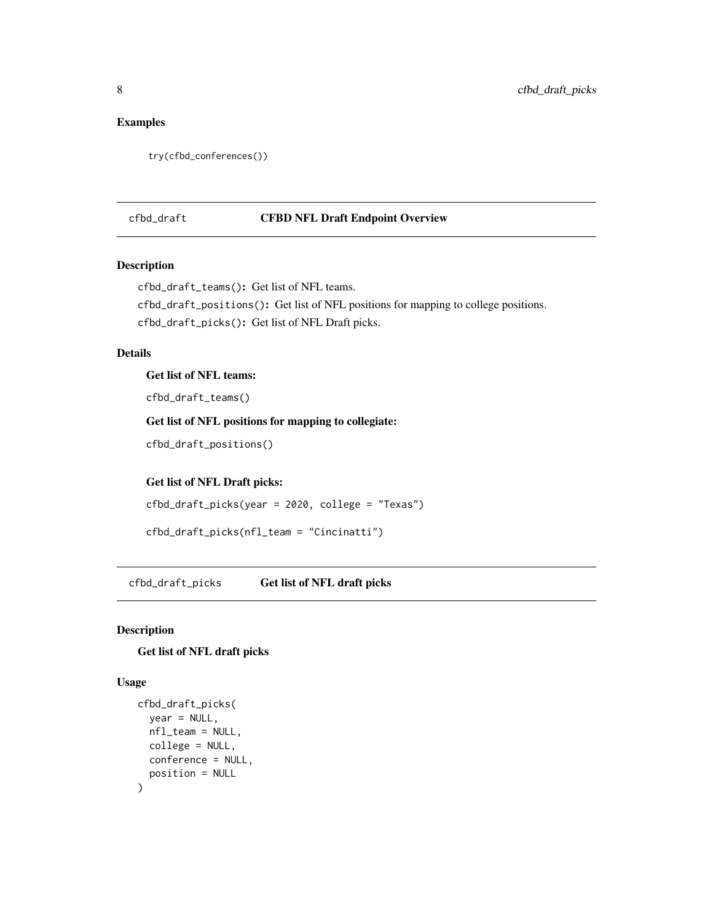# <span id="page-7-0"></span>Examples

```
try(cfbd_conferences())
```
#### cfbd\_draft CFBD NFL Draft Endpoint Overview

# Description

cfbd\_draft\_teams(): Get list of NFL teams.

cfbd\_draft\_positions(): Get list of NFL positions for mapping to college positions. cfbd\_draft\_picks(): Get list of NFL Draft picks.

## Details

Get list of NFL teams:

cfbd\_draft\_teams()

Get list of NFL positions for mapping to collegiate:

cfbd\_draft\_positions()

Get list of NFL Draft picks:

cfbd\_draft\_picks(year = 2020, college = "Texas")

```
cfbd_draft_picks(nfl_team = "Cincinatti")
```
<span id="page-7-1"></span>cfbd\_draft\_picks Get list of NFL draft picks

#### Description

# Get list of NFL draft picks

#### Usage

```
cfbd_draft_picks(
  year = NULL,nfl_team = NULL,
  college = NULL,
  conference = NULL,
  position = NULL
\mathcal{E}
```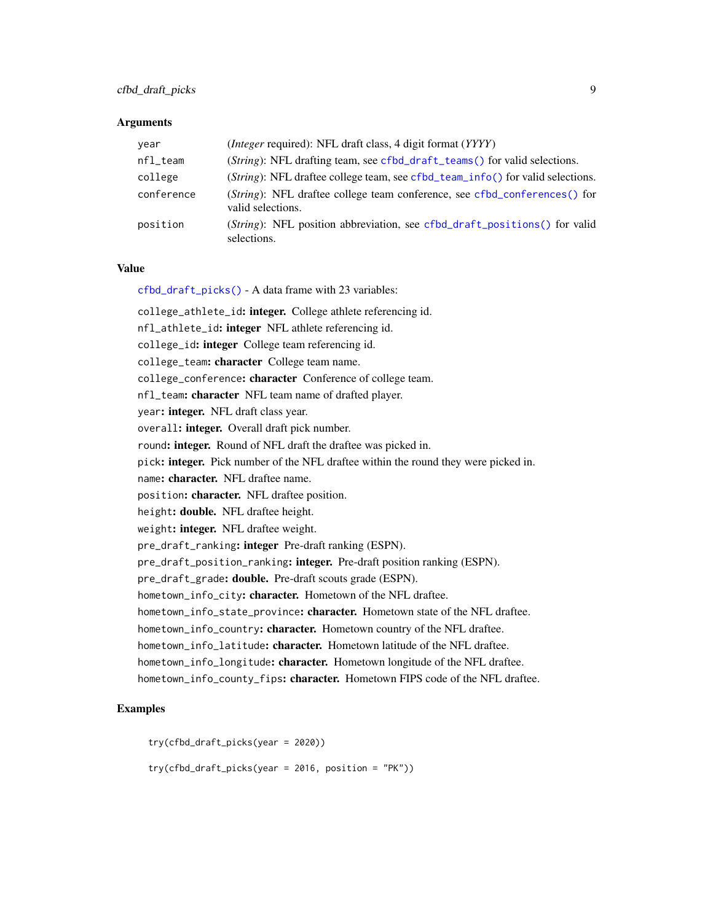# cfbd\_draft\_picks 9

#### **Arguments**

| year       | ( <i>Integer</i> required): NFL draft class, 4 digit format ( <i>YYYY</i> )                             |
|------------|---------------------------------------------------------------------------------------------------------|
| $nfl$ team | ( <i>String</i> ): NFL drafting team, see cfbd_draft_teams() for valid selections.                      |
| college    | (String): NFL draftee college team, see cfbd_team_info() for valid selections.                          |
| conference | ( <i>String</i> ): NFL draftee college team conference, see cfbd_conferences() for<br>valid selections. |
| position   | ( <i>String</i> ): NFL position abbreviation, see cfbd_draft_positions() for valid<br>selections.       |

## Value

[cfbd\\_draft\\_picks\(\)](#page-7-1) - A data frame with 23 variables:

college\_athlete\_id: integer. College athlete referencing id. nfl\_athlete\_id: integer NFL athlete referencing id. college\_id: integer College team referencing id. college\_team: character College team name. college\_conference: character Conference of college team. nfl\_team: character NFL team name of drafted player. year: integer. NFL draft class year. overall: integer. Overall draft pick number. round: integer. Round of NFL draft the draftee was picked in. pick: integer. Pick number of the NFL draftee within the round they were picked in. name: character. NFL draftee name. position: character. NFL draftee position. height: double. NFL draftee height. weight: integer. NFL draftee weight. pre\_draft\_ranking: integer Pre-draft ranking (ESPN). pre\_draft\_position\_ranking: integer. Pre-draft position ranking (ESPN). pre\_draft\_grade: **double.** Pre-draft scouts grade (ESPN). hometown\_info\_city: character. Hometown of the NFL draftee. hometown\_info\_state\_province: character. Hometown state of the NFL draftee. hometown\_info\_country: character. Hometown country of the NFL draftee. hometown\_info\_latitude: character. Hometown latitude of the NFL draftee. hometown\_info\_longitude: character. Hometown longitude of the NFL draftee. hometown\_info\_county\_fips: character. Hometown FIPS code of the NFL draftee.

## Examples

```
try(cfbd_draft_picks(year = 2020))
try(cfbd_draft_picks(year = 2016, position = "PK"))
```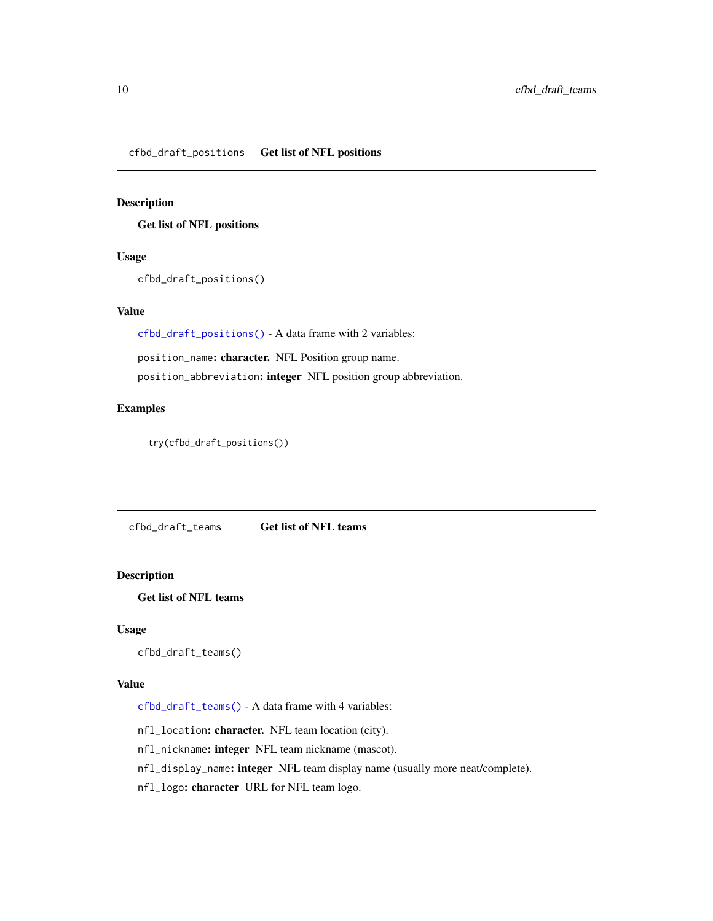<span id="page-9-2"></span><span id="page-9-0"></span>cfbd\_draft\_positions Get list of NFL positions

#### Description

Get list of NFL positions

# Usage

cfbd\_draft\_positions()

# Value

[cfbd\\_draft\\_positions\(\)](#page-9-2) - A data frame with 2 variables:

position\_name: character. NFL Position group name.

position\_abbreviation: integer NFL position group abbreviation.

# Examples

try(cfbd\_draft\_positions())

<span id="page-9-1"></span>cfbd\_draft\_teams Get list of NFL teams

# Description

Get list of NFL teams

#### Usage

cfbd\_draft\_teams()

## Value

[cfbd\\_draft\\_teams\(\)](#page-9-1) - A data frame with 4 variables:

nfl\_location: character. NFL team location (city).

nfl\_nickname: integer NFL team nickname (mascot).

nfl\_display\_name: integer NFL team display name (usually more neat/complete).

nfl\_logo: character URL for NFL team logo.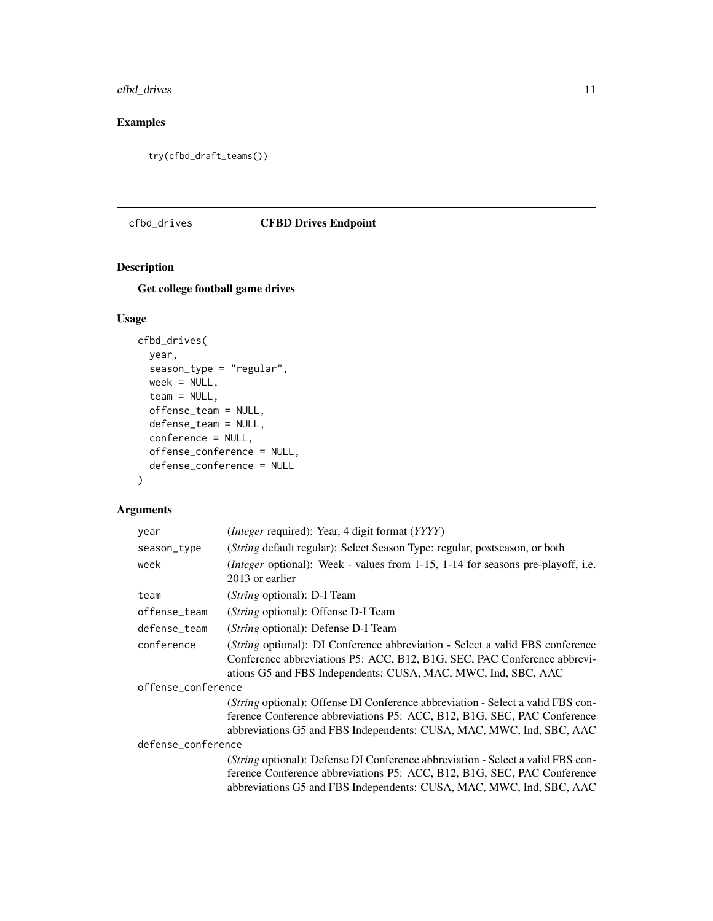<span id="page-10-0"></span>cfbd\_drives 11

# Examples

try(cfbd\_draft\_teams())

# <span id="page-10-1"></span>cfbd\_drives CFBD Drives Endpoint

# Description

Get college football game drives

# Usage

```
cfbd_drives(
  year,
  season_type = "regular",
 week = NULL,team = NULL,
 offense_team = NULL,
 defense_team = NULL,
 conference = NULL,
 offense_conference = NULL,
  defense_conference = NULL
)
```
# Arguments

| year               | ( <i>Integer</i> required): Year, 4 digit format ( <i>YYYY</i> )                                                                                                                                                                           |  |
|--------------------|--------------------------------------------------------------------------------------------------------------------------------------------------------------------------------------------------------------------------------------------|--|
| season_type        | (String default regular): Select Season Type: regular, postseason, or both                                                                                                                                                                 |  |
| week               | ( <i>Integer</i> optional): Week - values from 1-15, 1-14 for seasons pre-playoff, i.e.<br>2013 or earlier                                                                                                                                 |  |
| team               | (String optional): D-I Team                                                                                                                                                                                                                |  |
| offense_team       | (String optional): Offense D-I Team                                                                                                                                                                                                        |  |
| defense_team       | ( <i>String</i> optional): Defense D-I Team                                                                                                                                                                                                |  |
| conference         | ( <i>String</i> optional): DI Conference abbreviation - Select a valid FBS conference<br>Conference abbreviations P5: ACC, B12, B1G, SEC, PAC Conference abbrevi-<br>ations G5 and FBS Independents: CUSA, MAC, MWC, Ind, SBC, AAC         |  |
| offense_conference |                                                                                                                                                                                                                                            |  |
|                    | ( <i>String</i> optional): Offense DI Conference abbreviation - Select a valid FBS con-<br>ference Conference abbreviations P5: ACC, B12, B1G, SEC, PAC Conference<br>abbreviations G5 and FBS Independents: CUSA, MAC, MWC, Ind, SBC, AAC |  |
| defense_conference |                                                                                                                                                                                                                                            |  |
|                    | ( <i>String</i> optional): Defense DI Conference abbreviation - Select a valid FBS con-<br>ference Conference abbreviations P5: ACC, B12, B1G, SEC, PAC Conference<br>abbreviations G5 and FBS Independents: CUSA, MAC, MWC, Ind, SBC, AAC |  |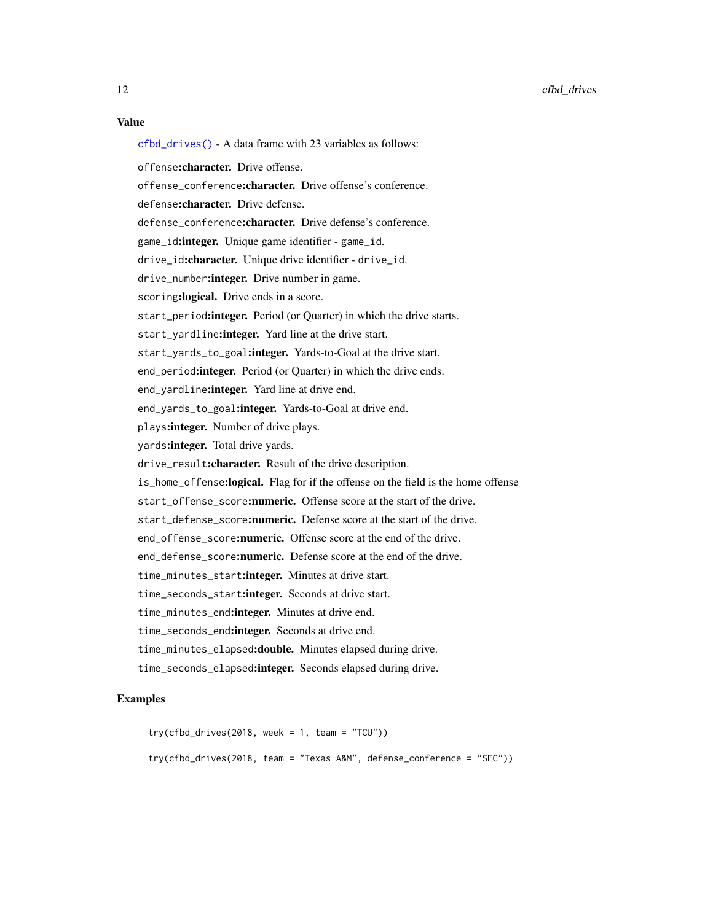## Value

[cfbd\\_drives\(\)](#page-10-1) - A data frame with 23 variables as follows: offense:character. Drive offense. offense conference: character. Drive offense's conference. defense: character. Drive defense. defense\_conference: character. Drive defense's conference. game\_id: integer. Unique game identifier - game\_id. drive\_id:character. Unique drive identifier - drive\_id. drive\_number: integer. Drive number in game. scoring: logical. Drive ends in a score. start\_period: integer. Period (or Quarter) in which the drive starts. start\_yardline: integer. Yard line at the drive start. start\_yards\_to\_goal: integer. Yards-to-Goal at the drive start. end\_period: integer. Period (or Quarter) in which the drive ends. end\_yardline: integer. Yard line at drive end. end\_yards\_to\_goal: integer. Yards-to-Goal at drive end. plays: integer. Number of drive plays. yards: integer. Total drive yards. drive\_result:character. Result of the drive description. is\_home\_offense:logical. Flag for if the offense on the field is the home offense start offense score: numeric. Offense score at the start of the drive. start\_defense\_score:numeric. Defense score at the start of the drive. end\_offense\_score:numeric. Offense score at the end of the drive. end\_defense\_score:numeric. Defense score at the end of the drive. time\_minutes\_start:integer. Minutes at drive start. time\_seconds\_start:integer. Seconds at drive start. time\_minutes\_end:integer. Minutes at drive end. time\_seconds\_end:integer. Seconds at drive end. time\_minutes\_elapsed:double. Minutes elapsed during drive. time\_seconds\_elapsed:integer. Seconds elapsed during drive.

#### Examples

```
try(cfbd_drives(2018, week = 1, team = "TCU"))try(cfbd_drives(2018, team = "Texas A&M", defense_conference = "SEC"))
```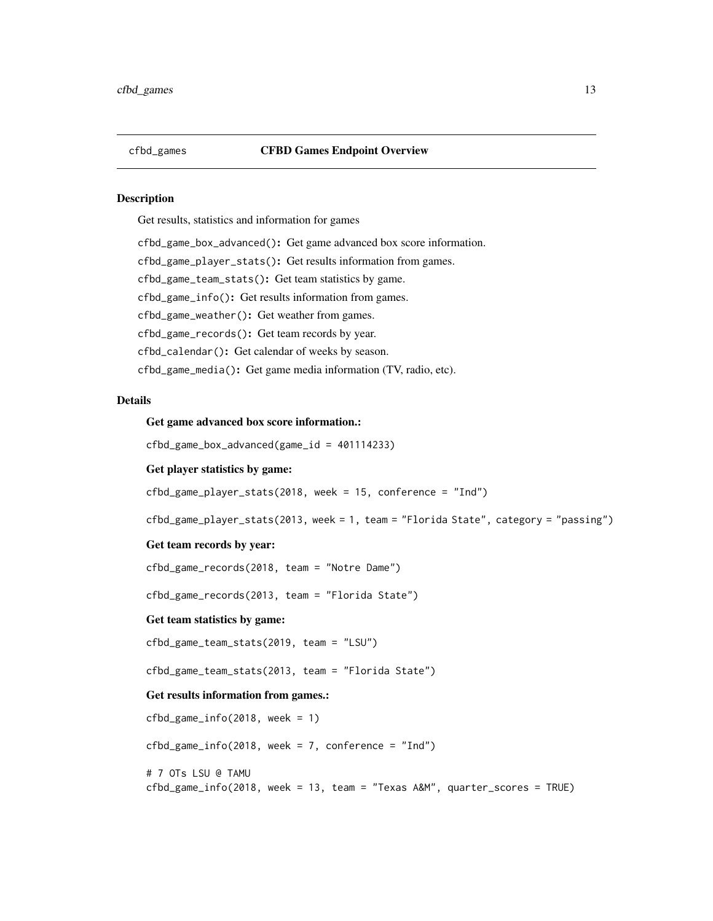## <span id="page-12-0"></span>cfbd\_games CFBD Games Endpoint Overview

#### Description

Get results, statistics and information for games

cfbd\_game\_box\_advanced(): Get game advanced box score information.

cfbd\_game\_player\_stats(): Get results information from games.

cfbd\_game\_team\_stats(): Get team statistics by game.

cfbd\_game\_info(): Get results information from games.

cfbd\_game\_weather(): Get weather from games.

cfbd\_game\_records(): Get team records by year.

cfbd\_calendar(): Get calendar of weeks by season.

cfbd\_game\_media(): Get game media information (TV, radio, etc).

## **Details**

# Get game advanced box score information.:

cfbd\_game\_box\_advanced(game\_id = 401114233)

#### Get player statistics by game:

cfbd\_game\_player\_stats(2018, week = 15, conference = "Ind")

cfbd\_game\_player\_stats(2013, week = 1, team = "Florida State", category = "passing")

#### Get team records by year:

cfbd\_game\_records(2018, team = "Notre Dame")

cfbd\_game\_records(2013, team = "Florida State")

#### Get team statistics by game:

cfbd\_game\_team\_stats(2019, team = "LSU")

cfbd\_game\_team\_stats(2013, team = "Florida State")

#### Get results information from games.:

```
cfbd_game_info(2018, week = 1)cfbd_game_info(2018, week = 7, conference = "Ind")# 7 OTs LSU @ TAMU
cfbd_game_info(2018, week = 13, team = "Texas A&M", quarter_scores = TRUE)
```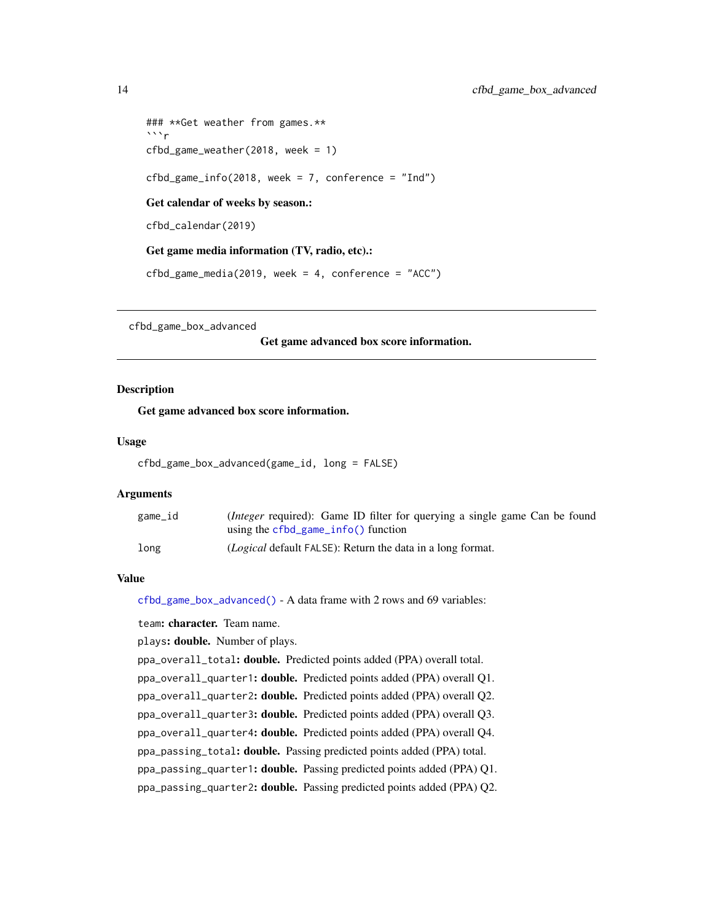```
### **Get weather from games.**
\cdotsr
cfbd_game_weather(2018, week = 1)
cfbd_game_info(2018, week = 7, conference = "Ind")Get calendar of weeks by season.:
cfbd_calendar(2019)
Get game media information (TV, radio, etc).:
cfbd_game_media(2019, week = 4, conference = "ACC")
```
<span id="page-13-1"></span>cfbd\_game\_box\_advanced

#### Get game advanced box score information.

#### Description

Get game advanced box score information.

#### Usage

```
cfbd_game_box_advanced(game_id, long = FALSE)
```
#### **Arguments**

| game_id | ( <i>Integer</i> required): Game ID filter for querying a single game Can be found |
|---------|------------------------------------------------------------------------------------|
|         | using the $cfbd\_game\_info()$ function                                            |
| long    | <i>(Logical</i> default FALSE): Return the data in a long format.                  |

## Value

[cfbd\\_game\\_box\\_advanced\(\)](#page-13-1) - A data frame with 2 rows and 69 variables:

team: character. Team name.

plays: **double.** Number of plays.

ppa\_overall\_total: double. Predicted points added (PPA) overall total.

ppa\_overall\_quarter1: double. Predicted points added (PPA) overall Q1.

ppa\_overall\_quarter2: double. Predicted points added (PPA) overall Q2.

ppa\_overall\_quarter3: double. Predicted points added (PPA) overall Q3.

ppa\_overall\_quarter4: double. Predicted points added (PPA) overall Q4.

ppa\_passing\_total: double. Passing predicted points added (PPA) total.

ppa\_passing\_quarter1: double. Passing predicted points added (PPA) Q1.

ppa\_passing\_quarter2: double. Passing predicted points added (PPA) Q2.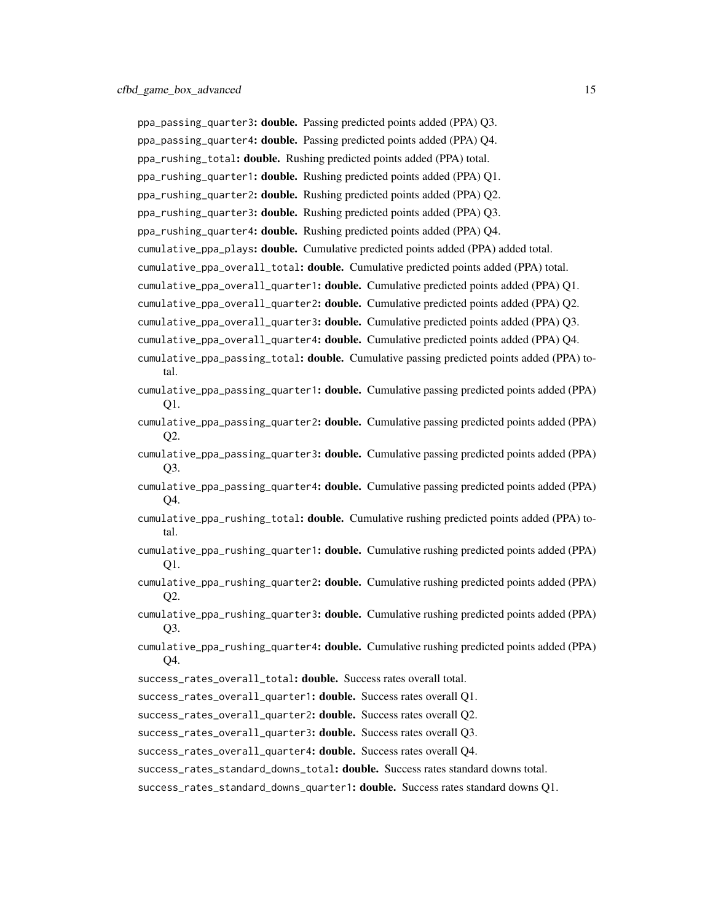ppa\_passing\_quarter3: double. Passing predicted points added (PPA) Q3. ppa\_passing\_quarter4: double. Passing predicted points added (PPA) Q4. ppa\_rushing\_total: double. Rushing predicted points added (PPA) total. ppa\_rushing\_quarter1: double. Rushing predicted points added (PPA) Q1. ppa\_rushing\_quarter2: double. Rushing predicted points added (PPA) Q2. ppa\_rushing\_quarter3: double. Rushing predicted points added (PPA) Q3. ppa\_rushing\_quarter4: double. Rushing predicted points added (PPA) Q4. cumulative\_ppa\_plays: double. Cumulative predicted points added (PPA) added total. cumulative\_ppa\_overall\_total: double. Cumulative predicted points added (PPA) total. cumulative\_ppa\_overall\_quarter1: double. Cumulative predicted points added (PPA) Q1. cumulative\_ppa\_overall\_quarter2: double. Cumulative predicted points added (PPA) Q2.

cumulative\_ppa\_overall\_quarter3: double. Cumulative predicted points added (PPA) Q3.

- cumulative\_ppa\_overall\_quarter4: double. Cumulative predicted points added (PPA) Q4.
- cumulative\_ppa\_passing\_total: **double.** Cumulative passing predicted points added (PPA) total.
- cumulative\_ppa\_passing\_quarter1: **double.** Cumulative passing predicted points added (PPA) Q1.
- cumulative\_ppa\_passing\_quarter2: **double.** Cumulative passing predicted points added (PPA) Q2.
- cumulative\_ppa\_passing\_quarter3: **double.** Cumulative passing predicted points added (PPA) Q3.
- cumulative\_ppa\_passing\_quarter4: **double.** Cumulative passing predicted points added (PPA) Q4.
- cumulative\_ppa\_rushing\_total: double. Cumulative rushing predicted points added (PPA) total.
- cumulative\_ppa\_rushing\_quarter1: **double.** Cumulative rushing predicted points added (PPA) Q1.
- cumulative\_ppa\_rushing\_quarter2: **double.** Cumulative rushing predicted points added (PPA) Q2.
- cumulative\_ppa\_rushing\_quarter3: double. Cumulative rushing predicted points added (PPA) Q3.
- cumulative\_ppa\_rushing\_quarter4: double. Cumulative rushing predicted points added (PPA) Q4.
- success\_rates\_overall\_total: double. Success rates overall total.
- success\_rates\_overall\_quarter1: double. Success rates overall Q1.
- success\_rates\_overall\_quarter2: double. Success rates overall Q2.
- success\_rates\_overall\_quarter3: double. Success rates overall Q3.
- success\_rates\_overall\_quarter4: double. Success rates overall O4.
- success\_rates\_standard\_downs\_total: double. Success rates standard downs total.
- success\_rates\_standard\_downs\_quarter1: double. Success rates standard downs Q1.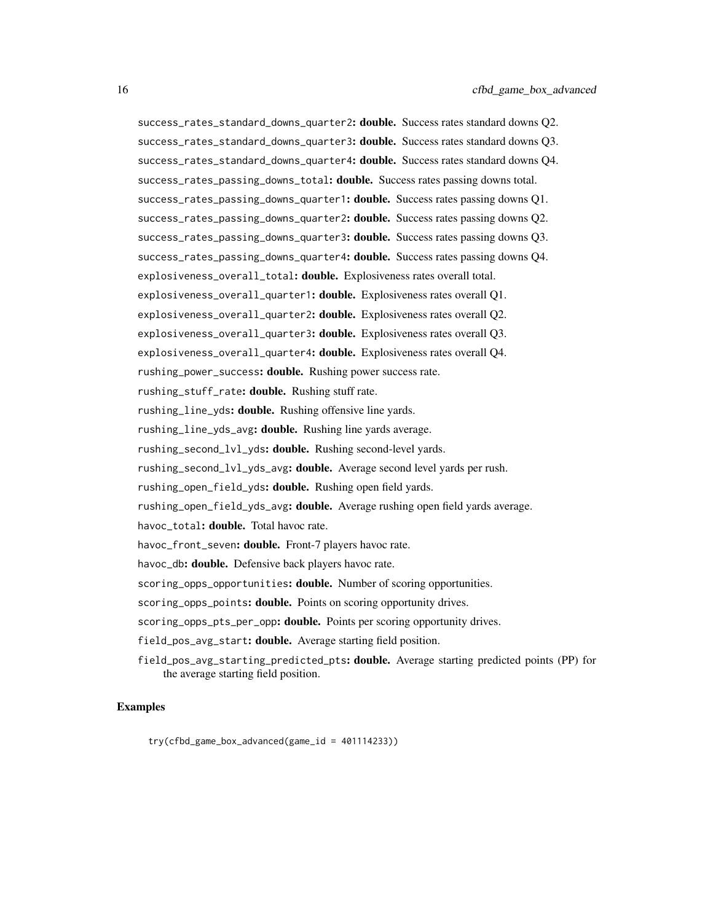success\_rates\_standard\_downs\_quarter2: double. Success rates standard downs Q2. success\_rates\_standard\_downs\_quarter3: double. Success rates standard downs Q3. success\_rates\_standard\_downs\_quarter4: double. Success rates standard downs Q4. success\_rates\_passing\_downs\_total: **double.** Success rates passing downs total. success\_rates\_passing\_downs\_quarter1: **double.** Success rates passing downs Q1. success\_rates\_passing\_downs\_quarter2: **double.** Success rates passing downs Q2. success\_rates\_passing\_downs\_quarter3: double. Success rates passing downs Q3. success\_rates\_passing\_downs\_quarter4: double. Success rates passing downs Q4. explosiveness\_overall\_total: double. Explosiveness rates overall total. explosiveness\_overall\_quarter1: double. Explosiveness rates overall Q1. explosiveness\_overall\_quarter2: double. Explosiveness rates overall Q2. explosiveness\_overall\_quarter3: double. Explosiveness rates overall Q3. explosiveness\_overall\_quarter4: double. Explosiveness rates overall Q4. rushing\_power\_success: double. Rushing power success rate. rushing\_stuff\_rate: double. Rushing stuff rate. rushing\_line\_yds: double. Rushing offensive line yards. rushing\_line\_yds\_avg: double. Rushing line yards average. rushing\_second\_lvl\_yds: double. Rushing second-level yards. rushing\_second\_lvl\_yds\_avg: double. Average second level yards per rush. rushing\_open\_field\_yds: double. Rushing open field yards. rushing\_open\_field\_yds\_avg: **double.** Average rushing open field yards average. havoc\_total: double. Total havoc rate. havoc\_front\_seven: double. Front-7 players havoc rate. havoc\_db: **double.** Defensive back players havoc rate. scoring\_opps\_opportunities: **double.** Number of scoring opportunities. scoring\_opps\_points: **double.** Points on scoring opportunity drives. scoring\_opps\_pts\_per\_opp: **double.** Points per scoring opportunity drives. field\_pos\_avg\_start: **double.** Average starting field position. field\_pos\_avg\_starting\_predicted\_pts: double. Average starting predicted points (PP) for the average starting field position.

#### Examples

try(cfbd\_game\_box\_advanced(game\_id = 401114233))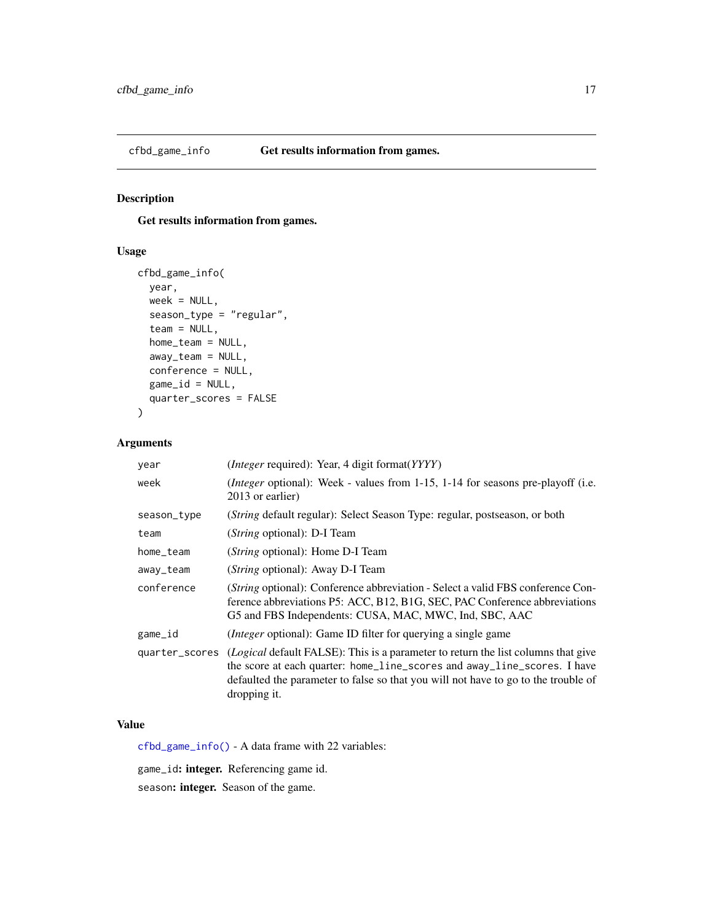<span id="page-16-1"></span><span id="page-16-0"></span>

# Description

Get results information from games.

# Usage

```
cfbd_game_info(
  year,
 week = NULL,
  season_type = "regular",
  team = NULL,home_team = NULL,
  away_team = NULL,
  conference = NULL,
 game_id = NULL,quarter_scores = FALSE
)
```
# Arguments

| year        | ( <i>Integer</i> required): Year, 4 digit format( <i>YYYY</i> )                                                                                                                                                                                                                    |
|-------------|------------------------------------------------------------------------------------------------------------------------------------------------------------------------------------------------------------------------------------------------------------------------------------|
| week        | ( <i>Integer</i> optional): Week - values from 1-15, 1-14 for seasons pre-playoff (i.e.<br>2013 or earlier)                                                                                                                                                                        |
| season_type | ( <i>String</i> default regular): Select Season Type: regular, postseason, or both                                                                                                                                                                                                 |
| team        | ( <i>String</i> optional): D-I Team                                                                                                                                                                                                                                                |
| home_team   | ( <i>String</i> optional): Home D-I Team                                                                                                                                                                                                                                           |
| away_team   | ( <i>String</i> optional): Away D-I Team                                                                                                                                                                                                                                           |
| conference  | (String optional): Conference abbreviation - Select a valid FBS conference Con-<br>ference abbreviations P5: ACC, B12, B1G, SEC, PAC Conference abbreviations<br>G5 and FBS Independents: CUSA, MAC, MWC, Ind, SBC, AAC                                                            |
| game_id     | <i>(Integer optional)</i> : Game ID filter for querying a single game                                                                                                                                                                                                              |
|             | quarter_scores (Logical default FALSE): This is a parameter to return the list columns that give<br>the score at each quarter: home_line_scores and away_line_scores. I have<br>defaulted the parameter to false so that you will not have to go to the trouble of<br>dropping it. |

# Value

[cfbd\\_game\\_info\(\)](#page-16-1) - A data frame with 22 variables:

game\_id: integer. Referencing game id.

season: integer. Season of the game.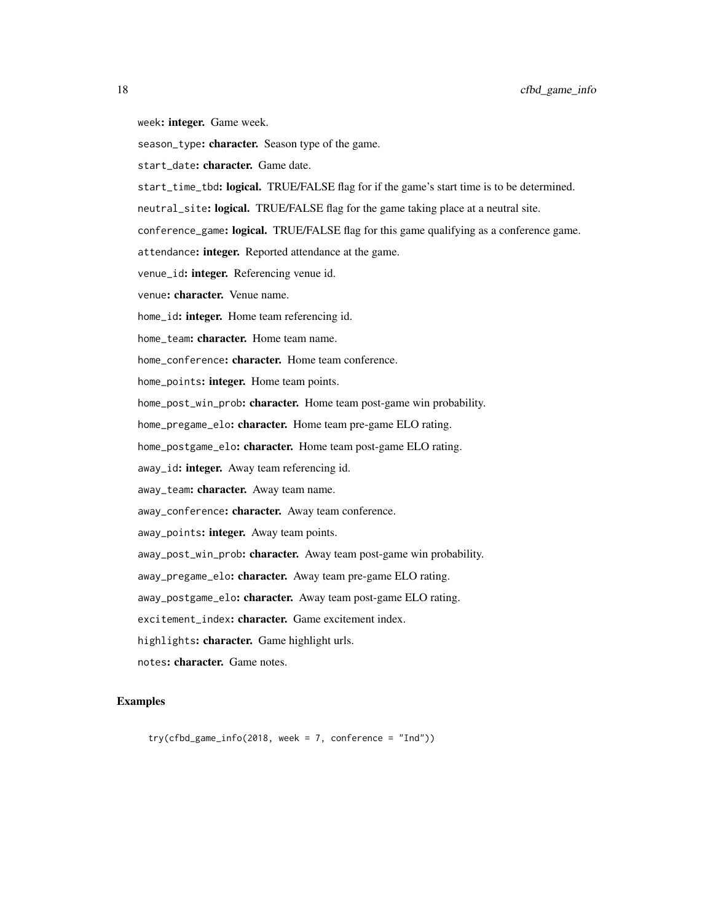- week: integer. Game week.
- season\_type: character. Season type of the game.
- start\_date: character. Game date.
- start\_time\_tbd: logical. TRUE/FALSE flag for if the game's start time is to be determined.
- neutral\_site: logical. TRUE/FALSE flag for the game taking place at a neutral site.
- conference\_game: logical. TRUE/FALSE flag for this game qualifying as a conference game.
- attendance: integer. Reported attendance at the game.
- venue\_id: integer. Referencing venue id.
- venue: character. Venue name.
- home\_id: **integer.** Home team referencing id.
- home\_team: character. Home team name.
- home\_conference: character. Home team conference.
- home\_points: integer. Home team points.
- home\_post\_win\_prob: character. Home team post-game win probability.
- home\_pregame\_elo: character. Home team pre-game ELO rating.
- home\_postgame\_elo: character. Home team post-game ELO rating.
- away\_id: integer. Away team referencing id.
- away\_team: character. Away team name.
- away\_conference: character. Away team conference.
- away\_points: integer. Away team points.
- away\_post\_win\_prob: character. Away team post-game win probability.
- away\_pregame\_elo: character. Away team pre-game ELO rating.
- away\_postgame\_elo: character. Away team post-game ELO rating.
- excitement\_index: character. Game excitement index.
- highlights: character. Game highlight urls.
- notes: character. Game notes.

#### Examples

 $try(cfbd_game_info(2018, week = 7, conference = "Ind"))$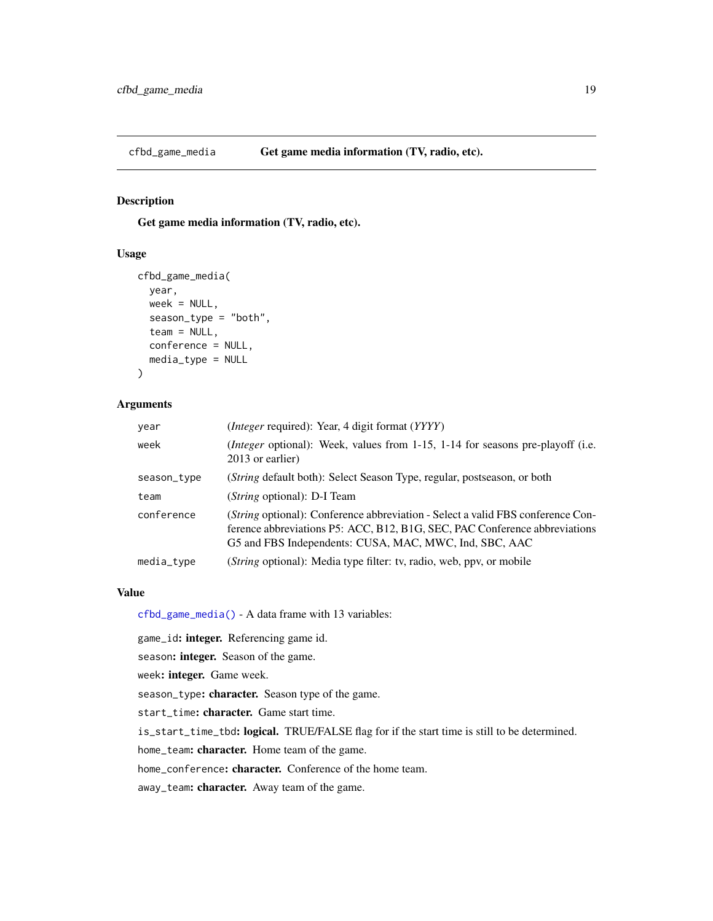<span id="page-18-1"></span><span id="page-18-0"></span>

# Description

Get game media information (TV, radio, etc).

#### Usage

```
cfbd_game_media(
  year,
  week = NULL,season_type = "both",
  \text{team} = \text{NULL},
  conference = NULL,
  media_type = NULL
)
```
## Arguments

| year        | ( <i>Integer</i> required): Year, 4 digit format ( <i>YYYY</i> )                                                                                                                                                                |
|-------------|---------------------------------------------------------------------------------------------------------------------------------------------------------------------------------------------------------------------------------|
| week        | ( <i>Integer</i> optional): Week, values from 1-15, 1-14 for seasons pre-playoff (i.e.<br>2013 or earlier)                                                                                                                      |
| season_type | ( <i>String</i> default both): Select Season Type, regular, postseason, or both                                                                                                                                                 |
| team        | ( <i>String</i> optional): D-I Team                                                                                                                                                                                             |
| conference  | ( <i>String</i> optional): Conference abbreviation - Select a valid FBS conference Con-<br>ference abbreviations P5: ACC, B12, B1G, SEC, PAC Conference abbreviations<br>G5 and FBS Independents: CUSA, MAC, MWC, Ind, SBC, AAC |
| media_type  | ( <i>String</i> optional): Media type filter: tv, radio, web, ppv, or mobile                                                                                                                                                    |

#### Value

[cfbd\\_game\\_media\(\)](#page-18-1) - A data frame with 13 variables:

game\_id: integer. Referencing game id.

season: integer. Season of the game.

week: integer. Game week.

season\_type: character. Season type of the game.

start\_time: character. Game start time.

is\_start\_time\_tbd: logical. TRUE/FALSE flag for if the start time is still to be determined.

home\_team: character. Home team of the game.

home\_conference: character. Conference of the home team.

away\_team: character. Away team of the game.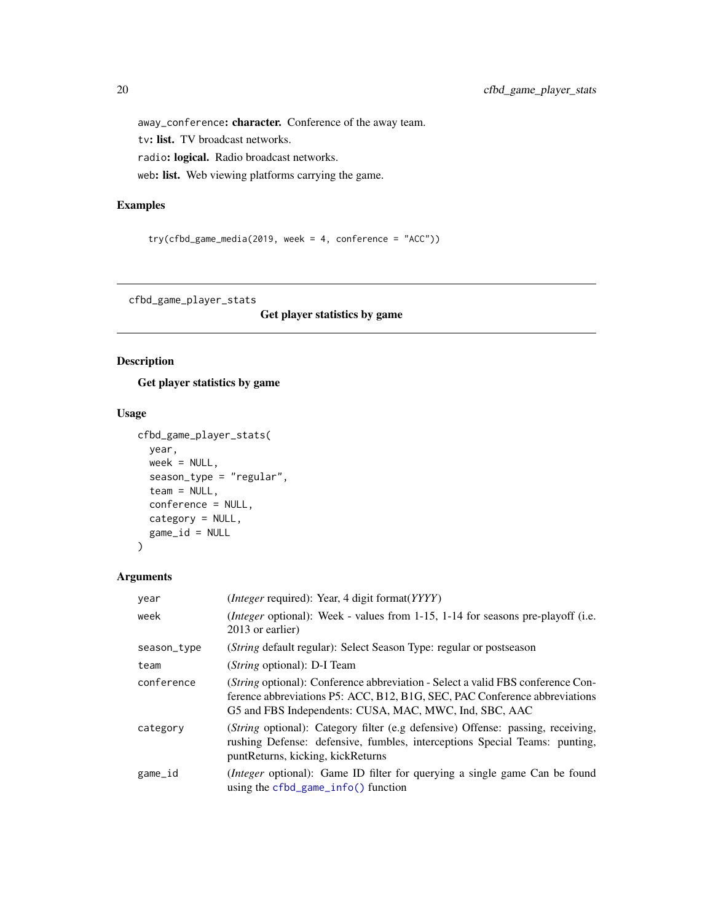away\_conference: character. Conference of the away team. tv: list. TV broadcast networks. radio: logical. Radio broadcast networks. web: list. Web viewing platforms carrying the game.

#### Examples

```
try(cfbd_game_media(2019, week = 4, conference = "ACC"))
```
<span id="page-19-1"></span>cfbd\_game\_player\_stats

Get player statistics by game

## Description

Get player statistics by game

## Usage

```
cfbd_game_player_stats(
 year,
 week = NULL,season_type = "regular",
  team = NULL,conference = NULL,
 category = NULL,
 game_id = NULL
)
```
# Arguments

| year        | ( <i>Integer</i> required): Year, 4 digit format(YYYY)                                                                                                                                                                         |
|-------------|--------------------------------------------------------------------------------------------------------------------------------------------------------------------------------------------------------------------------------|
| week        | (Integer optional): Week - values from 1-15, 1-14 for seasons pre-playoff (i.e.<br>2013 or earlier)                                                                                                                            |
| season_type | (String default regular): Select Season Type: regular or postseason                                                                                                                                                            |
| team        | ( <i>String</i> optional): D-I Team                                                                                                                                                                                            |
| conference  | <i>(String optional):</i> Conference abbreviation - Select a valid FBS conference Con-<br>ference abbreviations P5: ACC, B12, B1G, SEC, PAC Conference abbreviations<br>G5 and FBS Independents: CUSA, MAC, MWC, Ind, SBC, AAC |
| category    | (String optional): Category filter (e.g defensive) Offense: passing, receiving,<br>rushing Defense: defensive, fumbles, interceptions Special Teams: punting,<br>punt Returns, kicking, kick Returns                           |
| game_id     | <i>(Integer optional)</i> : Game ID filter for querying a single game Can be found<br>using the $cfbd$ game $info()$ function                                                                                                  |

<span id="page-19-0"></span>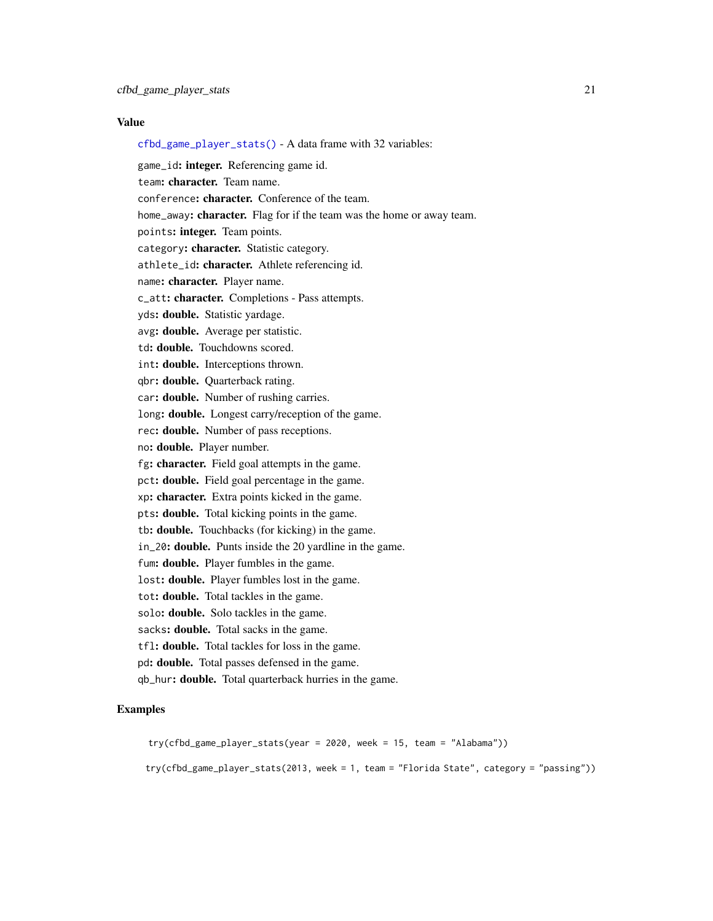#### Value

[cfbd\\_game\\_player\\_stats\(\)](#page-19-1) - A data frame with 32 variables:

game\_id: **integer.** Referencing game id. team: character. Team name. conference: character. Conference of the team. home\_away: character. Flag for if the team was the home or away team. points: integer. Team points. category: character. Statistic category. athlete\_id: character. Athlete referencing id. name: character. Player name. c\_att: character. Completions - Pass attempts. yds: double. Statistic yardage. avg: double. Average per statistic. td: double. Touchdowns scored. int: double. Interceptions thrown. qbr: double. Quarterback rating. car: double. Number of rushing carries. long: double. Longest carry/reception of the game. rec: double. Number of pass receptions. no: double. Player number. fg: character. Field goal attempts in the game. pct: double. Field goal percentage in the game. xp: character. Extra points kicked in the game. pts: double. Total kicking points in the game. tb: double. Touchbacks (for kicking) in the game. in\_20: double. Punts inside the 20 yardline in the game. fum: double. Player fumbles in the game. lost: double. Player fumbles lost in the game. tot: double. Total tackles in the game. solo: double. Solo tackles in the game. sacks: **double.** Total sacks in the game. tfl: double. Total tackles for loss in the game. pd: double. Total passes defensed in the game. qb\_hur: double. Total quarterback hurries in the game.

## Examples

try(cfbd\_game\_player\_stats(year = 2020, week = 15, team = "Alabama")) try(cfbd\_game\_player\_stats(2013, week = 1, team = "Florida State", category = "passing"))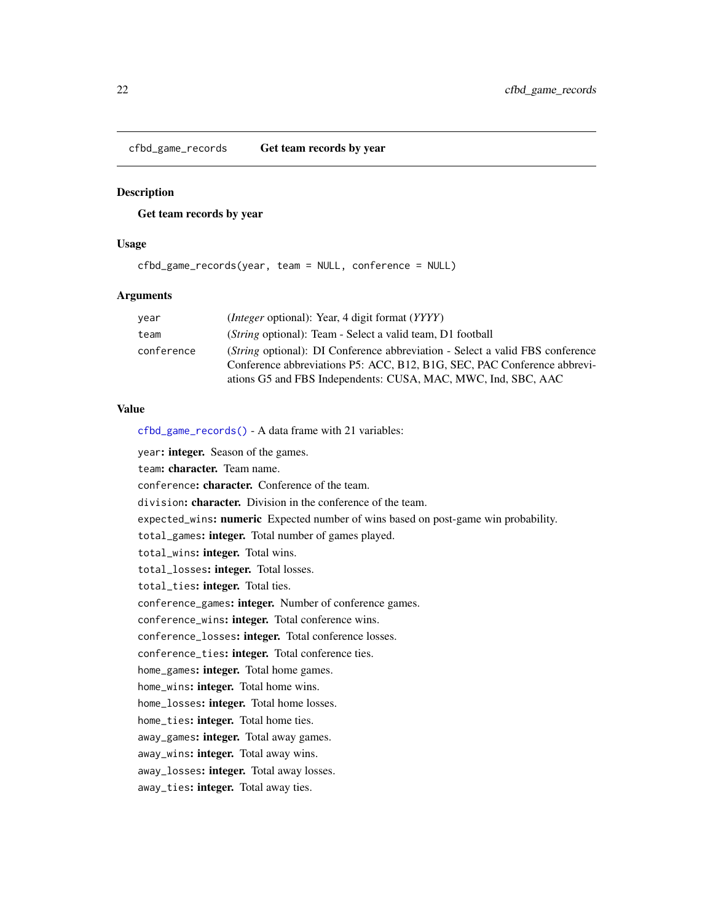<span id="page-21-1"></span><span id="page-21-0"></span>cfbd\_game\_records Get team records by year

# Description

Get team records by year

# Usage

cfbd\_game\_records(year, team = NULL, conference = NULL)

# **Arguments**

| year       | <i>(Integer optional): Year, 4 digit format (YYYY)</i>                                                                                                                                                                            |
|------------|-----------------------------------------------------------------------------------------------------------------------------------------------------------------------------------------------------------------------------------|
| team       | ( <i>String</i> optional): Team - Select a valid team, D1 football                                                                                                                                                                |
| conference | <i>(String optional): DI Conference abbreviation - Select a valid FBS conference</i><br>Conference abbreviations P5: ACC, B12, B1G, SEC, PAC Conference abbrevi-<br>ations G5 and FBS Independents: CUSA, MAC, MWC, Ind, SBC, AAC |

## Value

[cfbd\\_game\\_records\(\)](#page-21-1) - A data frame with 21 variables:

year: integer. Season of the games.

team: character. Team name.

conference: character. Conference of the team.

division: character. Division in the conference of the team.

expected\_wins: numeric Expected number of wins based on post-game win probability.

total\_games: integer. Total number of games played.

total\_wins: integer. Total wins.

total\_losses: integer. Total losses.

total\_ties: integer. Total ties.

conference\_games: integer. Number of conference games.

conference\_wins: integer. Total conference wins.

conference\_losses: integer. Total conference losses.

conference\_ties: integer. Total conference ties.

home\_games: integer. Total home games.

home\_wins: integer. Total home wins.

home\_losses: integer. Total home losses.

home\_ties: integer. Total home ties.

away\_games: integer. Total away games.

away\_wins: integer. Total away wins.

away\_losses: integer. Total away losses.

away\_ties: integer. Total away ties.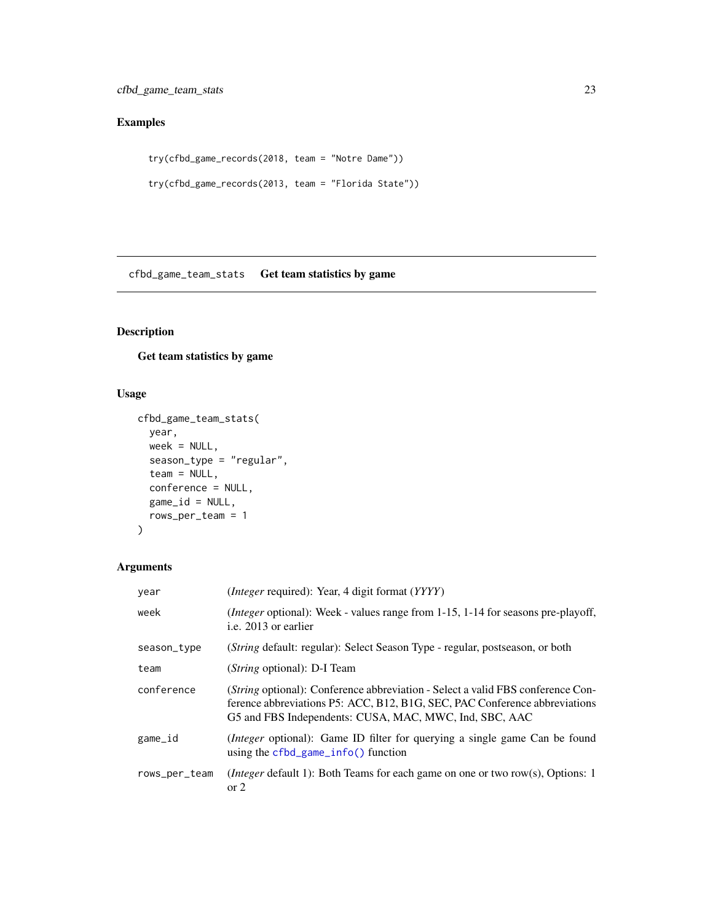# <span id="page-22-0"></span>Examples

```
try(cfbd_game_records(2018, team = "Notre Dame"))
try(cfbd_game_records(2013, team = "Florida State"))
```
<span id="page-22-1"></span>cfbd\_game\_team\_stats Get team statistics by game

# Description

Get team statistics by game

# Usage

```
cfbd_game_team_stats(
  year,
  week = NULL,
  season_type = "regular",
  team = NULL,
  conference = NULL,
  game_id = NULL,
  rows_per_team = 1
\mathcal{L}
```
# Arguments

| year          | ( <i>Integer</i> required): Year, 4 digit format ( <i>YYYY</i> )                                                                                                                                                               |
|---------------|--------------------------------------------------------------------------------------------------------------------------------------------------------------------------------------------------------------------------------|
| week          | <i>(Integer optional)</i> : Week - values range from 1-15, 1-14 for seasons pre-playoff,<br>i.e. 2013 or earlier                                                                                                               |
| season_type   | ( <i>String</i> default: regular): Select Season Type - regular, postseason, or both                                                                                                                                           |
| team          | ( <i>String</i> optional): D-I Team                                                                                                                                                                                            |
| conference    | <i>(String optional):</i> Conference abbreviation - Select a valid FBS conference Con-<br>ference abbreviations P5: ACC, B12, B1G, SEC, PAC Conference abbreviations<br>G5 and FBS Independents: CUSA, MAC, MWC, Ind, SBC, AAC |
| game_id       | <i>(Integer optional):</i> Game ID filter for querying a single game Can be found<br>using the $cfbd_game_info()$ function                                                                                                     |
| rows_per_team | <i>(Integer default 1):</i> Both Teams for each game on one or two row(s), Options: 1<br>$\alpha$ 2                                                                                                                            |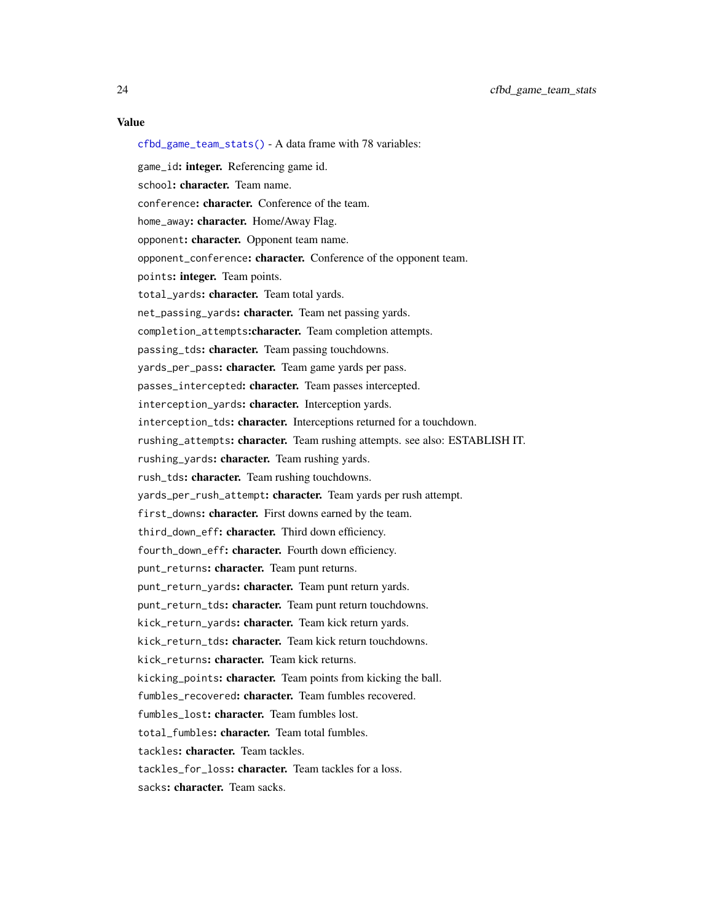[cfbd\\_game\\_team\\_stats\(\)](#page-22-1) - A data frame with 78 variables: game\_id: integer. Referencing game id. school: character. Team name. conference: character. Conference of the team. home\_away: character. Home/Away Flag. opponent: character. Opponent team name. opponent\_conference: character. Conference of the opponent team. points: integer. Team points. total\_yards: character. Team total yards. net\_passing\_yards: character. Team net passing yards. completion\_attempts:character. Team completion attempts. passing\_tds: character. Team passing touchdowns. yards\_per\_pass: character. Team game yards per pass. passes\_intercepted: character. Team passes intercepted. interception\_yards: character. Interception yards. interception\_tds: character. Interceptions returned for a touchdown. rushing\_attempts: character. Team rushing attempts. see also: ESTABLISH IT. rushing\_yards: character. Team rushing yards. rush\_tds: character. Team rushing touchdowns. yards\_per\_rush\_attempt: character. Team yards per rush attempt. first\_downs: character. First downs earned by the team. third\_down\_eff: character. Third down efficiency. fourth\_down\_eff: character. Fourth down efficiency. punt\_returns: character. Team punt returns. punt\_return\_yards: character. Team punt return yards. punt\_return\_tds: character. Team punt return touchdowns. kick\_return\_yards: character. Team kick return yards. kick\_return\_tds: character. Team kick return touchdowns. kick\_returns: character. Team kick returns. kicking\_points: character. Team points from kicking the ball. fumbles\_recovered: character. Team fumbles recovered. fumbles\_lost: character. Team fumbles lost. total fumbles: character. Team total fumbles. tackles: character. Team tackles. tackles\_for\_loss: character. Team tackles for a loss. sacks: character. Team sacks.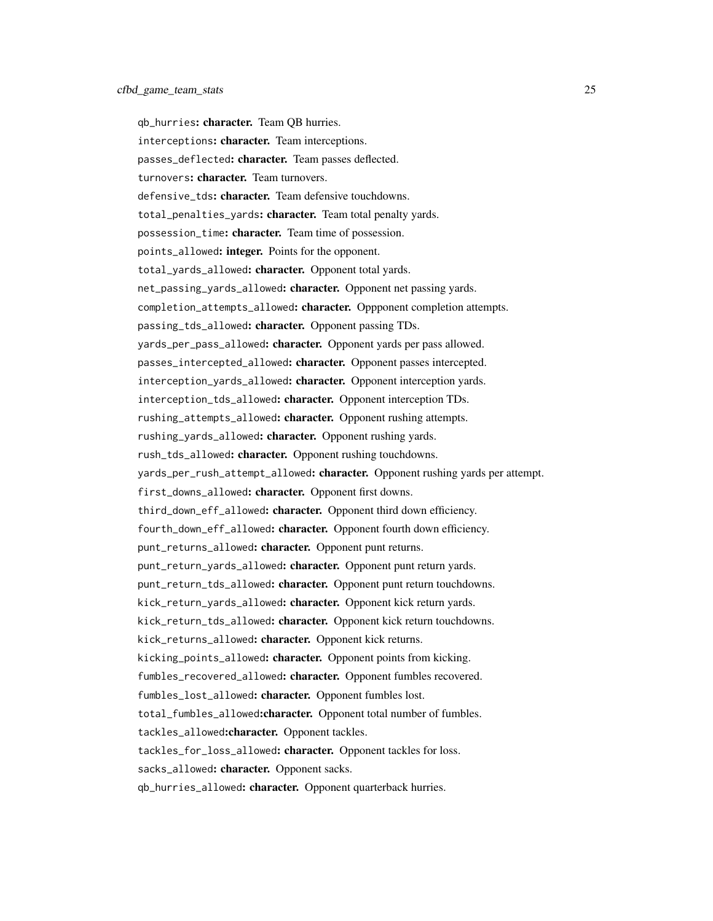qb\_hurries: character. Team QB hurries. interceptions: character. Team interceptions. passes\_deflected: character. Team passes deflected. turnovers: character. Team turnovers. defensive\_tds: character. Team defensive touchdowns. total\_penalties\_yards: character. Team total penalty yards. possession\_time: character. Team time of possession. points\_allowed: integer. Points for the opponent. total\_yards\_allowed: character. Opponent total yards. net\_passing\_yards\_allowed: character. Opponent net passing yards. completion\_attempts\_allowed: character. Oppponent completion attempts. passing\_tds\_allowed: character. Opponent passing TDs. yards\_per\_pass\_allowed: character. Opponent yards per pass allowed. passes\_intercepted\_allowed: character. Opponent passes intercepted. interception\_yards\_allowed: character. Opponent interception yards. interception\_tds\_allowed: character. Opponent interception TDs. rushing\_attempts\_allowed: character. Opponent rushing attempts. rushing\_yards\_allowed: character. Opponent rushing yards. rush\_tds\_allowed: character. Opponent rushing touchdowns. yards\_per\_rush\_attempt\_allowed: character. Opponent rushing yards per attempt. first\_downs\_allowed: character. Opponent first downs. third\_down\_eff\_allowed: character. Opponent third down efficiency. fourth\_down\_eff\_allowed: character. Opponent fourth down efficiency. punt\_returns\_allowed: character. Opponent punt returns. punt\_return\_yards\_allowed: character. Opponent punt return yards. punt\_return\_tds\_allowed: character. Opponent punt return touchdowns. kick\_return\_yards\_allowed: character. Opponent kick return yards. kick\_return\_tds\_allowed: character. Opponent kick return touchdowns. kick\_returns\_allowed: character. Opponent kick returns. kicking\_points\_allowed: character. Opponent points from kicking. fumbles\_recovered\_allowed: character. Opponent fumbles recovered. fumbles\_lost\_allowed: character. Opponent fumbles lost. total\_fumbles\_allowed:character. Opponent total number of fumbles. tackles\_allowed:character. Opponent tackles. tackles\_for\_loss\_allowed: character. Opponent tackles for loss. sacks\_allowed: character. Opponent sacks. qb\_hurries\_allowed: character. Opponent quarterback hurries.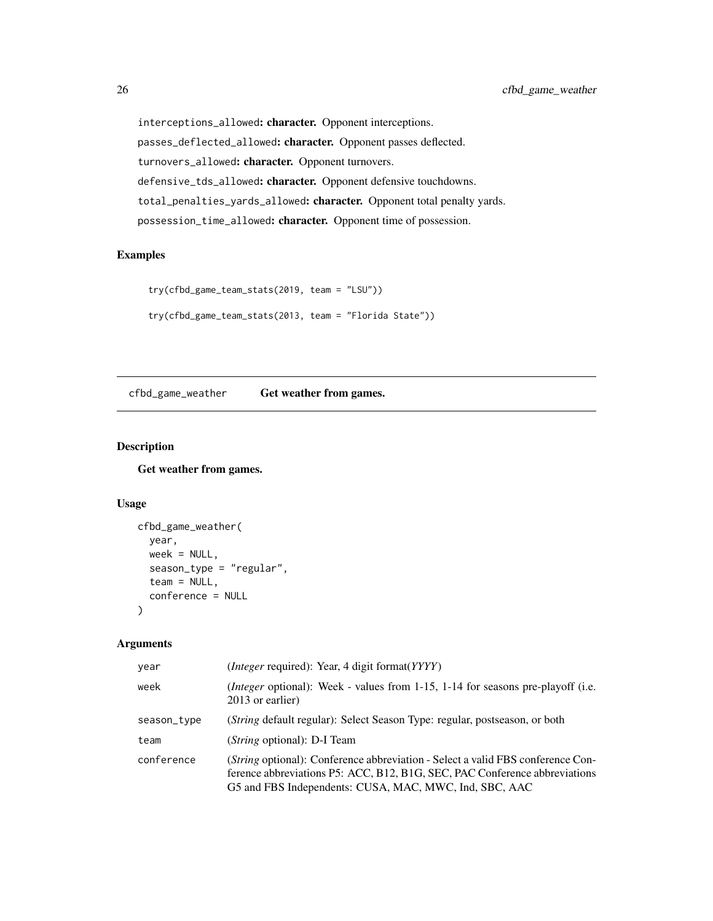interceptions\_allowed: character. Opponent interceptions. passes\_deflected\_allowed: character. Opponent passes deflected. turnovers\_allowed: character. Opponent turnovers. defensive\_tds\_allowed: character. Opponent defensive touchdowns. total\_penalties\_yards\_allowed: character. Opponent total penalty yards. possession\_time\_allowed: character. Opponent time of possession.

## Examples

```
try(cfbd_game_team_stats(2019, team = "LSU"))
try(cfbd_game_team_stats(2013, team = "Florida State"))
```
<span id="page-25-1"></span>cfbd\_game\_weather Get weather from games.

# Description

Get weather from games.

## Usage

```
cfbd_game_weather(
 year,
 week = NULL,season_type = "regular",
  team = NULL,
  conference = NULL
\lambda
```
#### Arguments

| year        | ( <i>Integer</i> required): Year, 4 digit format( <i>YYYY</i> )                                                                                                                                                                 |
|-------------|---------------------------------------------------------------------------------------------------------------------------------------------------------------------------------------------------------------------------------|
| week        | ( <i>Integer</i> optional): Week - values from 1-15, 1-14 for seasons pre-playoff (i.e.<br>2013 or earlier)                                                                                                                     |
| season_type | ( <i>String</i> default regular): Select Season Type: regular, postseason, or both                                                                                                                                              |
| team        | ( <i>String</i> optional): D-I Team                                                                                                                                                                                             |
| conference  | ( <i>String</i> optional): Conference abbreviation - Select a valid FBS conference Con-<br>ference abbreviations P5: ACC, B12, B1G, SEC, PAC Conference abbreviations<br>G5 and FBS Independents: CUSA, MAC, MWC, Ind, SBC, AAC |

<span id="page-25-0"></span>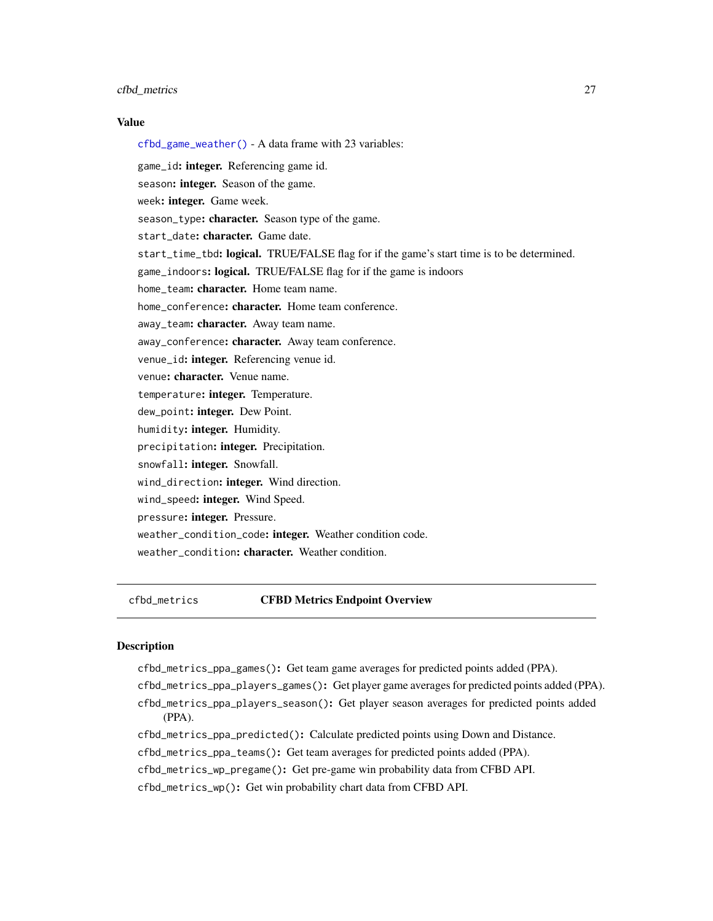## <span id="page-26-0"></span>cfbd\_metrics 27

## Value

[cfbd\\_game\\_weather\(\)](#page-25-1) - A data frame with 23 variables: game\_id: integer. Referencing game id. season: integer. Season of the game. week: integer. Game week. season\_type: character. Season type of the game. start\_date: character. Game date. start\_time\_tbd: logical. TRUE/FALSE flag for if the game's start time is to be determined. game\_indoors: logical. TRUE/FALSE flag for if the game is indoors home\_team: character. Home team name. home\_conference: character. Home team conference. away\_team: character. Away team name. away\_conference: character. Away team conference. venue\_id: integer. Referencing venue id. venue: character. Venue name. temperature: integer. Temperature. dew\_point: integer. Dew Point. humidity: integer. Humidity. precipitation: integer. Precipitation. snowfall: integer. Snowfall. wind\_direction: integer. Wind direction. wind\_speed: integer. Wind Speed. pressure: integer. Pressure. weather\_condition\_code: integer. Weather condition code. weather\_condition: character. Weather condition.

#### cfbd\_metrics CFBD Metrics Endpoint Overview

#### Description

cfbd\_metrics\_ppa\_games(): Get team game averages for predicted points added (PPA).

cfbd\_metrics\_ppa\_players\_games(): Get player game averages for predicted points added (PPA).

cfbd\_metrics\_ppa\_players\_season(): Get player season averages for predicted points added (PPA).

cfbd\_metrics\_ppa\_predicted(): Calculate predicted points using Down and Distance.

cfbd\_metrics\_ppa\_teams(): Get team averages for predicted points added (PPA).

cfbd\_metrics\_wp\_pregame(): Get pre-game win probability data from CFBD API.

cfbd\_metrics\_wp(): Get win probability chart data from CFBD API.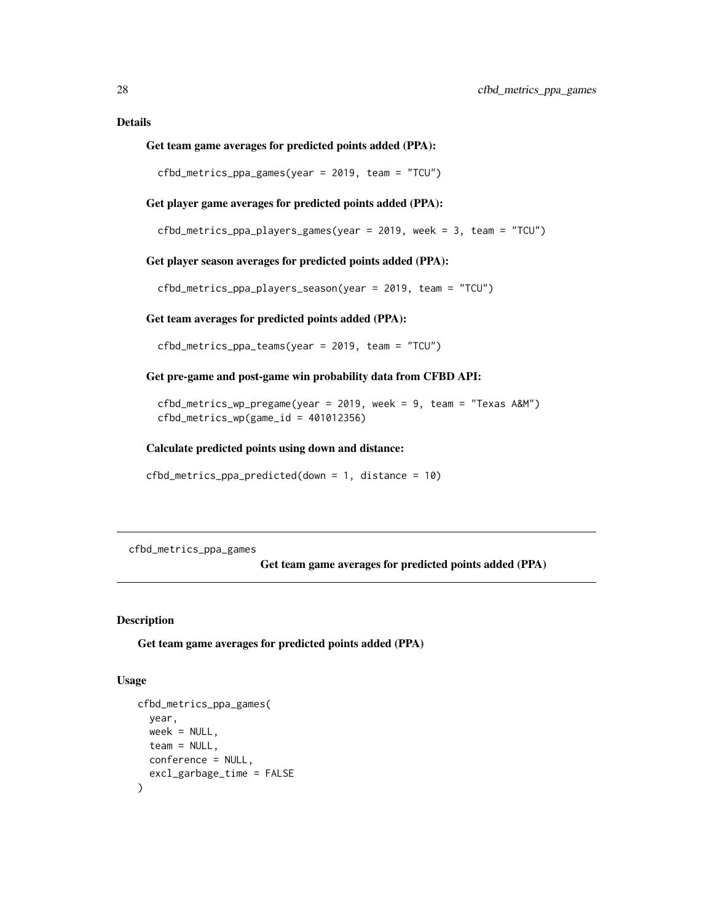## <span id="page-27-0"></span>Details

#### Get team game averages for predicted points added (PPA):

cfbd\_metrics\_ppa\_games(year = 2019, team = "TCU")

Get player game averages for predicted points added (PPA):

```
cfbd_metrics_ppa_players_games(year = 2019, week = 3, team = "TCU")
```
Get player season averages for predicted points added (PPA):

cfbd\_metrics\_ppa\_players\_season(year = 2019, team = "TCU")

#### Get team averages for predicted points added (PPA):

cfbd\_metrics\_ppa\_teams(year = 2019, team = "TCU")

#### Get pre-game and post-game win probability data from CFBD API:

cfbd\_metrics\_wp\_pregame(year = 2019, week = 9, team = "Texas A&M")  $cfbd_metrics_wp(game_id = 401012356)$ 

#### Calculate predicted points using down and distance:

```
cfbd_metrics_ppa_predicted(down = 1, distance = 10)
```
<span id="page-27-1"></span>cfbd\_metrics\_ppa\_games

Get team game averages for predicted points added (PPA)

## Description

Get team game averages for predicted points added (PPA)

#### Usage

```
cfbd_metrics_ppa_games(
  year,
 week = NULL,team = NULL,
 conference = NULL,
  excl_garbage_time = FALSE
)
```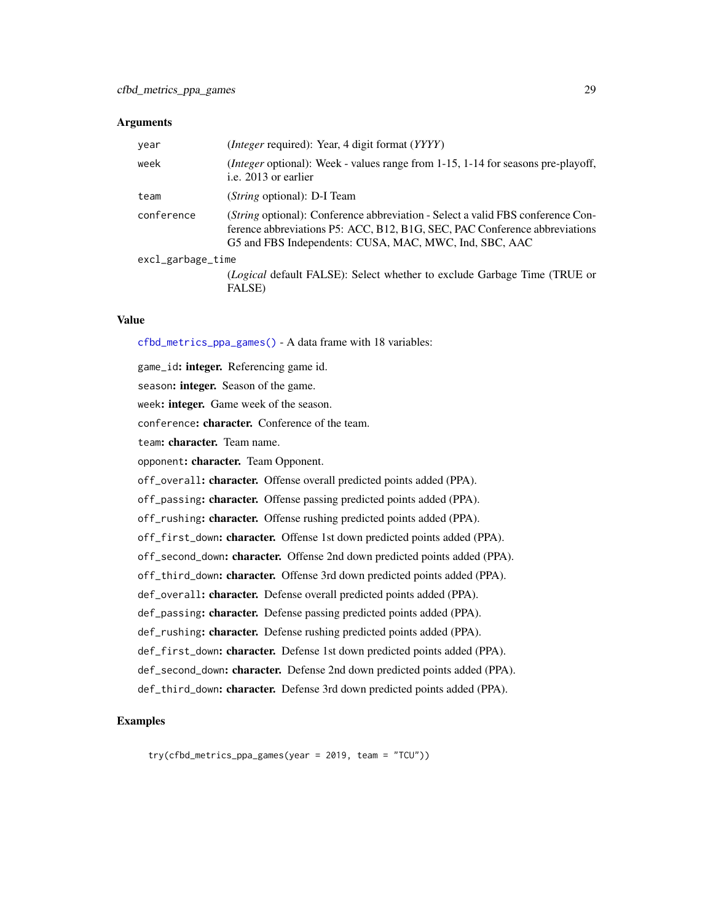#### **Arguments**

| year              | ( <i>Integer</i> required): Year, 4 digit format ( <i>YYYY</i> )                                                                                                                                                        |
|-------------------|-------------------------------------------------------------------------------------------------------------------------------------------------------------------------------------------------------------------------|
| week              | ( <i>Integer</i> optional): Week - values range from 1-15, 1-14 for seasons pre-playoff,<br>i.e. 2013 or earlier                                                                                                        |
| team              | ( <i>String</i> optional): D-I Team                                                                                                                                                                                     |
| conference        | (String optional): Conference abbreviation - Select a valid FBS conference Con-<br>ference abbreviations P5: ACC, B12, B1G, SEC, PAC Conference abbreviations<br>G5 and FBS Independents: CUSA, MAC, MWC, Ind, SBC, AAC |
| excl_garbage_time |                                                                                                                                                                                                                         |
|                   | ( <i>Logical</i> default FALSE): Select whether to exclude Garbage Time (TRUE or                                                                                                                                        |

#### Value

[cfbd\\_metrics\\_ppa\\_games\(\)](#page-27-1) - A data frame with 18 variables:

FALSE)

game\_id: integer. Referencing game id. season: integer. Season of the game. week: integer. Game week of the season. conference: character. Conference of the team. team: character. Team name. opponent: character. Team Opponent. off\_overall: character. Offense overall predicted points added (PPA). off\_passing: character. Offense passing predicted points added (PPA). off\_rushing: character. Offense rushing predicted points added (PPA). off\_first\_down: character. Offense 1st down predicted points added (PPA). off\_second\_down: character. Offense 2nd down predicted points added (PPA). off\_third\_down: character. Offense 3rd down predicted points added (PPA). def\_overall: character. Defense overall predicted points added (PPA). def\_passing: character. Defense passing predicted points added (PPA). def\_rushing: character. Defense rushing predicted points added (PPA). def\_first\_down: character. Defense 1st down predicted points added (PPA). def\_second\_down: character. Defense 2nd down predicted points added (PPA). def\_third\_down: character. Defense 3rd down predicted points added (PPA).

#### Examples

try(cfbd\_metrics\_ppa\_games(year = 2019, team = "TCU"))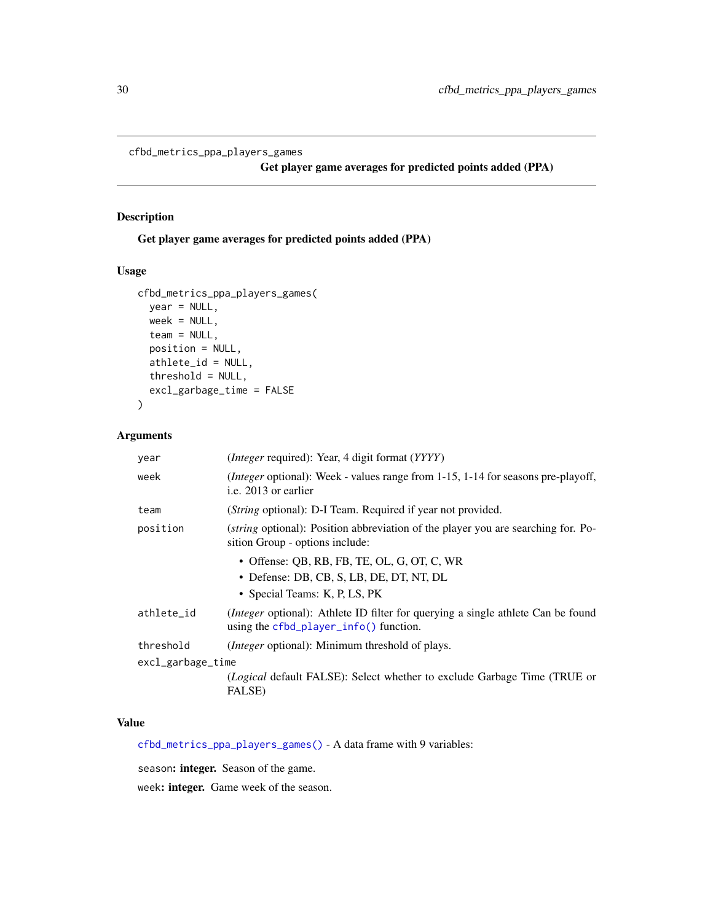<span id="page-29-1"></span><span id="page-29-0"></span>cfbd\_metrics\_ppa\_players\_games

Get player game averages for predicted points added (PPA)

# Description

Get player game averages for predicted points added (PPA)

# Usage

```
cfbd_metrics_ppa_players_games(
  year = NULL,
 week = NULL,team = NULL,
  position = NULL,
  athlete_id = NULL,
  threshold = NULL,
  excl_garbage_time = FALSE
)
```
# Arguments

| year              | ( <i>Integer</i> required): Year, 4 digit format ( <i>YYYY</i> )                                                              |  |  |  |
|-------------------|-------------------------------------------------------------------------------------------------------------------------------|--|--|--|
| week              | <i>(Integer optional)</i> : Week - values range from 1-15, 1-14 for seasons pre-playoff,<br>i.e. 2013 or earlier              |  |  |  |
| team              | (String optional): D-I Team. Required if year not provided.                                                                   |  |  |  |
| position          | ( <i>string</i> optional): Position abbreviation of the player you are searching for. Po-<br>sition Group - options include:  |  |  |  |
|                   | $\bullet$ Offense: OB, RB, FB, TE, OL, G, OT, C, WR                                                                           |  |  |  |
|                   | • Defense: DB, CB, S, LB, DE, DT, NT, DL                                                                                      |  |  |  |
|                   | • Special Teams: K, P, LS, PK                                                                                                 |  |  |  |
| athlete_id        | (Integer optional): Athlete ID filter for querying a single athlete Can be found<br>using the $cfbd$ -player-info() function. |  |  |  |
| threshold         | <i>(Integer optional):</i> Minimum threshold of plays.                                                                        |  |  |  |
| excl_garbage_time |                                                                                                                               |  |  |  |
|                   | ( <i>Logical</i> default FALSE): Select whether to exclude Garbage Time (TRUE or<br><b>FALSE</b> )                            |  |  |  |

# Value

[cfbd\\_metrics\\_ppa\\_players\\_games\(\)](#page-29-1) - A data frame with 9 variables:

season: integer. Season of the game.

week: integer. Game week of the season.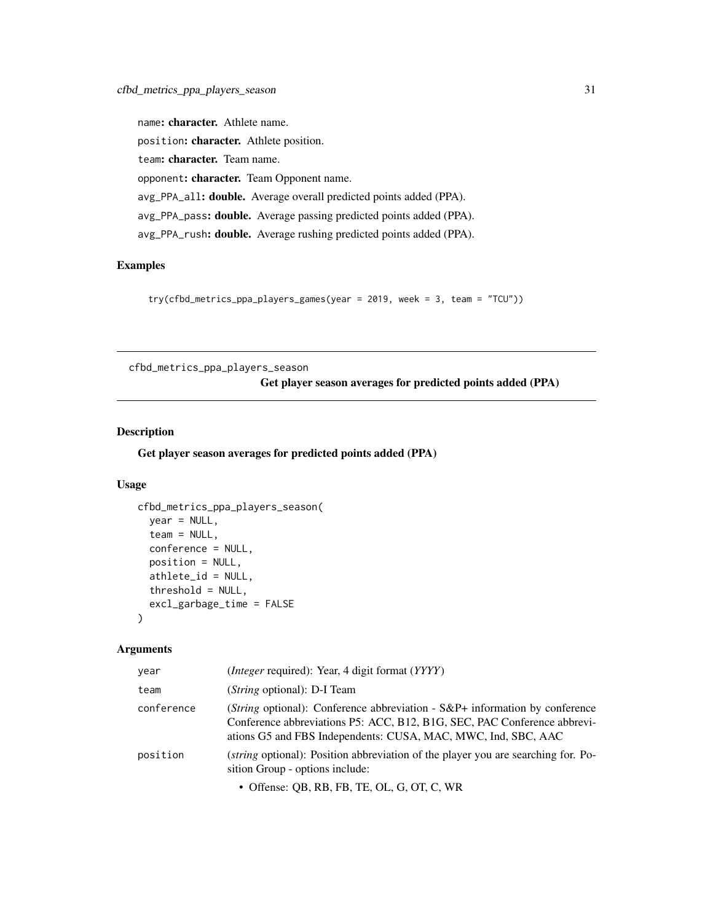<span id="page-30-0"></span>name: character. Athlete name. position: character. Athlete position. team: character. Team name. opponent: character. Team Opponent name. avg\_PPA\_all: double. Average overall predicted points added (PPA). avg\_PPA\_pass: double. Average passing predicted points added (PPA). avg\_PPA\_rush: double. Average rushing predicted points added (PPA).

## Examples

try(cfbd\_metrics\_ppa\_players\_games(year = 2019, week = 3, team = "TCU"))

<span id="page-30-1"></span>cfbd\_metrics\_ppa\_players\_season

Get player season averages for predicted points added (PPA)

# Description

Get player season averages for predicted points added (PPA)

# Usage

```
cfbd_metrics_ppa_players_season(
  year = NULL,
  \text{team} = \text{NULL},conference = NULL,
  position = NULL,
  athlete_id = NULL,
  threshold = NULL,
  excl_garbage_time = FALSE
\lambda
```
## Arguments

| year       | ( <i>Integer</i> required): Year, 4 digit format (YYYY)                                                                                                                                                                             |
|------------|-------------------------------------------------------------------------------------------------------------------------------------------------------------------------------------------------------------------------------------|
| team       | ( <i>String</i> optional): D-I Team                                                                                                                                                                                                 |
| conference | ( <i>String</i> optional): Conference abbreviation - $S\&P+$ information by conference<br>Conference abbreviations P5: ACC, B12, B1G, SEC, PAC Conference abbrevi-<br>ations G5 and FBS Independents: CUSA, MAC, MWC, Ind, SBC, AAC |
| position   | <i>(string optional):</i> Position abbreviation of the player you are searching for. Po-<br>sition Group - options include:                                                                                                         |
|            | • Offense: QB, RB, FB, TE, OL, G, OT, C, WR                                                                                                                                                                                         |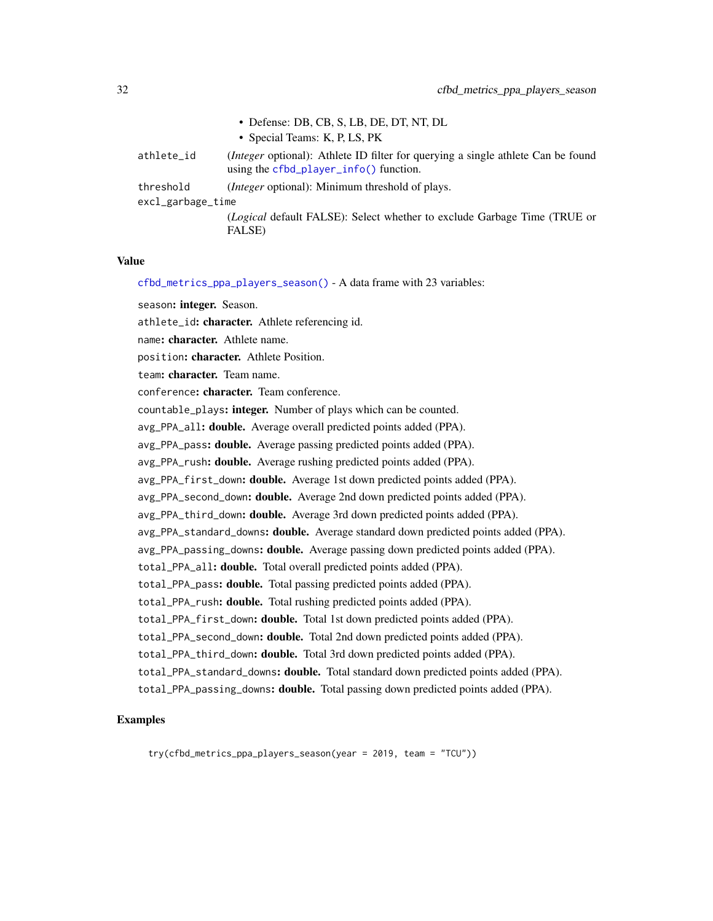|                   | • Defense: DB, CB, S, LB, DE, DT, NT, DL                                                                                           |
|-------------------|------------------------------------------------------------------------------------------------------------------------------------|
|                   | • Special Teams: K, P, LS, PK                                                                                                      |
| athlete_id        | <i>(Integer optional)</i> : Athlete ID filter for querying a single athlete Can be found<br>using the cfbd_player_info() function. |
| threshold         | (Integer optional): Minimum threshold of plays.                                                                                    |
| excl_garbage_time |                                                                                                                                    |
|                   | ( <i>Logical</i> default FALSE): Select whether to exclude Garbage Time (TRUE or                                                   |
|                   | FALSE)                                                                                                                             |

#### Value

[cfbd\\_metrics\\_ppa\\_players\\_season\(\)](#page-30-1) - A data frame with 23 variables:

season: integer. Season.

athlete\_id: character. Athlete referencing id.

name: character. Athlete name.

position: character. Athlete Position.

team: character. Team name.

conference: character. Team conference.

countable\_plays: integer. Number of plays which can be counted.

avg\_PPA\_all: double. Average overall predicted points added (PPA).

avg\_PPA\_pass: double. Average passing predicted points added (PPA).

avg\_PPA\_rush: **double.** Average rushing predicted points added (PPA).

avg\_PPA\_first\_down: double. Average 1st down predicted points added (PPA).

avg\_PPA\_second\_down: **double.** Average 2nd down predicted points added (PPA).

avg\_PPA\_third\_down: **double.** Average 3rd down predicted points added (PPA).

avg\_PPA\_standard\_downs: double. Average standard down predicted points added (PPA).

avg\_PPA\_passing\_downs: double. Average passing down predicted points added (PPA).

total\_PPA\_all: double. Total overall predicted points added (PPA).

total\_PPA\_pass: double. Total passing predicted points added (PPA).

total\_PPA\_rush: double. Total rushing predicted points added (PPA).

total\_PPA\_first\_down: double. Total 1st down predicted points added (PPA).

total\_PPA\_second\_down: double. Total 2nd down predicted points added (PPA).

total\_PPA\_third\_down: double. Total 3rd down predicted points added (PPA).

total\_PPA\_standard\_downs: double. Total standard down predicted points added (PPA).

total\_PPA\_passing\_downs: double. Total passing down predicted points added (PPA).

## Examples

try(cfbd\_metrics\_ppa\_players\_season(year = 2019, team = "TCU"))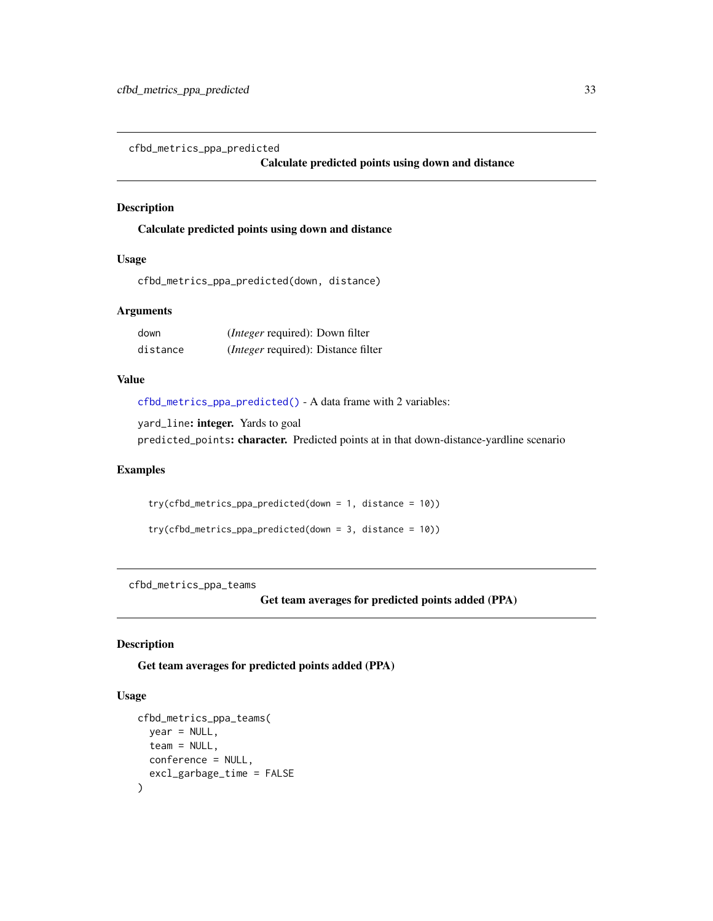<span id="page-32-1"></span><span id="page-32-0"></span>cfbd\_metrics\_ppa\_predicted

#### Calculate predicted points using down and distance

## Description

Calculate predicted points using down and distance

# Usage

```
cfbd_metrics_ppa_predicted(down, distance)
```
#### Arguments

| down     | ( <i>Integer</i> required): Down filter    |
|----------|--------------------------------------------|
| distance | <i>(Integer required): Distance filter</i> |

## Value

[cfbd\\_metrics\\_ppa\\_predicted\(\)](#page-32-1) - A data frame with 2 variables:

yard\_line: integer. Yards to goal predicted\_points: character. Predicted points at in that down-distance-yardline scenario

#### Examples

try(cfbd\_metrics\_ppa\_predicted(down = 1, distance = 10)) try(cfbd\_metrics\_ppa\_predicted(down = 3, distance = 10))

<span id="page-32-2"></span>cfbd\_metrics\_ppa\_teams

Get team averages for predicted points added (PPA)

#### Description

Get team averages for predicted points added (PPA)

#### Usage

```
cfbd_metrics_ppa_teams(
 year = NULL,
  team = NULL,conference = NULL,
  excl_garbage_time = FALSE
)
```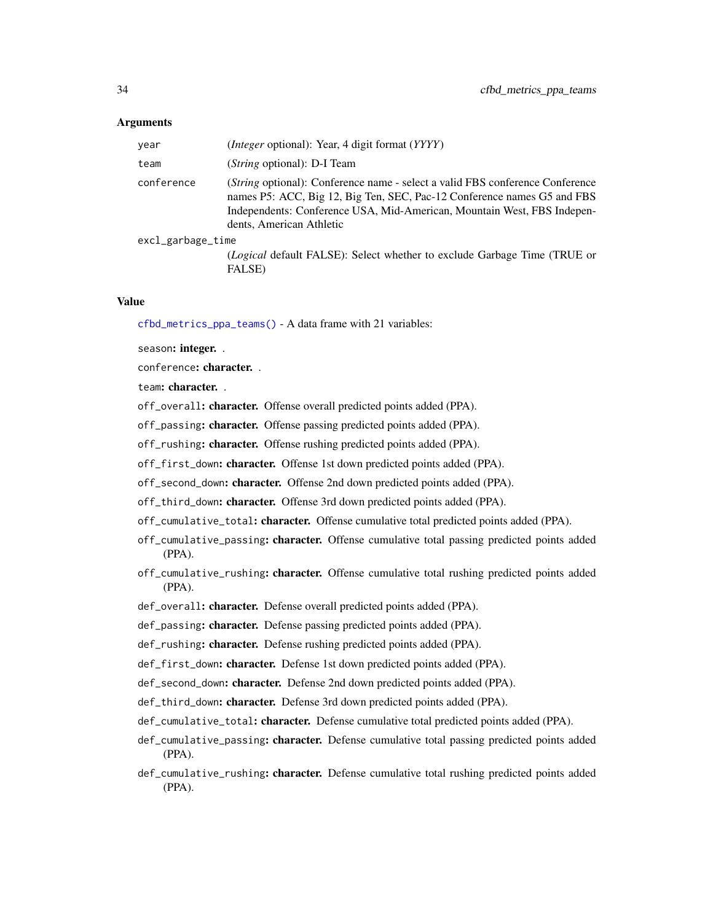#### Arguments

| year              | ( <i>Integer</i> optional): Year, 4 digit format (YYYY)                                                                                                                                                                                                         |
|-------------------|-----------------------------------------------------------------------------------------------------------------------------------------------------------------------------------------------------------------------------------------------------------------|
| team              | ( <i>String</i> optional): D-I Team                                                                                                                                                                                                                             |
| conference        | (String optional): Conference name - select a valid FBS conference Conference<br>names P5: ACC, Big 12, Big Ten, SEC, Pac-12 Conference names G5 and FBS<br>Independents: Conference USA, Mid-American, Mountain West, FBS Indepen-<br>dents, American Athletic |
| excl_garbage_time |                                                                                                                                                                                                                                                                 |
|                   | <i>(Logical default FALSE): Select whether to exclude Garbage Time (TRUE or</i><br><b>FALSE</b> )                                                                                                                                                               |

#### Value

[cfbd\\_metrics\\_ppa\\_teams\(\)](#page-32-2) - A data frame with 21 variables:

season: integer. .

conference: character. .

team: character. .

off\_overall: character. Offense overall predicted points added (PPA).

off\_passing: character. Offense passing predicted points added (PPA).

off\_rushing: character. Offense rushing predicted points added (PPA).

off\_first\_down: character. Offense 1st down predicted points added (PPA).

off\_second\_down: character. Offense 2nd down predicted points added (PPA).

off\_third\_down: character. Offense 3rd down predicted points added (PPA).

- off\_cumulative\_total: character. Offense cumulative total predicted points added (PPA).
- off\_cumulative\_passing: character. Offense cumulative total passing predicted points added (PPA).
- off\_cumulative\_rushing: character. Offense cumulative total rushing predicted points added (PPA).
- def\_overall: character. Defense overall predicted points added (PPA).
- def\_passing: character. Defense passing predicted points added (PPA).
- def\_rushing: character. Defense rushing predicted points added (PPA).

def\_first\_down: character. Defense 1st down predicted points added (PPA).

def\_second\_down: character. Defense 2nd down predicted points added (PPA).

- def\_third\_down: character. Defense 3rd down predicted points added (PPA).
- def\_cumulative\_total: character. Defense cumulative total predicted points added (PPA).
- def\_cumulative\_passing: character. Defense cumulative total passing predicted points added (PPA).
- def\_cumulative\_rushing: character. Defense cumulative total rushing predicted points added (PPA).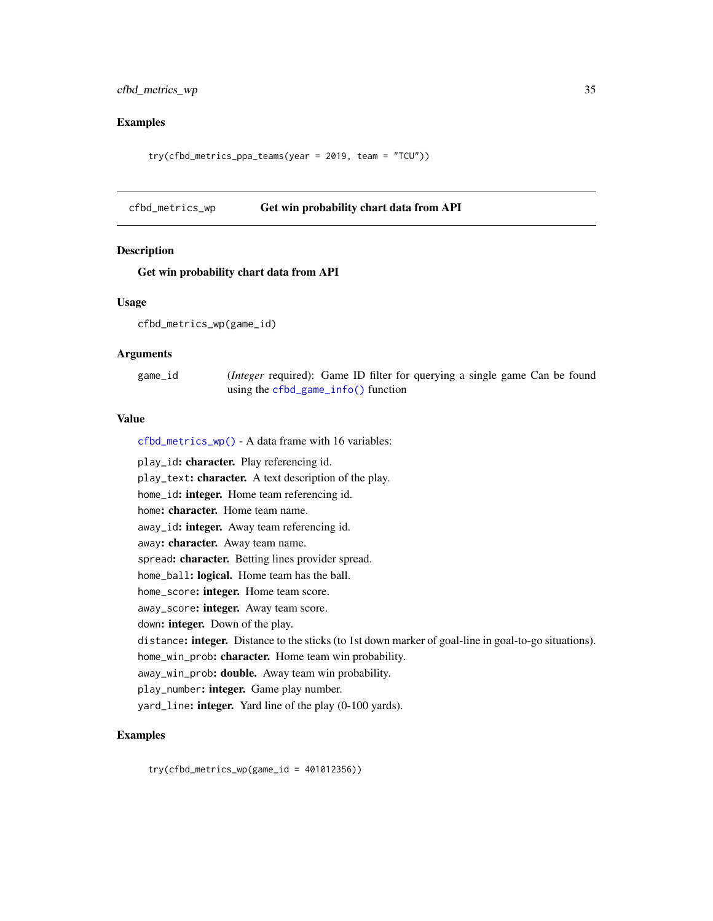# <span id="page-34-0"></span>cfbd\_metrics\_wp 35

# Examples

try(cfbd\_metrics\_ppa\_teams(year = 2019, team = "TCU"))

#### <span id="page-34-1"></span>cfbd\_metrics\_wp Get win probability chart data from API

## Description

#### Get win probability chart data from API

#### Usage

```
cfbd_metrics_wp(game_id)
```
## Arguments

| game_id | ( <i>Integer</i> required): Game ID filter for querying a single game Can be found |  |  |  |  |
|---------|------------------------------------------------------------------------------------|--|--|--|--|
|         | using the $cfbd_game_info()$ function                                              |  |  |  |  |

## Value

[cfbd\\_metrics\\_wp\(\)](#page-34-1) - A data frame with 16 variables:

play\_id: character. Play referencing id. play\_text: character. A text description of the play. home\_id: integer. Home team referencing id. home: character. Home team name. away\_id: integer. Away team referencing id. away: character. Away team name. spread: character. Betting lines provider spread. home\_ball: logical. Home team has the ball. home\_score: integer. Home team score. away\_score: integer. Away team score. down: integer. Down of the play. distance: integer. Distance to the sticks (to 1st down marker of goal-line in goal-to-go situations). home\_win\_prob: character. Home team win probability. away\_win\_prob: double. Away team win probability. play\_number: integer. Game play number. yard\_line: **integer.** Yard line of the play (0-100 yards).

# Examples

try(cfbd\_metrics\_wp(game\_id = 401012356))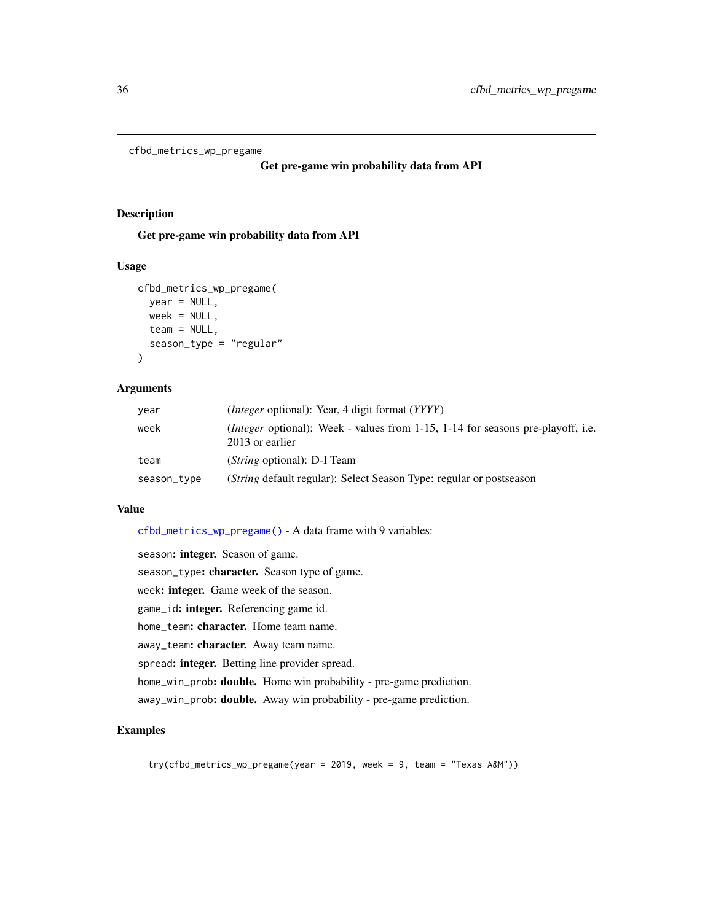```
cfbd_metrics_wp_pregame
```

```
Get pre-game win probability data from API
```
## Description

Get pre-game win probability data from API

#### Usage

```
cfbd_metrics_wp_pregame(
  year = NULL,
 week = NULL,team = NULL,
  season_type = "regular"
)
```
#### Arguments

| year        | ( <i>Integer</i> optional): Year, 4 digit format ( <i>YYYY</i> )                                               |
|-------------|----------------------------------------------------------------------------------------------------------------|
| week        | <i>(Integer</i> optional): Week - values from $1-15$ , $1-14$ for seasons pre-playoff, i.e.<br>2013 or earlier |
| team        | ( <i>String</i> optional): D-I Team                                                                            |
| season_type | ( <i>String</i> default regular): Select Season Type: regular or postseason                                    |

#### Value

[cfbd\\_metrics\\_wp\\_pregame\(\)](#page-35-1) - A data frame with 9 variables:

season: integer. Season of game. season\_type: character. Season type of game. week: integer. Game week of the season. game\_id: integer. Referencing game id. home\_team: character. Home team name. away\_team: character. Away team name. spread: integer. Betting line provider spread. home\_win\_prob: double. Home win probability - pre-game prediction. away\_win\_prob: double. Away win probability - pre-game prediction.

# Examples

try(cfbd\_metrics\_wp\_pregame(year = 2019, week = 9, team = "Texas A&M"))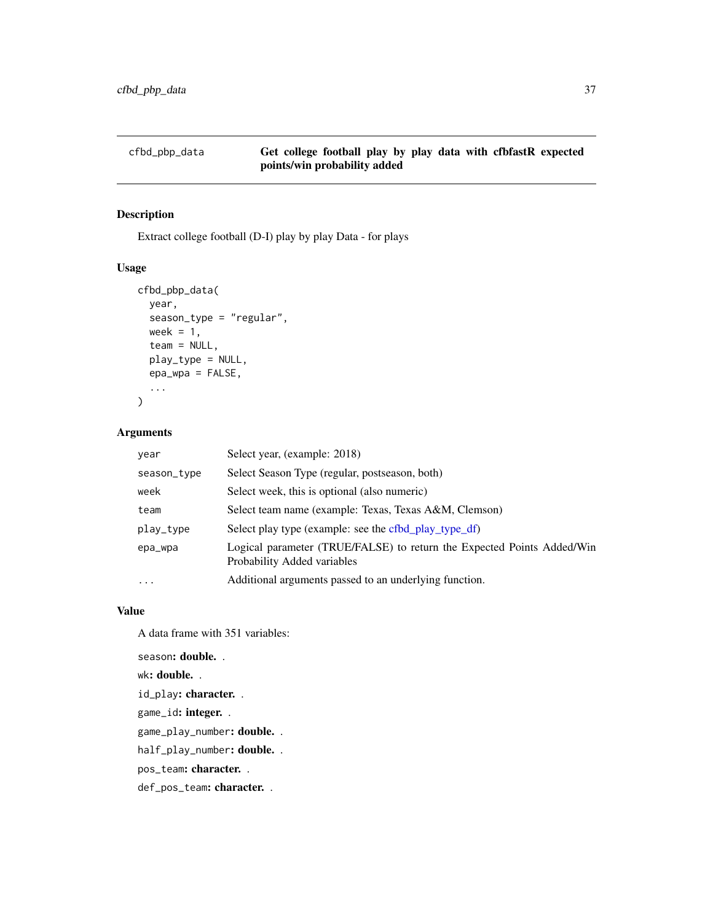# cfbd\_pbp\_data Get college football play by play data with cfbfastR expected points/win probability added

## Description

Extract college football (D-I) play by play Data - for plays

# Usage

```
cfbd_pbp_data(
 year,
  season_type = "regular",
 week = 1,
  team = NULL,
 play_type = NULL,
 epa_wpa = FALSE,
  ...
)
```
## Arguments

| year              | Select year, (example: 2018)                                                                          |
|-------------------|-------------------------------------------------------------------------------------------------------|
| season_type       | Select Season Type (regular, postseason, both)                                                        |
| week              | Select week, this is optional (also numeric)                                                          |
| team              | Select team name (example: Texas, Texas A&M, Clemson)                                                 |
| play_type         | Select play type (example: see the cfbd_play_type_df)                                                 |
| epa_wpa           | Logical parameter (TRUE/FALSE) to return the Expected Points Added/Win<br>Probability Added variables |
| $\cdot\cdot\cdot$ | Additional arguments passed to an underlying function.                                                |

### Value

A data frame with 351 variables:

season: double. . wk: double. . id\_play: character. . game\_id: integer. . game\_play\_number: double. . half\_play\_number: double. .

pos\_team: character. .

def\_pos\_team: character. .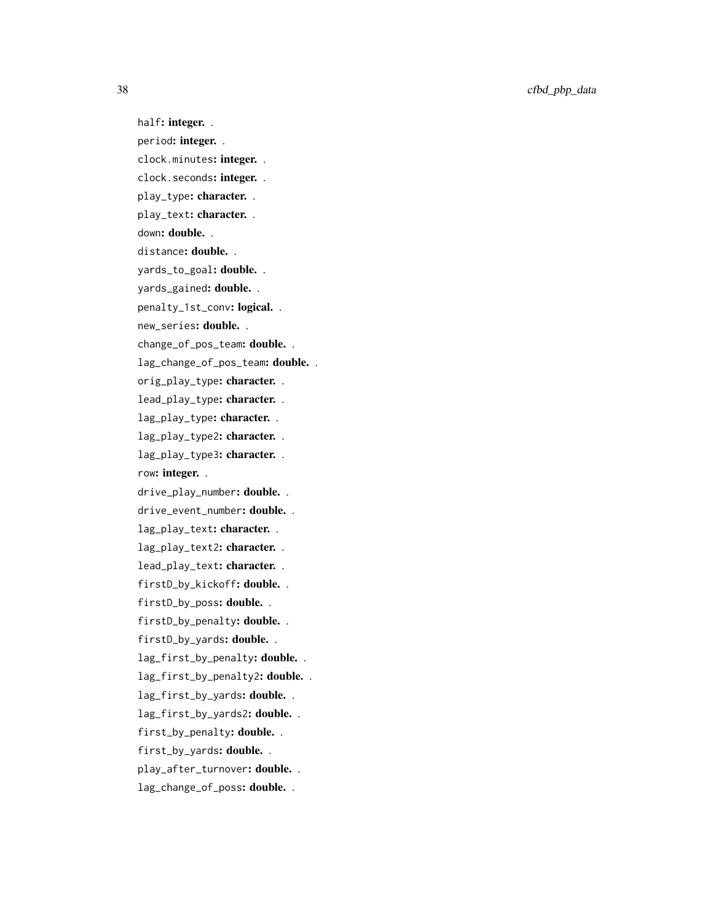38 cfbd\_pbp\_data

half: integer.. period: integer.. clock.minutes: integer.. clock.seconds: integer.. play\_type: character.. play\_text: character.. down: double. . distance: double. . yards\_to\_goal: double. . yards\_gained: **double.** . penalty\_1st\_conv: logical.. new\_series**: double.** . change\_of\_pos\_team: double. . lag\_change\_of\_pos\_team: double. . orig\_play\_type: character.. lead\_play\_type: character.. lag\_play\_type: character.. lag\_play\_type2: character. . lag\_play\_type3: character. . row: integer. . drive\_play\_number: double.. drive\_event\_number: double.. lag\_play\_text: character. . lag\_play\_text2: character. . lead\_play\_text: character. . firstD\_by\_kickoff: double. . firstD\_by\_poss: double. . firstD\_by\_penalty: double.. firstD\_by\_yards: double.. lag\_first\_by\_penalty: double. . lag\_first\_by\_penalty2: double. . lag\_first\_by\_yards: double. . lag\_first\_by\_yards2: double.. first\_by\_penalty: double.. first\_by\_yards: double.. play\_after\_turnover: double.. lag\_change\_of\_poss: double. .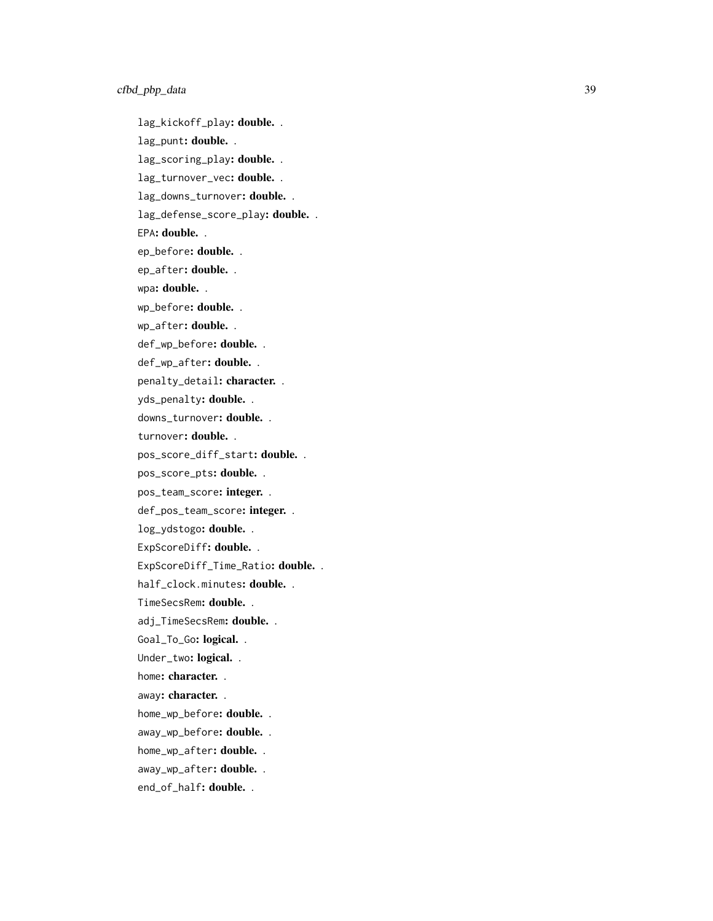lag\_kickoff\_play: double. . lag\_punt: double. . lag\_scoring\_play: double. . lag\_turnover\_vec: double.. lag\_downs\_turnover: double.. lag\_defense\_score\_play: double. . EPA: double. . ep\_before: **double.**. ep\_after: double.. wpa: double. . wp\_before: double. . wp\_after: double. . def\_wp\_before: **double.** . def\_wp\_after: double.. penalty\_detail: character.. yds\_penalty: double.. downs\_turnover: double. . turnover: double. . pos\_score\_diff\_start: double. . pos\_score\_pts: double. . pos\_team\_score: integer. . def\_pos\_team\_score: integer. . log\_ydstogo: double.. ExpScoreDiff: **double.** . ExpScoreDiff\_Time\_Ratio: double.. half\_clock.minutes: **double.** . TimeSecsRem: **double.**. adj\_TimeSecsRem: double. . Goal\_To\_Go: logical. . Under\_two: logical. . home: character. . away: character. . home\_wp\_before: double. . away\_wp\_before: double. . home\_wp\_after: double. . away\_wp\_after: double. . end\_of\_half: double..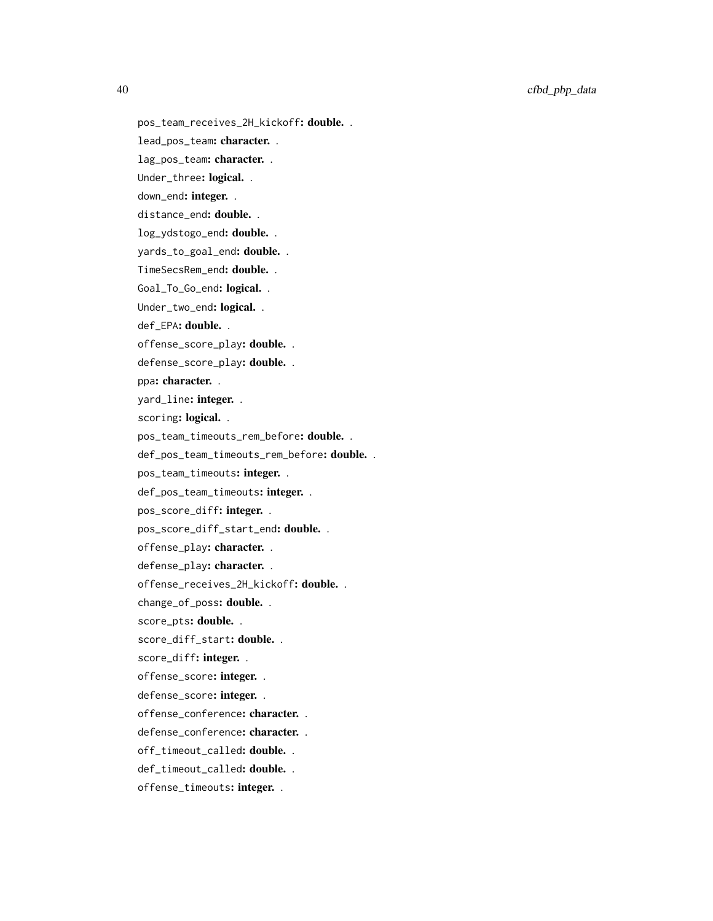40 cfbd\_pbp\_data

pos\_team\_receives\_2H\_kickoff: double. .

lead\_pos\_team: character. .

lag\_pos\_team: character. .

Under\_three: logical. .

down\_end: integer. .

distance\_end: double. .

log\_ydstogo\_end: double. .

yards\_to\_goal\_end: double. .

TimeSecsRem\_end: double. .

Goal\_To\_Go\_end: logical. .

Under\_two\_end: logical. .

def\_EPA: double. .

offense\_score\_play: double. .

defense\_score\_play: double. .

ppa: character. .

yard\_line: integer. .

scoring: logical..

pos\_team\_timeouts\_rem\_before: double. .

def\_pos\_team\_timeouts\_rem\_before: double. .

pos\_team\_timeouts: integer. .

def\_pos\_team\_timeouts: integer. .

pos\_score\_diff: integer. .

pos\_score\_diff\_start\_end: double. .

offense\_play: character. .

defense\_play: character. .

offense\_receives\_2H\_kickoff: double. .

change\_of\_poss: double. .

score\_pts: double. .

score\_diff\_start: double. .

score\_diff: integer. .

offense\_score: integer. .

defense\_score: integer. .

offense\_conference: character. .

defense\_conference: character. .

off\_timeout\_called: double. .

def\_timeout\_called: double. .

offense\_timeouts: integer. .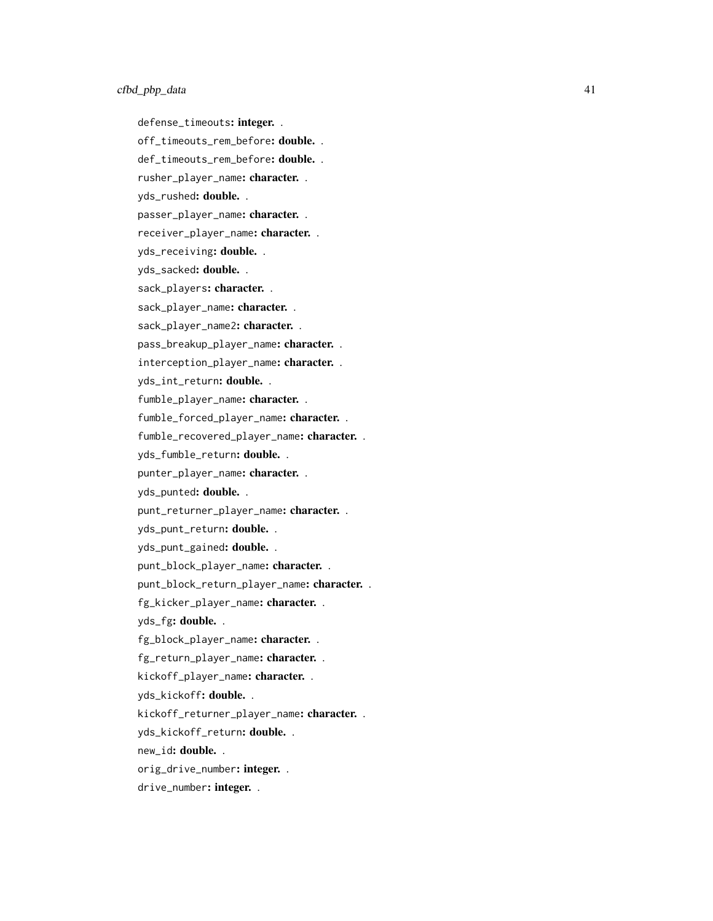defense\_timeouts: integer. .

off\_timeouts\_rem\_before: double. .

def\_timeouts\_rem\_before: double. .

rusher\_player\_name: character. .

yds\_rushed: double. .

passer\_player\_name: character. .

receiver\_player\_name: character. .

yds\_receiving: double. .

yds\_sacked: double. .

sack\_players: character. .

sack\_player\_name: character. .

sack\_player\_name2: character. .

pass\_breakup\_player\_name: character. .

interception\_player\_name: character. .

yds\_int\_return: double. .

fumble\_player\_name: character. .

fumble\_forced\_player\_name: character. .

fumble\_recovered\_player\_name: character. .

yds\_fumble\_return: double. .

punter\_player\_name: character. .

yds\_punted: double. .

punt\_returner\_player\_name: character. .

yds\_punt\_return: double. .

yds\_punt\_gained: double. .

punt\_block\_player\_name: character. .

punt\_block\_return\_player\_name: character. .

fg\_kicker\_player\_name: character. .

yds\_fg: double. .

fg\_block\_player\_name: character. .

fg\_return\_player\_name: character. .

kickoff\_player\_name: character. .

yds\_kickoff: double. .

kickoff\_returner\_player\_name: character. .

yds\_kickoff\_return: double. .

new\_id: double. .

orig\_drive\_number: integer. .

drive\_number: integer. .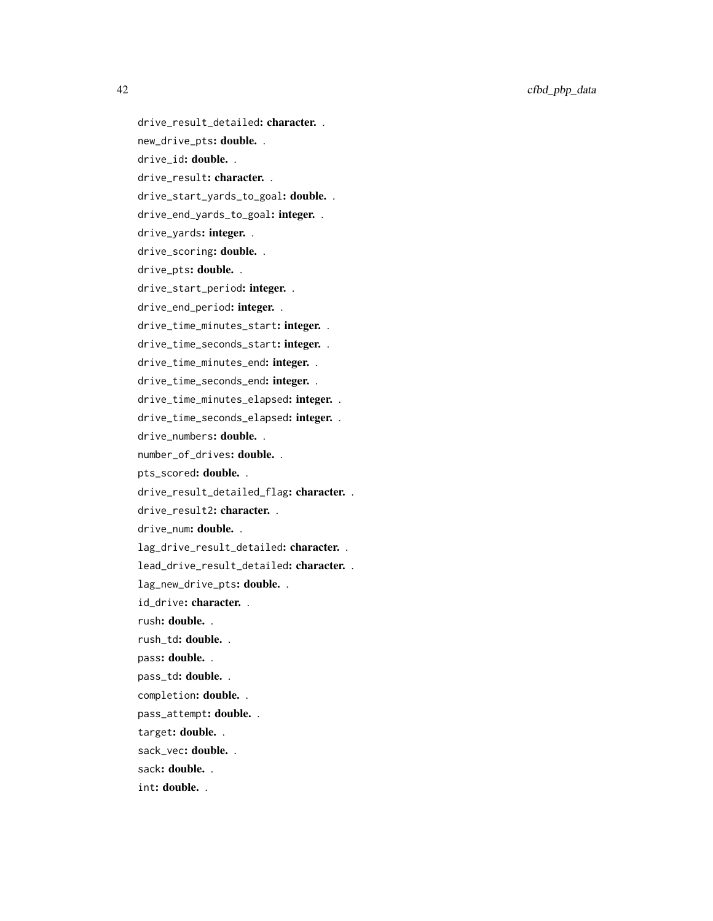42 cfbd\_pbp\_data

drive\_result\_detailed: character. . new\_drive\_pts: double. . drive\_id: double. . drive\_result: character. . drive\_start\_yards\_to\_goal: double. . drive\_end\_yards\_to\_goal: integer. . drive\_yards: integer. . drive\_scoring: double. . drive\_pts: double. . drive\_start\_period: integer. . drive\_end\_period: integer. . drive\_time\_minutes\_start: integer. . drive\_time\_seconds\_start: integer. . drive\_time\_minutes\_end: integer. . drive\_time\_seconds\_end: integer. . drive\_time\_minutes\_elapsed: integer. . drive\_time\_seconds\_elapsed: integer. . drive\_numbers: double. . number\_of\_drives: double. . pts\_scored: double. . drive\_result\_detailed\_flag: character. . drive\_result2: character.. drive\_num: double. . lag\_drive\_result\_detailed: character. . lead\_drive\_result\_detailed: character. . lag\_new\_drive\_pts: double. . id\_drive: character. . rush: double. . rush\_td: double. . pass: double. . pass\_td: double. . completion: double. . pass\_attempt: double. . target: double. . sack\_vec: double. . sack: double. .

int: double. .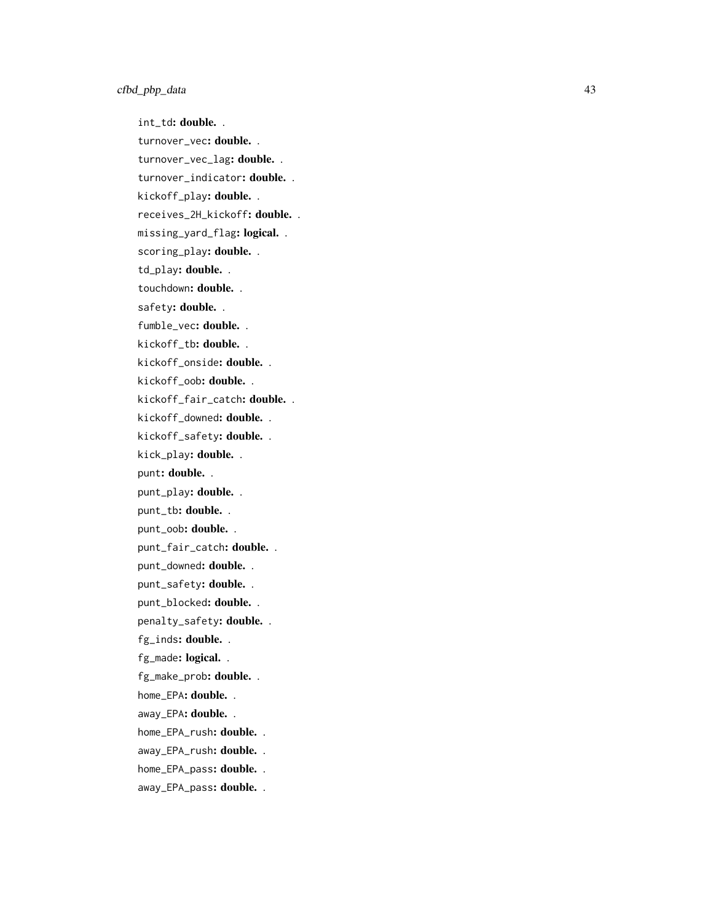int\_td: double. . turnover\_vec: double. . turnover\_vec\_lag: double. . turnover\_indicator: double. . kickoff\_play: double.. receives\_2H\_kickoff: double. . missing\_yard\_flag**: logical.** . scoring\_play: double. . td\_play: double. . touchdown: double. . safety: double. . fumble\_vec: double. . kickoff\_tb**: double.** . kickoff\_onside: **double.** . kickoff\_oob**: double.** . kickoff\_fair\_catch: **double.** . kickoff\_downed: **double.** . kickoff\_safety: **double.** . kick\_play: double.. punt: double. . punt\_play: double. . punt\_tb: double. . punt\_oob: double. . punt\_fair\_catch: **double.** . punt\_downed: double. . punt\_safety: double. . punt\_blocked: double. . penalty\_safety: double. . fg\_inds: double. . fg\_made: logical. . fg\_make\_prob: double. . home\_EPA: **double.** . away\_EPA: double. . home\_EPA\_rush: **double.** . away\_EPA\_rush: double. . home\_EPA\_pass: double. . away\_EPA\_pass: double. .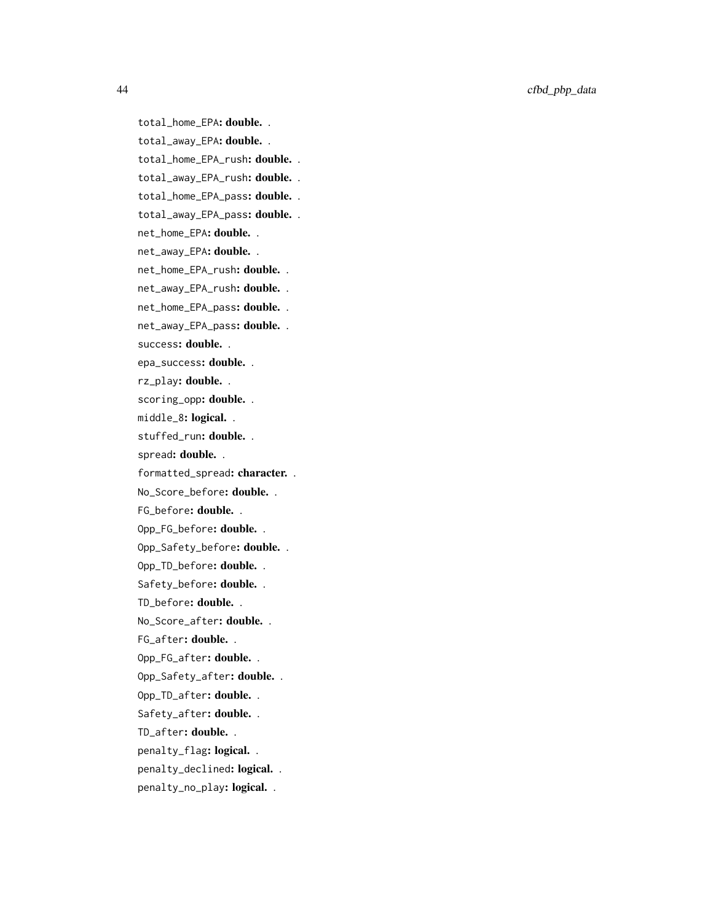total\_home\_EPA: double. . total\_away\_EPA: double. . total\_home\_EPA\_rush: double. . total\_away\_EPA\_rush: double. . total\_home\_EPA\_pass: double. . total\_away\_EPA\_pass: double. . net\_home\_EPA: double. . net\_away\_EPA: double. . net\_home\_EPA\_rush: double. . net\_away\_EPA\_rush: **double.**. net\_home\_EPA\_pass: double. . net\_away\_EPA\_pass: double.. success: double. . epa\_success: double. . rz\_play: double. . scoring\_opp: double.. middle\_8: logical.. stuffed\_run: double. . spread: double. . formatted\_spread: character. . No\_Score\_before: **double.**. FG\_before: double. . Opp\_FG\_before: double. . Opp\_Safety\_before: double. . Opp\_TD\_before: double. . Safety\_before: double. . TD\_before: double. . No\_Score\_after: **double.** . FG\_after: double. . Opp\_FG\_after: double. . Opp\_Safety\_after: double. . Opp\_TD\_after: double. . Safety\_after: double.. TD\_after: double. . penalty\_flag: logical.. penalty\_declined: logical. . penalty\_no\_play: logical..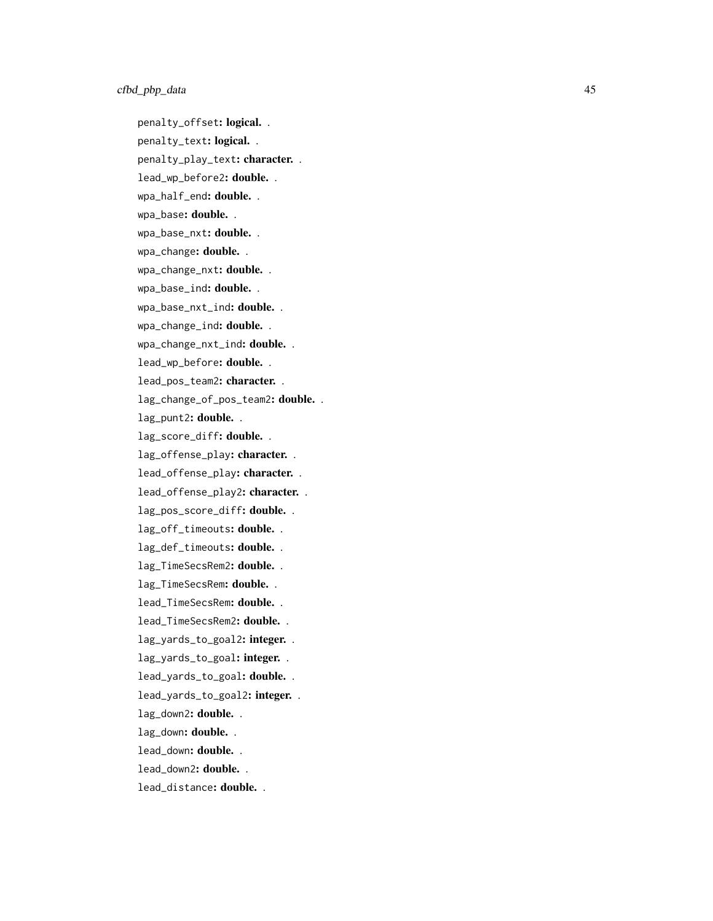penalty\_offset: logical.. penalty\_text: logical. . penalty\_play\_text: character.. lead\_wp\_before2: double. . wpa\_half\_end: **double.** . wpa\_base: double. . wpa\_base\_nxt**: double.** . wpa\_change: **double.** . wpa\_change\_nxt: **double.** . wpa\_base\_ind**: double.** . wpa\_base\_nxt\_ind: double. . wpa\_change\_ind: **double.** . wpa\_change\_nxt\_ind: **double.**. lead\_wp\_before: double. . lead\_pos\_team2: character. . lag\_change\_of\_pos\_team2: double. . lag\_punt2: double. . lag\_score\_diff: double.. lag\_offense\_play: character.. lead\_offense\_play: character.. lead\_offense\_play2: character. . lag\_pos\_score\_diff: double.. lag\_off\_timeouts: double.. lag\_def\_timeouts: double.. lag\_TimeSecsRem2: double. . lag\_TimeSecsRem: double. . lead\_TimeSecsRem: double.. lead\_TimeSecsRem2: double.. lag\_yards\_to\_goal2: integer. . lag\_yards\_to\_goal: integer. . lead\_yards\_to\_goal: double. . lead\_yards\_to\_goal2: integer. . lag\_down2: double. . lag\_down: double. . lead\_down: double. . lead\_down2: double. . lead\_distance: double..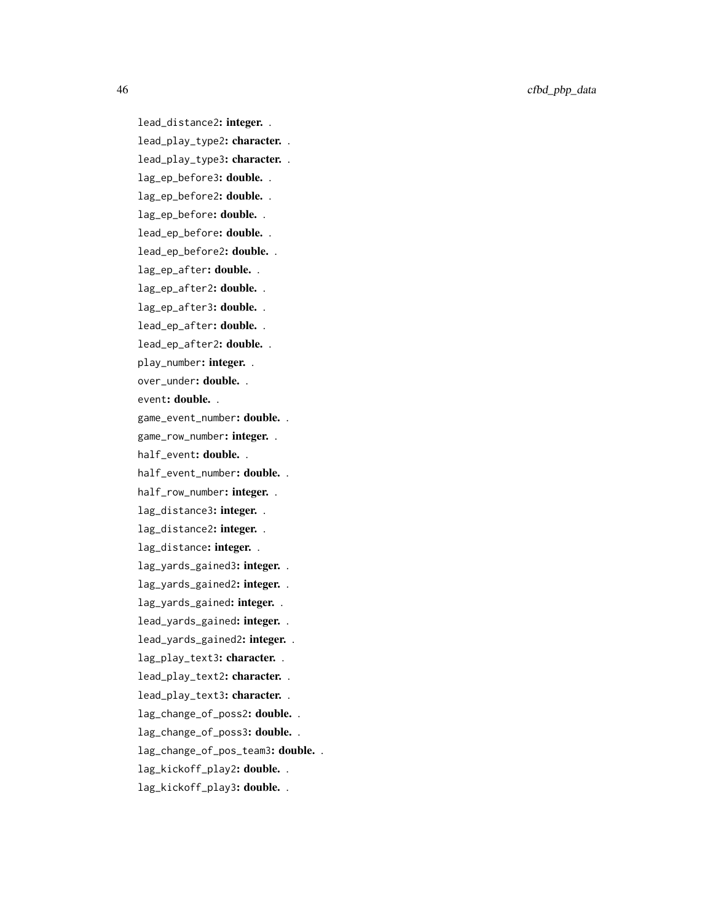46 cfbd\_pbp\_data

lead\_distance2: integer. . lead\_play\_type2: character. . lead\_play\_type3: character. . lag\_ep\_before3: double. . lag\_ep\_before2: double. . lag\_ep\_before: double. . lead\_ep\_before: double. . lead\_ep\_before2: double. . lag\_ep\_after: double. . lag\_ep\_after2: double. . lag\_ep\_after3: double. . lead\_ep\_after: double. . lead\_ep\_after2: double. . play\_number: integer. . over\_under: double. . event: double. . game\_event\_number: double. . game\_row\_number: integer. . half\_event: double. . half\_event\_number: double. . half\_row\_number: integer. . lag\_distance3: integer. . lag\_distance2: integer. . lag\_distance: integer. . lag\_yards\_gained3: integer. . lag\_yards\_gained2: integer. . lag\_yards\_gained: integer. . lead\_yards\_gained: integer. . lead\_yards\_gained2: integer. . lag\_play\_text3: character. . lead\_play\_text2: character. . lead\_play\_text3: character. . lag\_change\_of\_poss2: double. . lag\_change\_of\_poss3: double. . lag\_change\_of\_pos\_team3: double. . lag\_kickoff\_play2: double. . lag\_kickoff\_play3: double. .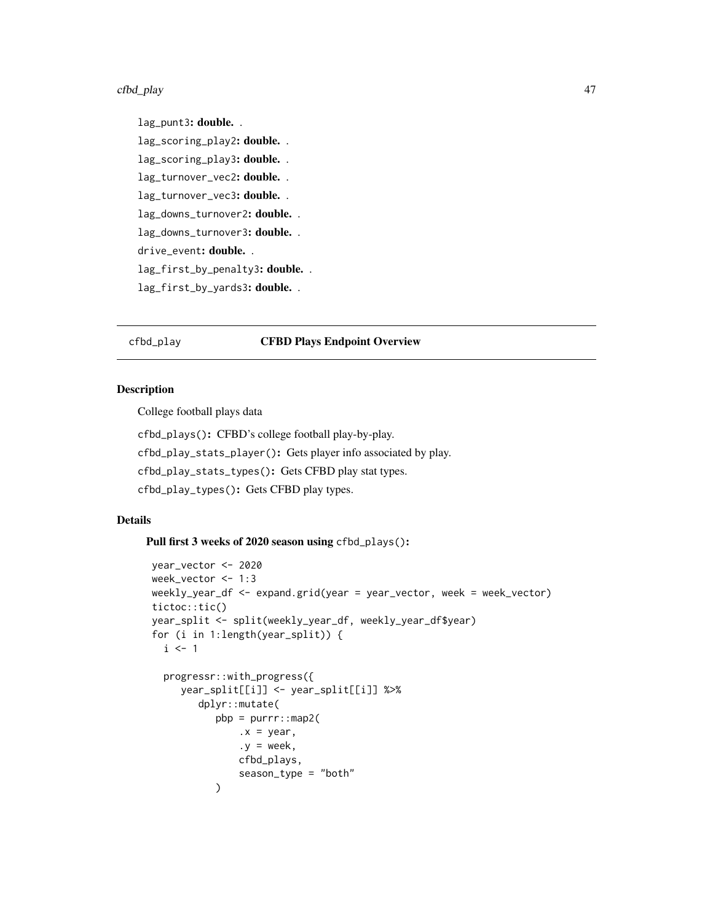#### cfbd\_play and the control of the control of the control of the control of the control of the control of the control of the control of the control of the control of the control of the control of the control of the control o

lag\_punt3: double. . lag\_scoring\_play2: double. . lag\_scoring\_play3: double. . lag\_turnover\_vec2: double. . lag\_turnover\_vec3: double. . lag\_downs\_turnover2: double. . lag\_downs\_turnover3: double. . drive\_event: double. . lag\_first\_by\_penalty3: double. . lag\_first\_by\_yards3: double. .

### cfbd\_play CFBD Plays Endpoint Overview

### **Description**

College football plays data

cfbd\_plays(): CFBD's college football play-by-play. cfbd\_play\_stats\_player(): Gets player info associated by play. cfbd\_play\_stats\_types(): Gets CFBD play stat types. cfbd\_play\_types(): Gets CFBD play types.

## Details

Pull first 3 weeks of 2020 season using cfbd\_plays():

```
year_vector <- 2020
week_vector <- 1:3
weekly_year_df <- expand.grid(year = year_vector, week = week_vector)
tictoc::tic()
year_split <- split(weekly_year_df, weekly_year_df$year)
for (i in 1:length(year_split)) {
 i \leq -1progressr::with_progress({
     year_split[[i]] <- year_split[[i]] %>%
        dplyr::mutate(
           pbp = purrr::map2(.x = year,
               y = week.
               cfbd_plays,
               season_type = "both"
           )
```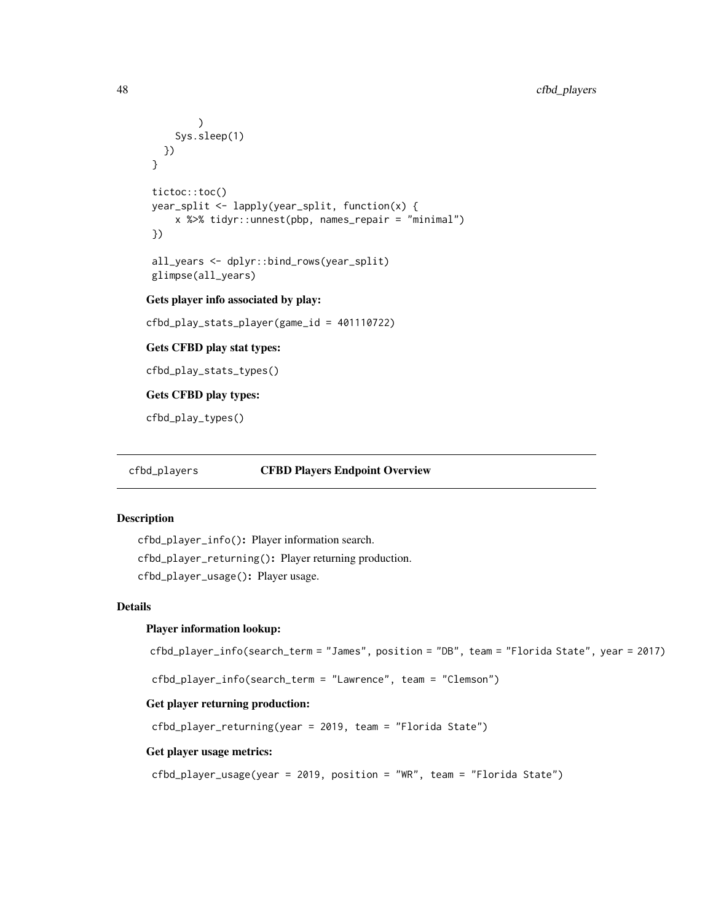```
)
     Sys.sleep(1)
  })
 }
 tictoc::toc()
 year_split <- lapply(year_split, function(x) {
     x %>% tidyr::unnest(pbp, names_repair = "minimal")
 })
 all_years <- dplyr::bind_rows(year_split)
 glimpse(all_years)
Gets player info associated by play:
cfbd_play_stats_player(game_id = 401110722)
```
Gets CFBD play stat types:

cfbd\_play\_stats\_types()

Gets CFBD play types:

cfbd\_play\_types()

cfbd\_players CFBD Players Endpoint Overview

### Description

```
cfbd_player_info(): Player information search.
cfbd_player_returning(): Player returning production.
cfbd_player_usage(): Player usage.
```
### Details

### Player information lookup:

```
cfbd_player_info(search_term = "James", position = "DB", team = "Florida State", year = 2017)
```
cfbd\_player\_info(search\_term = "Lawrence", team = "Clemson")

### Get player returning production:

cfbd\_player\_returning(year = 2019, team = "Florida State")

#### Get player usage metrics:

cfbd\_player\_usage(year = 2019, position = "WR", team = "Florida State")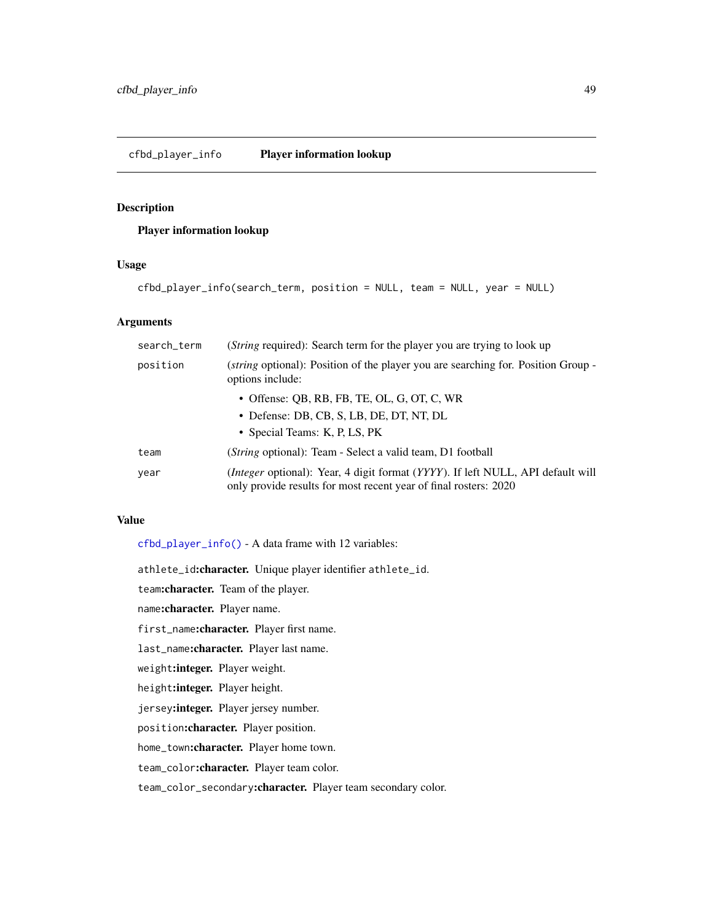## <span id="page-48-0"></span>Player information lookup

### Usage

```
cfbd_player_info(search_term, position = NULL, team = NULL, year = NULL)
```
### Arguments

| search_term | ( <i>String</i> required): Search term for the player you are trying to look up                                                                            |
|-------------|------------------------------------------------------------------------------------------------------------------------------------------------------------|
| position    | ( <i>string</i> optional): Position of the player you are searching for. Position Group -<br>options include:                                              |
|             | • Offense: OB, RB, FB, TE, OL, G, OT, C, WR                                                                                                                |
|             | • Defense: DB, CB, S, LB, DE, DT, NT, DL                                                                                                                   |
|             | • Special Teams: K, P, LS, PK                                                                                                                              |
| team        | ( <i>String</i> optional): Team - Select a valid team, D1 football                                                                                         |
| year        | <i>(Integer optional): Year, 4 digit format (YYYY). If left NULL, API default will</i><br>only provide results for most recent year of final rosters: 2020 |

## Value

[cfbd\\_player\\_info\(\)](#page-48-0) - A data frame with 12 variables:

athlete\_id:character. Unique player identifier athlete\_id.

team:character. Team of the player.

name:character. Player name.

first\_name:character. Player first name.

last\_name:character. Player last name.

weight:integer. Player weight.

height:integer. Player height.

jersey:integer. Player jersey number.

position:character. Player position.

home\_town:character. Player home town.

team\_color:character. Player team color.

team\_color\_secondary:character. Player team secondary color.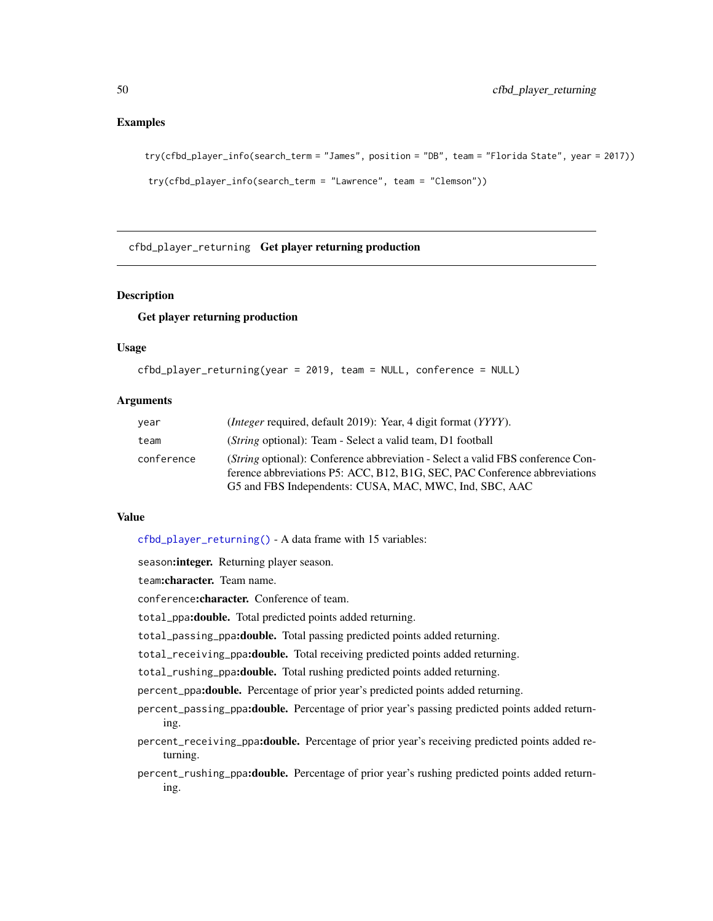### Examples

```
try(cfbd_player_info(search_term = "James", position = "DB", team = "Florida State", year = 2017))
try(cfbd_player_info(search_term = "Lawrence", team = "Clemson"))
```
<span id="page-49-0"></span>cfbd\_player\_returning Get player returning production

### Description

#### Get player returning production

### Usage

```
cfbd_player_returning(year = 2019, team = NULL, conference = NULL)
```
### **Arguments**

| year       | <i>(Integer required, default 2019): Year, 4 digit format (YYYY).</i>                                                                                                                                                   |
|------------|-------------------------------------------------------------------------------------------------------------------------------------------------------------------------------------------------------------------------|
| team       | ( <i>String</i> optional): Team - Select a valid team, D1 football                                                                                                                                                      |
| conference | (String optional): Conference abbreviation - Select a valid FBS conference Con-<br>ference abbreviations P5: ACC, B12, B1G, SEC, PAC Conference abbreviations<br>G5 and FBS Independents: CUSA, MAC, MWC, Ind, SBC, AAC |

### Value

[cfbd\\_player\\_returning\(\)](#page-49-0) - A data frame with 15 variables:

season: integer. Returning player season.

team:character. Team name.

conference: character. Conference of team.

total\_ppa:double. Total predicted points added returning.

total\_passing\_ppa:double. Total passing predicted points added returning.

total\_receiving\_ppa:double. Total receiving predicted points added returning.

total\_rushing\_ppa:double. Total rushing predicted points added returning.

percent\_ppa:double. Percentage of prior year's predicted points added returning.

percent\_passing\_ppa:double. Percentage of prior year's passing predicted points added returning.

percent\_receiving\_ppa:double. Percentage of prior year's receiving predicted points added returning.

percent\_rushing\_ppa:double. Percentage of prior year's rushing predicted points added returning.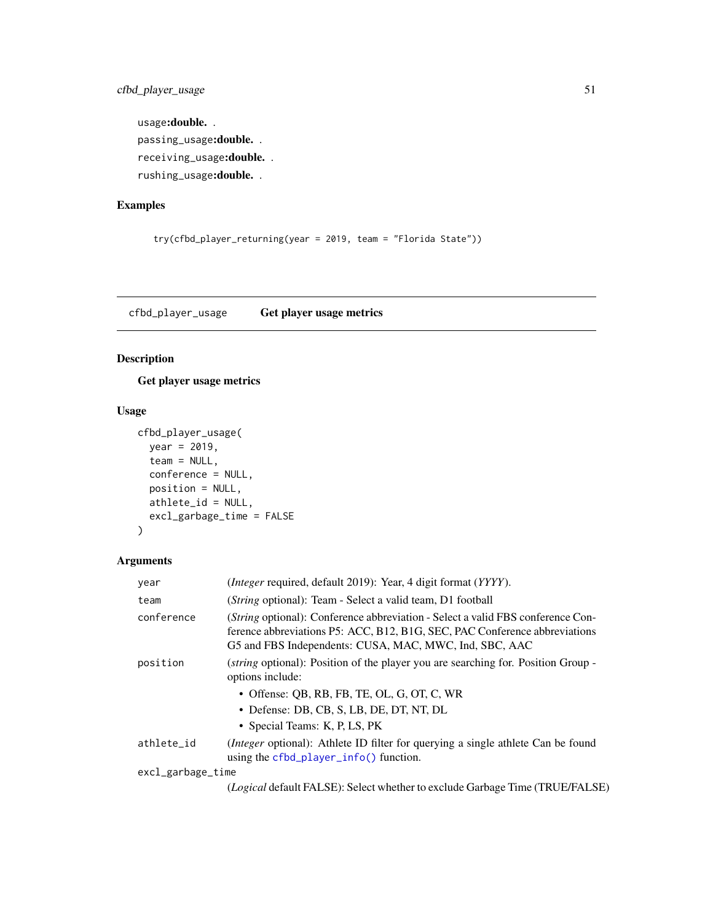cfbd\_player\_usage 51

usage:double. . passing\_usage:double. . receiving\_usage:double. . rushing\_usage:double. .

## Examples

```
try(cfbd_player_returning(year = 2019, team = "Florida State"))
```
<span id="page-50-0"></span>cfbd\_player\_usage Get player usage metrics

## Description

Get player usage metrics

### Usage

```
cfbd_player_usage(
  year = 2019,
  team = NULL,
  conference = NULL,
  position = NULL,
  athlete_id = NULL,
  excl_garbage_time = FALSE
\mathcal{L}
```
### Arguments

| year              | ( <i>Integer</i> required, default 2019): Year, 4 digit format (YYYY).                                                                                                                                                          |
|-------------------|---------------------------------------------------------------------------------------------------------------------------------------------------------------------------------------------------------------------------------|
| team              | ( <i>String</i> optional): Team - Select a valid team, D1 football                                                                                                                                                              |
| conference        | ( <i>String</i> optional): Conference abbreviation - Select a valid FBS conference Con-<br>ference abbreviations P5: ACC, B12, B1G, SEC, PAC Conference abbreviations<br>G5 and FBS Independents: CUSA, MAC, MWC, Ind, SBC, AAC |
| position          | <i>(string optional)</i> : Position of the player you are searching for. Position Group -<br>options include:                                                                                                                   |
|                   | • Offense: QB, RB, FB, TE, OL, G, OT, C, WR<br>• Defense: DB, CB, S, LB, DE, DT, NT, DL<br>• Special Teams: K, P, LS, PK                                                                                                        |
| athlete_id        | ( <i>Integer</i> optional): Athlete ID filter for querying a single athlete Can be found<br>using the $cfbd$ -player-info() function.                                                                                           |
| excl_garbage_time |                                                                                                                                                                                                                                 |
|                   | (Logical default FALSE): Select whether to exclude Garbage Time (TRUE/FALSE)                                                                                                                                                    |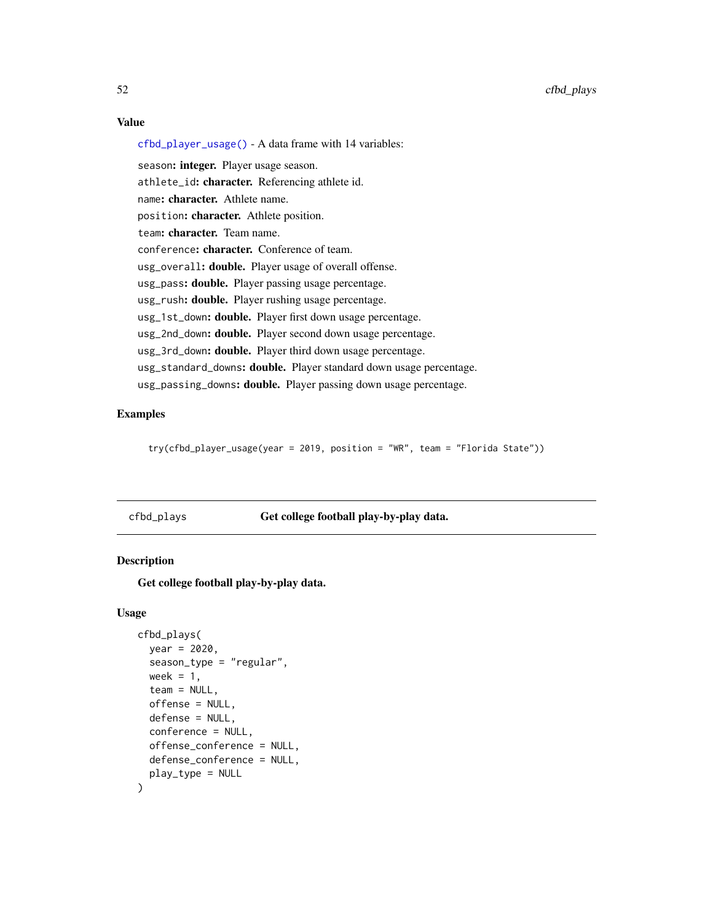### Value

[cfbd\\_player\\_usage\(\)](#page-50-0) - A data frame with 14 variables:

season: integer. Player usage season. athlete\_id: character. Referencing athlete id. name: character. Athlete name. position: character. Athlete position. team: character. Team name. conference: character. Conference of team. usg\_overall: double. Player usage of overall offense. usg\_pass: double. Player passing usage percentage. usg\_rush: **double.** Player rushing usage percentage. usg\_1st\_down: double. Player first down usage percentage. usg\_2nd\_down: **double.** Player second down usage percentage. usg\_3rd\_down: double. Player third down usage percentage. usg\_standard\_downs: double. Player standard down usage percentage. usg\_passing\_downs: double. Player passing down usage percentage.

### Examples

try(cfbd\_player\_usage(year = 2019, position = "WR", team = "Florida State"))

# <span id="page-51-0"></span>cfbd\_plays Get college football play-by-play data.

#### Description

Get college football play-by-play data.

### Usage

```
cfbd_plays(
  year = 2020,
  season_type = "regular",
  week = 1,team = NULL,offense = NULL,
  defense = NULL,
  conference = NULL,
  offense_conference = NULL,
  defense_conference = NULL,
  play_type = NULL
)
```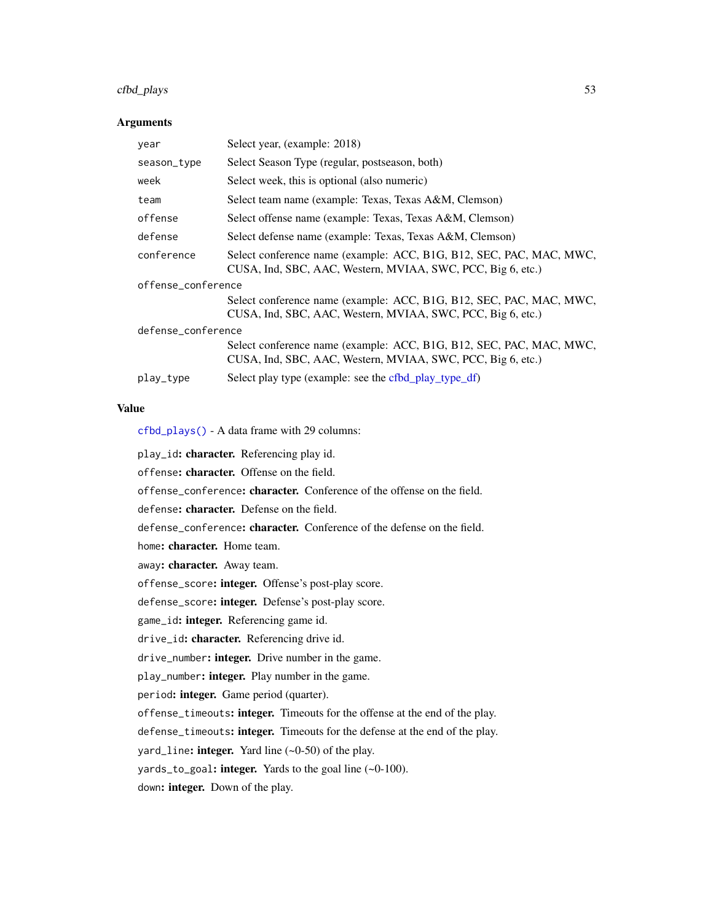## cfbd\_plays 53

### Arguments

| year               | Select year, (example: 2018)                                                                                                       |  |
|--------------------|------------------------------------------------------------------------------------------------------------------------------------|--|
| season_type        | Select Season Type (regular, postseason, both)                                                                                     |  |
| week               | Select week, this is optional (also numeric)                                                                                       |  |
| team               | Select team name (example: Texas, Texas A&M, Clemson)                                                                              |  |
| offense            | Select offense name (example: Texas, Texas A&M, Clemson)                                                                           |  |
| defense            | Select defense name (example: Texas, Texas A&M, Clemson)                                                                           |  |
| conference         | Select conference name (example: ACC, B1G, B12, SEC, PAC, MAC, MWC,<br>CUSA, Ind, SBC, AAC, Western, MVIAA, SWC, PCC, Big 6, etc.) |  |
| offense_conference |                                                                                                                                    |  |
|                    | Select conference name (example: ACC, B1G, B12, SEC, PAC, MAC, MWC,<br>CUSA, Ind, SBC, AAC, Western, MVIAA, SWC, PCC, Big 6, etc.) |  |
| defense_conference |                                                                                                                                    |  |
|                    | Select conference name (example: ACC, B1G, B12, SEC, PAC, MAC, MWC,<br>CUSA, Ind, SBC, AAC, Western, MVIAA, SWC, PCC, Big 6, etc.) |  |
| play_type          | Select play type (example: see the cfbd_play_type_df)                                                                              |  |

## Value

[cfbd\\_plays\(\)](#page-51-0) - A data frame with 29 columns:

play\_id: character. Referencing play id.

offense: character. Offense on the field.

offense\_conference: character. Conference of the offense on the field.

defense: character. Defense on the field.

defense\_conference: character. Conference of the defense on the field.

home: character. Home team.

away: character. Away team.

offense\_score: integer. Offense's post-play score.

defense\_score: integer. Defense's post-play score.

game\_id: integer. Referencing game id.

drive\_id: character. Referencing drive id.

drive\_number: integer. Drive number in the game.

play\_number: integer. Play number in the game.

period: integer. Game period (quarter).

offense\_timeouts: integer. Timeouts for the offense at the end of the play.

defense\_timeouts: integer. Timeouts for the defense at the end of the play.

yard\_line: integer. Yard line  $(-0-50)$  of the play.

yards\_to\_goal: integer. Yards to the goal line (~0-100).

down: integer. Down of the play.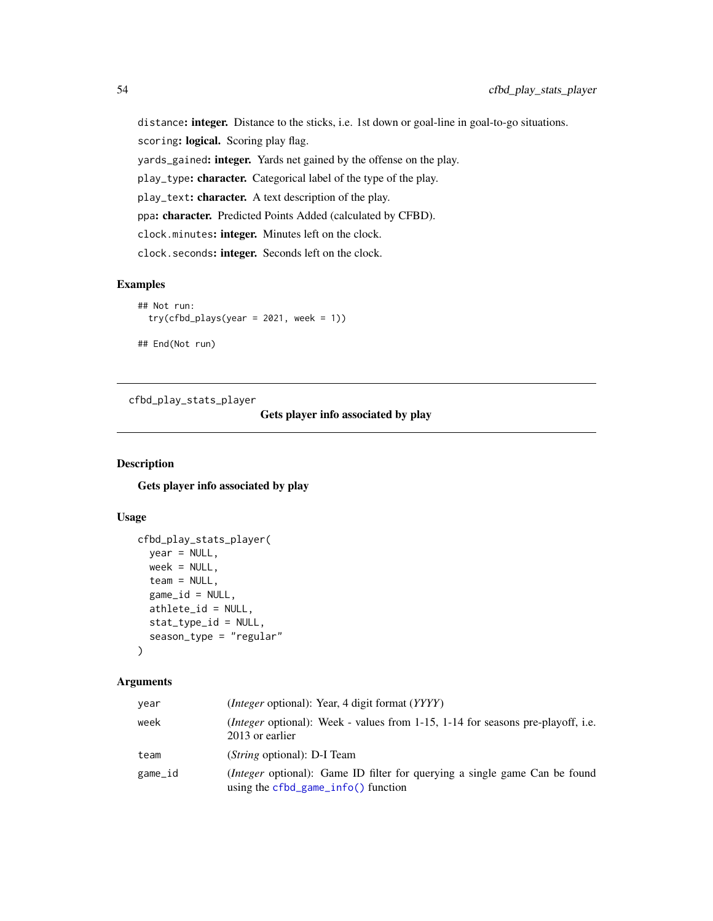distance: integer. Distance to the sticks, i.e. 1st down or goal-line in goal-to-go situations. scoring: logical. Scoring play flag. yards\_gained: integer. Yards net gained by the offense on the play. play\_type: character. Categorical label of the type of the play. play\_text: character. A text description of the play. ppa: character. Predicted Points Added (calculated by CFBD). clock.minutes: integer. Minutes left on the clock. clock.seconds: integer. Seconds left on the clock.

## Examples

```
## Not run:
 try(cfbd_players(year = 2021, week = 1))## End(Not run)
```
<span id="page-53-0"></span>cfbd\_play\_stats\_player

## Gets player info associated by play

### Description

Gets player info associated by play

## Usage

```
cfbd_play_stats_player(
 year = NULL,week = NULL,team = NULL,
  game_id = NULL,athlete_id = NULL,
  stat_type_id = NULL,
  season_type = "regular"
\lambda
```
#### Arguments

| year    | <i>(Integer optional)</i> : Year, 4 digit format <i>(YYYY)</i>                                                             |
|---------|----------------------------------------------------------------------------------------------------------------------------|
| week    | <i>(Integer optional)</i> : Week - values from $1-15$ , $1-14$ for seasons pre-playoff, i.e.<br>2013 or earlier            |
| team    | ( <i>String</i> optional): D-I Team                                                                                        |
| game_id | <i>(Integer optional):</i> Game ID filter for querying a single game Can be found<br>using the $cfbd_game_info()$ function |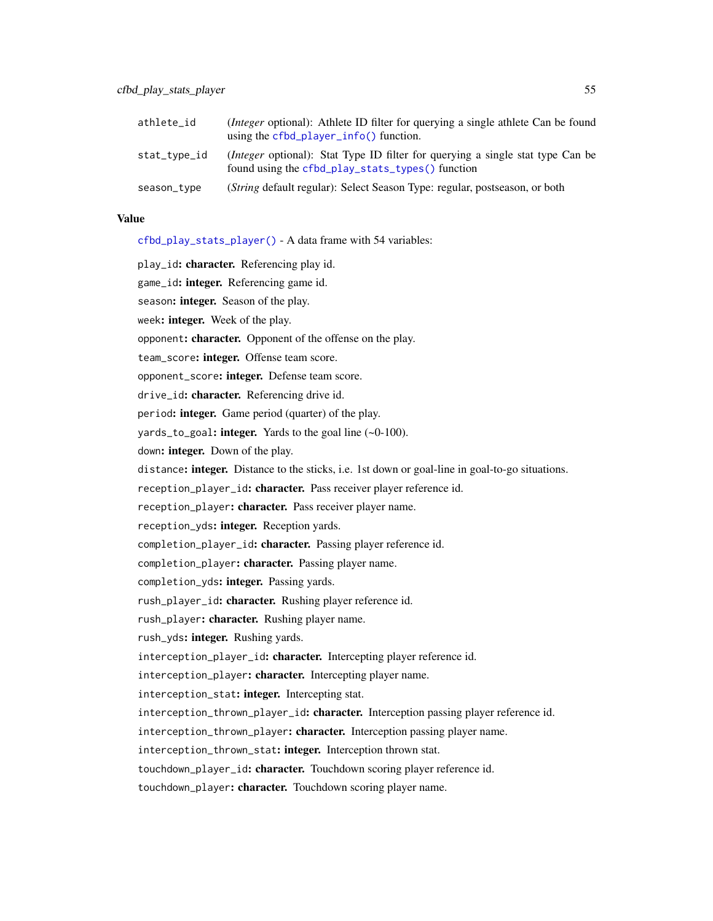| athlete_id   | ( <i>Integer</i> optional): Athlete ID filter for querying a single athlete Can be found<br>using the cfbd_player_info() function.         |
|--------------|--------------------------------------------------------------------------------------------------------------------------------------------|
| stat_type_id | <i>(Integer optional)</i> : Stat Type ID filter for querying a single stat type Can be<br>found using the cfbd_play_stats_types() function |
| season_type  | (String default regular): Select Season Type: regular, postseason, or both                                                                 |

### Value

[cfbd\\_play\\_stats\\_player\(\)](#page-53-0) - A data frame with 54 variables:

play\_id: character. Referencing play id. game\_id: **integer.** Referencing game id. season: integer. Season of the play. week: integer. Week of the play. opponent: character. Opponent of the offense on the play. team\_score: integer. Offense team score. opponent\_score: integer. Defense team score. drive\_id: character. Referencing drive id. period: integer. Game period (quarter) of the play. yards\_to\_goal: integer. Yards to the goal line  $(-0.100)$ . down: integer. Down of the play. distance: integer. Distance to the sticks, i.e. 1st down or goal-line in goal-to-go situations. reception\_player\_id: character. Pass receiver player reference id. reception\_player: character. Pass receiver player name. reception\_yds: integer. Reception yards. completion\_player\_id: character. Passing player reference id. completion\_player: character. Passing player name. completion\_yds: integer. Passing yards. rush\_player\_id: character. Rushing player reference id. rush\_player: character. Rushing player name. rush\_yds: integer. Rushing yards. interception\_player\_id: character. Intercepting player reference id. interception\_player: character. Intercepting player name. interception\_stat: integer. Intercepting stat. interception\_thrown\_player\_id: character. Interception passing player reference id. interception\_thrown\_player: character. Interception passing player name. interception\_thrown\_stat: integer. Interception thrown stat. touchdown\_player\_id: character. Touchdown scoring player reference id. touchdown\_player: character. Touchdown scoring player name.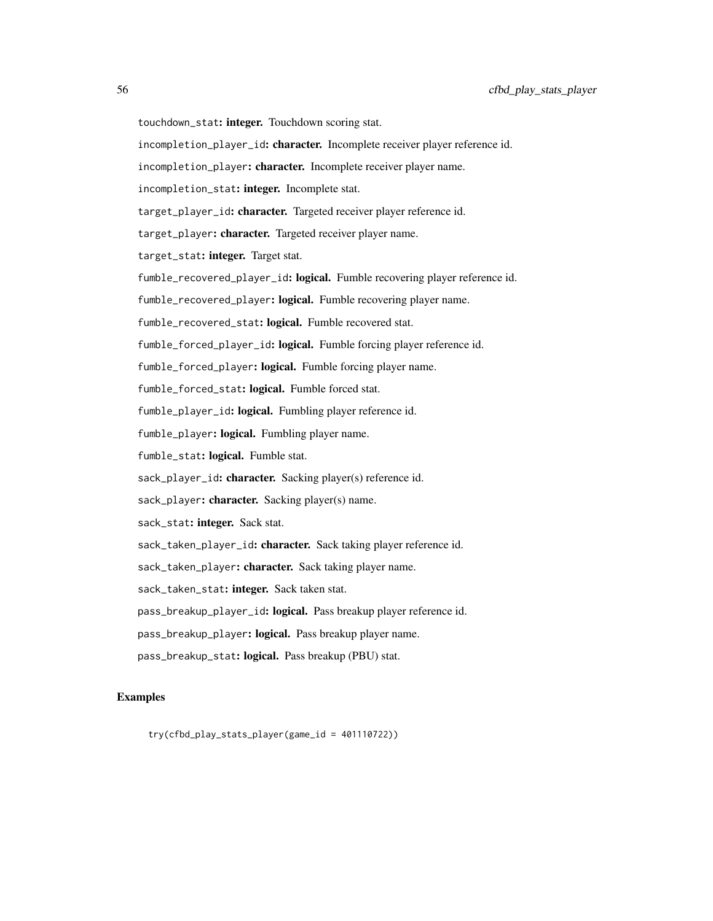- touchdown\_stat: integer. Touchdown scoring stat.
- incompletion\_player\_id: character. Incomplete receiver player reference id.
- incompletion\_player: character. Incomplete receiver player name.
- incompletion\_stat: integer. Incomplete stat.
- target\_player\_id: character. Targeted receiver player reference id.
- target\_player: character. Targeted receiver player name.
- target\_stat: integer. Target stat.
- fumble\_recovered\_player\_id: logical. Fumble recovering player reference id.
- fumble\_recovered\_player: logical. Fumble recovering player name.
- fumble\_recovered\_stat: logical. Fumble recovered stat.
- fumble\_forced\_player\_id: logical. Fumble forcing player reference id.
- fumble\_forced\_player: logical. Fumble forcing player name.
- fumble\_forced\_stat: logical. Fumble forced stat.
- fumble\_player\_id: logical. Fumbling player reference id.
- fumble\_player: logical. Fumbling player name.
- fumble\_stat: logical. Fumble stat.
- sack\_player\_id: character. Sacking player(s) reference id.
- sack\_player: character. Sacking player(s) name.
- sack\_stat: integer. Sack stat.
- sack\_taken\_player\_id: character. Sack taking player reference id.
- sack\_taken\_player: character. Sack taking player name.
- sack\_taken\_stat: integer. Sack taken stat.
- pass\_breakup\_player\_id: logical. Pass breakup player reference id.
- pass\_breakup\_player: logical. Pass breakup player name.
- pass\_breakup\_stat: logical. Pass breakup (PBU) stat.

## Examples

try(cfbd\_play\_stats\_player(game\_id = 401110722))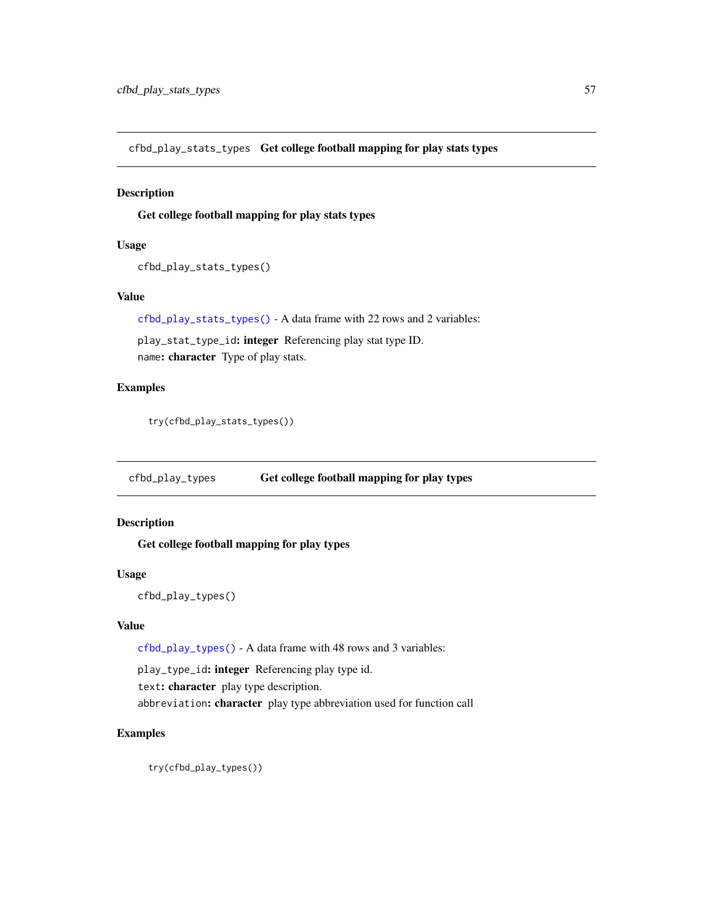<span id="page-56-0"></span>cfbd\_play\_stats\_types Get college football mapping for play stats types

### Description

Get college football mapping for play stats types

#### Usage

```
cfbd_play_stats_types()
```
#### Value

[cfbd\\_play\\_stats\\_types\(\)](#page-56-0) - A data frame with 22 rows and 2 variables:

play\_stat\_type\_id: integer Referencing play stat type ID. name: character Type of play stats.

### Examples

try(cfbd\_play\_stats\_types())

<span id="page-56-1"></span>cfbd\_play\_types Get college football mapping for play types

### Description

Get college football mapping for play types

### Usage

```
cfbd_play_types()
```
### Value

[cfbd\\_play\\_types\(\)](#page-56-1) - A data frame with 48 rows and 3 variables:

play\_type\_id: integer Referencing play type id.

text: character play type description.

abbreviation: character play type abbreviation used for function call

### Examples

try(cfbd\_play\_types())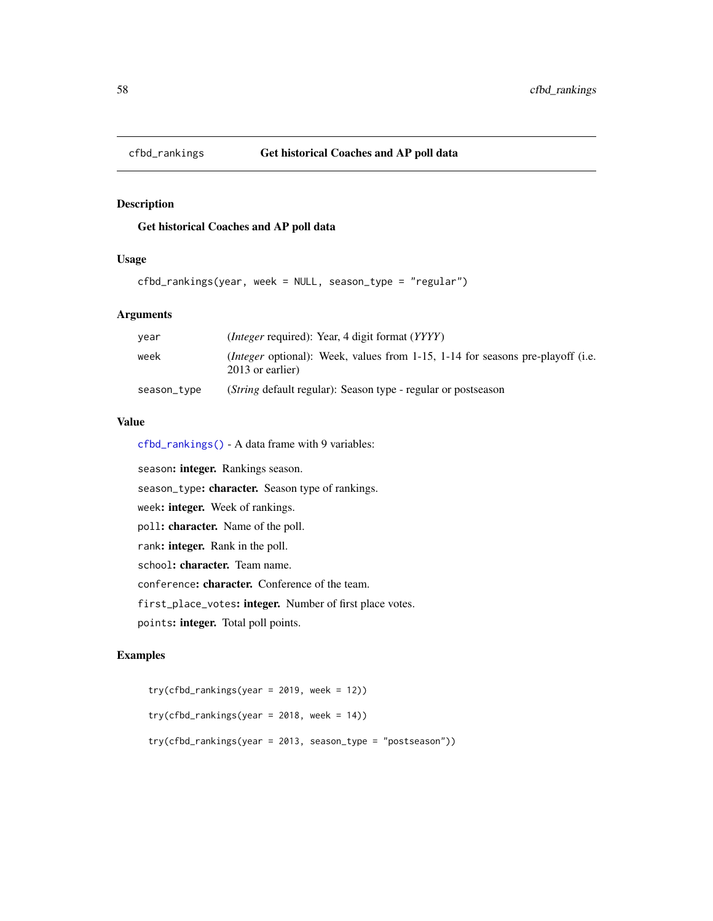<span id="page-57-0"></span>

## Get historical Coaches and AP poll data

### Usage

```
cfbd_rankings(year, week = NULL, season_type = "regular")
```
### Arguments

| year        | <i>(Integer required): Year, 4 digit format (YYYY)</i>                                                              |
|-------------|---------------------------------------------------------------------------------------------------------------------|
| week        | <i>(Integer optional)</i> : Week, values from 1-15, 1-14 for seasons pre-playoff <i>(i.e.</i> )<br>2013 or earlier) |
| season_type | ( <i>String</i> default regular): Season type - regular or postseason                                               |

# Value

[cfbd\\_rankings\(\)](#page-57-0) - A data frame with 9 variables:

season: integer. Rankings season. season\_type: character. Season type of rankings. week: integer. Week of rankings. poll: character. Name of the poll. rank: integer. Rank in the poll. school: character. Team name. conference: character. Conference of the team. first\_place\_votes: integer. Number of first place votes. points: integer. Total poll points.

## Examples

```
try(cfbd_rankings(year = 2019, week = 12))
try(cfbd_rankings(year = 2018, week = 14))
try(cfbd_rankings(year = 2013, season_type = "postseason"))
```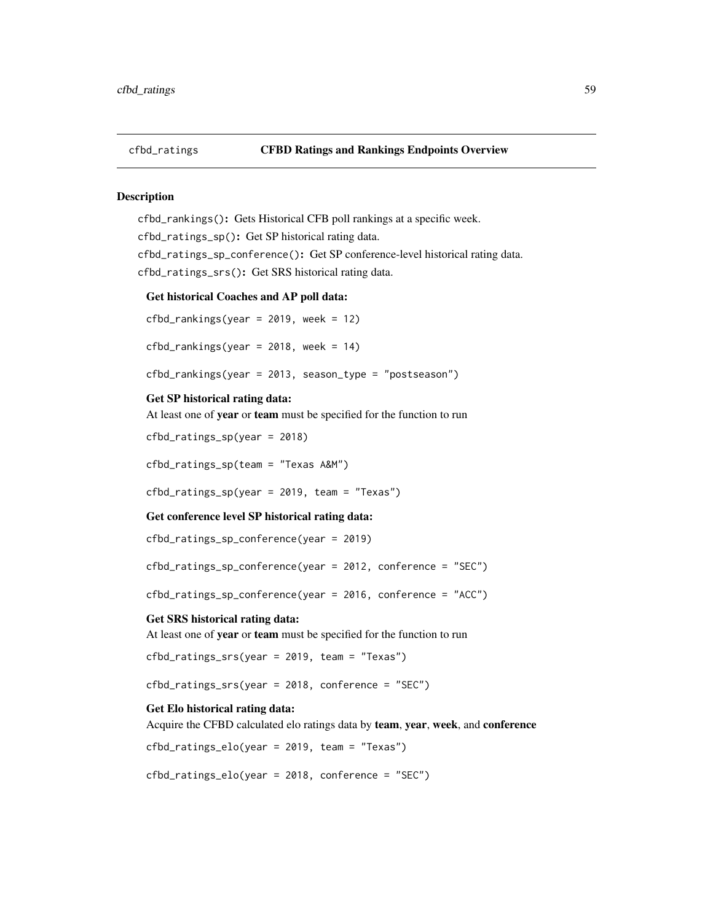cfbd\_rankings(): Gets Historical CFB poll rankings at a specific week. cfbd\_ratings\_sp(): Get SP historical rating data. cfbd\_ratings\_sp\_conference(): Get SP conference-level historical rating data. cfbd\_ratings\_srs(): Get SRS historical rating data.

#### Get historical Coaches and AP poll data:

 $cfbd_rankings(year = 2019, week = 12)$ 

cfbd\_rankings(year =  $2018$ , week =  $14$ )

cfbd\_rankings(year = 2013, season\_type = "postseason")

#### Get SP historical rating data:

At least one of year or team must be specified for the function to run

cfbd\_ratings\_sp(year = 2018)

cfbd\_ratings\_sp(team = "Texas A&M")

cfbd\_ratings\_sp(year = 2019, team = "Texas")

### Get conference level SP historical rating data:

cfbd\_ratings\_sp\_conference(year = 2019)

cfbd\_ratings\_sp\_conference(year = 2012, conference = "SEC")

cfbd\_ratings\_sp\_conference(year = 2016, conference = "ACC")

#### Get SRS historical rating data:

At least one of year or team must be specified for the function to run

cfbd\_ratings\_srs(year = 2019, team = "Texas")

cfbd\_ratings\_srs(year = 2018, conference = "SEC")

### Get Elo historical rating data:

Acquire the CFBD calculated elo ratings data by team, year, week, and conference

cfbd\_ratings\_elo(year = 2019, team = "Texas")

cfbd\_ratings\_elo(year = 2018, conference = "SEC")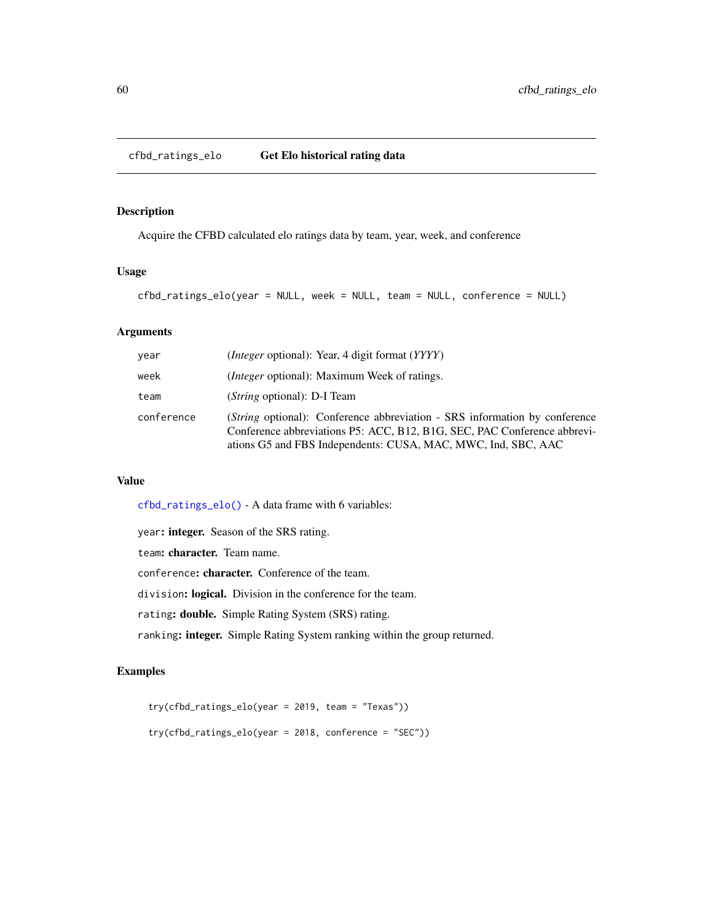<span id="page-59-0"></span>Acquire the CFBD calculated elo ratings data by team, year, week, and conference

### Usage

```
cfbd_ratings_elo(year = NULL, week = NULL, team = NULL, conference = NULL)
```
## Arguments

| vear       | ( <i>Integer</i> optional): Year, 4 digit format ( <i>YYYY</i> )                                                                                                                                                                |
|------------|---------------------------------------------------------------------------------------------------------------------------------------------------------------------------------------------------------------------------------|
| week       | <i>(Integer optional)</i> : Maximum Week of ratings.                                                                                                                                                                            |
| team       | ( <i>String</i> optional): D-I Team                                                                                                                                                                                             |
| conference | ( <i>String</i> optional): Conference abbreviation - SRS information by conference<br>Conference abbreviations P5: ACC, B12, B1G, SEC, PAC Conference abbrevi-<br>ations G5 and FBS Independents: CUSA, MAC, MWC, Ind, SBC, AAC |

### Value

[cfbd\\_ratings\\_elo\(\)](#page-59-0) - A data frame with 6 variables:

year: integer. Season of the SRS rating.

team: character. Team name.

conference: character. Conference of the team.

division: logical. Division in the conference for the team.

rating: double. Simple Rating System (SRS) rating.

ranking: integer. Simple Rating System ranking within the group returned.

## Examples

```
try(cfbd_ratings_elo(year = 2019, team = "Texas"))
try(cfbd_ratings_elo(year = 2018, conference = "SEC"))
```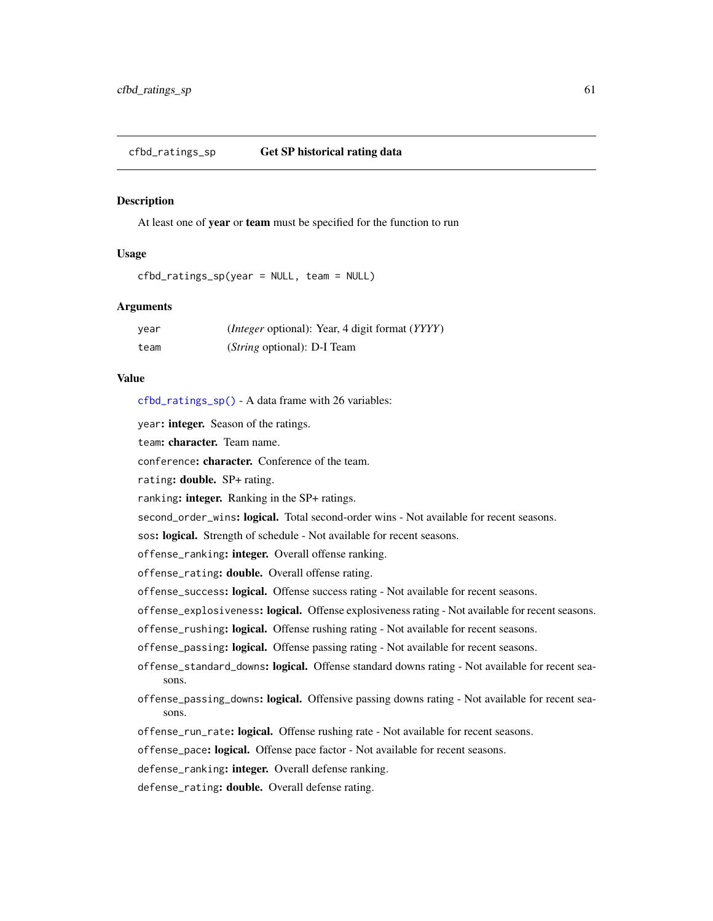<span id="page-60-0"></span>At least one of year or team must be specified for the function to run

### Usage

cfbd\_ratings\_sp(year = NULL, team = NULL)

### Arguments

| year | ( <i>Integer</i> optional): Year, 4 digit format ( <i>YYYY</i> ) |
|------|------------------------------------------------------------------|
| team | ( <i>String</i> optional): D-I Team                              |

### Value

[cfbd\\_ratings\\_sp\(\)](#page-60-0) - A data frame with 26 variables:

year: integer. Season of the ratings.

team: character. Team name.

conference: character. Conference of the team.

rating: double. SP+ rating.

ranking: integer. Ranking in the SP+ ratings.

second\_order\_wins: logical. Total second-order wins - Not available for recent seasons.

sos: logical. Strength of schedule - Not available for recent seasons.

offense\_ranking: integer. Overall offense ranking.

offense\_rating: double. Overall offense rating.

offense\_success: logical. Offense success rating - Not available for recent seasons.

offense\_explosiveness: logical. Offense explosiveness rating - Not available for recent seasons.

offense\_rushing: logical. Offense rushing rating - Not available for recent seasons.

offense\_passing: logical. Offense passing rating - Not available for recent seasons.

- offense\_standard\_downs: logical. Offense standard downs rating Not available for recent seasons.
- offense\_passing\_downs: logical. Offensive passing downs rating Not available for recent seasons.

offense\_run\_rate: logical. Offense rushing rate - Not available for recent seasons.

offense\_pace: logical. Offense pace factor - Not available for recent seasons.

defense\_ranking: integer. Overall defense ranking.

defense\_rating: double. Overall defense rating.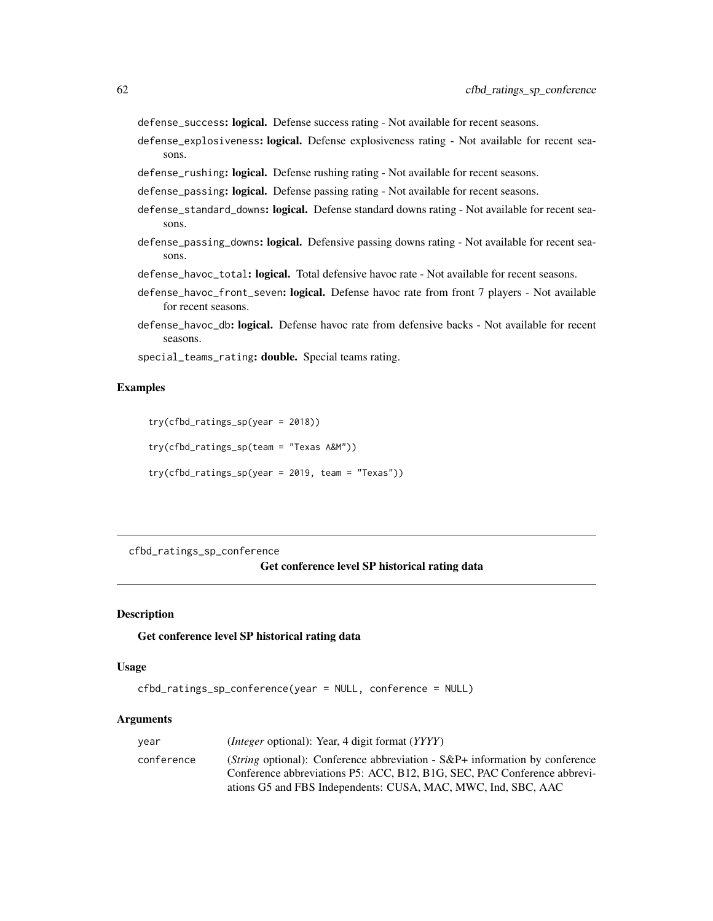defense\_success: logical. Defense success rating - Not available for recent seasons.

defense\_explosiveness: logical. Defense explosiveness rating - Not available for recent seasons.

defense\_rushing: logical. Defense rushing rating - Not available for recent seasons.

defense\_passing: logical. Defense passing rating - Not available for recent seasons.

- defense\_standard\_downs: logical. Defense standard downs rating Not available for recent seasons.
- defense\_passing\_downs: logical. Defensive passing downs rating Not available for recent seasons.
- defense\_havoc\_total: logical. Total defensive havoc rate Not available for recent seasons.
- defense\_havoc\_front\_seven: logical. Defense havoc rate from front 7 players Not available for recent seasons.
- defense\_havoc\_db: logical. Defense havoc rate from defensive backs Not available for recent seasons.

special\_teams\_rating: double. Special teams rating.

### Examples

```
try(cfbd_ratings_sp(year = 2018))
```
try(cfbd\_ratings\_sp(team = "Texas A&M"))

try(cfbd\_ratings\_sp(year = 2019, team = "Texas"))

<span id="page-61-0"></span>cfbd\_ratings\_sp\_conference

#### Get conference level SP historical rating data

### **Description**

#### Get conference level SP historical rating data

#### Usage

```
cfbd_ratings_sp_conference(year = NULL, conference = NULL)
```
#### Arguments

| year       | <i>(Integer optional): Year, 4 digit format (YYYY)</i>                      |
|------------|-----------------------------------------------------------------------------|
| conference | (String optional): Conference abbreviation - S&P+ information by conference |
|            | Conference abbreviations P5: ACC, B12, B1G, SEC, PAC Conference abbrevi-    |
|            | ations G5 and FBS Independents: CUSA, MAC, MWC, Ind, SBC, AAC               |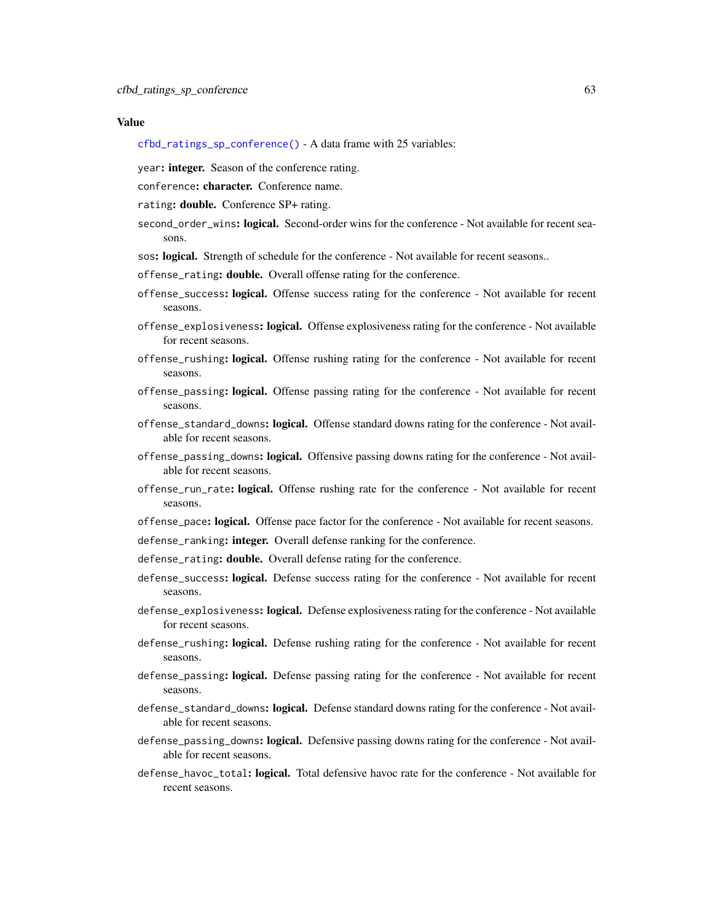#### Value

- [cfbd\\_ratings\\_sp\\_conference\(\)](#page-61-0) A data frame with 25 variables:
- year: integer. Season of the conference rating.
- conference: character. Conference name.
- rating: double. Conference SP+ rating.
- second\_order\_wins: logical. Second-order wins for the conference Not available for recent seasons.
- sos: logical. Strength of schedule for the conference Not available for recent seasons..
- offense\_rating: double. Overall offense rating for the conference.
- offense\_success: logical. Offense success rating for the conference Not available for recent seasons.
- offense\_explosiveness: logical. Offense explosiveness rating for the conference Not available for recent seasons.
- offense\_rushing: logical. Offense rushing rating for the conference Not available for recent seasons.
- offense\_passing: logical. Offense passing rating for the conference Not available for recent seasons.
- offense\_standard\_downs: logical. Offense standard downs rating for the conference Not available for recent seasons.
- offense\_passing\_downs: logical. Offensive passing downs rating for the conference Not available for recent seasons.
- offense\_run\_rate: logical. Offense rushing rate for the conference Not available for recent seasons.
- offense\_pace: logical. Offense pace factor for the conference Not available for recent seasons.
- defense\_ranking: integer. Overall defense ranking for the conference.
- defense\_rating: **double.** Overall defense rating for the conference.
- defense\_success: logical. Defense success rating for the conference Not available for recent seasons.
- defense\_explosiveness: logical. Defense explosiveness rating for the conference Not available for recent seasons.
- defense\_rushing: logical. Defense rushing rating for the conference Not available for recent seasons.
- defense\_passing: logical. Defense passing rating for the conference Not available for recent seasons.
- defense\_standard\_downs: logical. Defense standard downs rating for the conference Not available for recent seasons.
- defense\_passing\_downs: logical. Defensive passing downs rating for the conference Not available for recent seasons.
- defense\_havoc\_total: logical. Total defensive havoc rate for the conference Not available for recent seasons.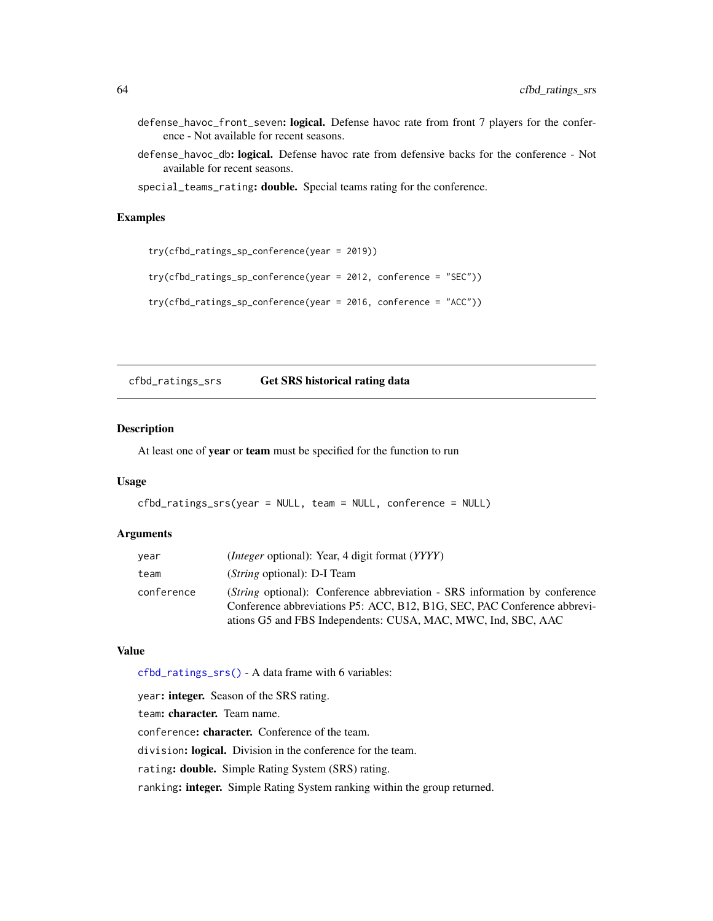- defense\_havoc\_front\_seven: logical. Defense havoc rate from front 7 players for the conference - Not available for recent seasons.
- defense\_havoc\_db: logical. Defense havoc rate from defensive backs for the conference Not available for recent seasons.
- special\_teams\_rating: double. Special teams rating for the conference.

### Examples

```
try(cfbd_ratings_sp_conference(year = 2019))
try(cfbd_ratings_sp_conference(year = 2012, conference = "SEC"))
try(cfbd_ratings_sp_conference(year = 2016, conference = "ACC"))
```
<span id="page-63-0"></span>cfbd\_ratings\_srs Get SRS historical rating data

### Description

At least one of year or team must be specified for the function to run

#### Usage

```
cfbd_ratings_srs(year = NULL, team = NULL, conference = NULL)
```
#### **Arguments**

| year       | <i>(Integer optional)</i> : Year, 4 digit format <i>(YYYY)</i>                                                                                                                                                                  |
|------------|---------------------------------------------------------------------------------------------------------------------------------------------------------------------------------------------------------------------------------|
| team       | ( <i>String</i> optional): D-I Team                                                                                                                                                                                             |
| conference | ( <i>String</i> optional): Conference abbreviation - SRS information by conference<br>Conference abbreviations P5: ACC, B12, B1G, SEC, PAC Conference abbrevi-<br>ations G5 and FBS Independents: CUSA, MAC, MWC, Ind, SBC, AAC |

### Value

[cfbd\\_ratings\\_srs\(\)](#page-63-0) - A data frame with 6 variables:

year: integer. Season of the SRS rating. team: character. Team name. conference: character. Conference of the team. division: logical. Division in the conference for the team. rating: double. Simple Rating System (SRS) rating. ranking: integer. Simple Rating System ranking within the group returned.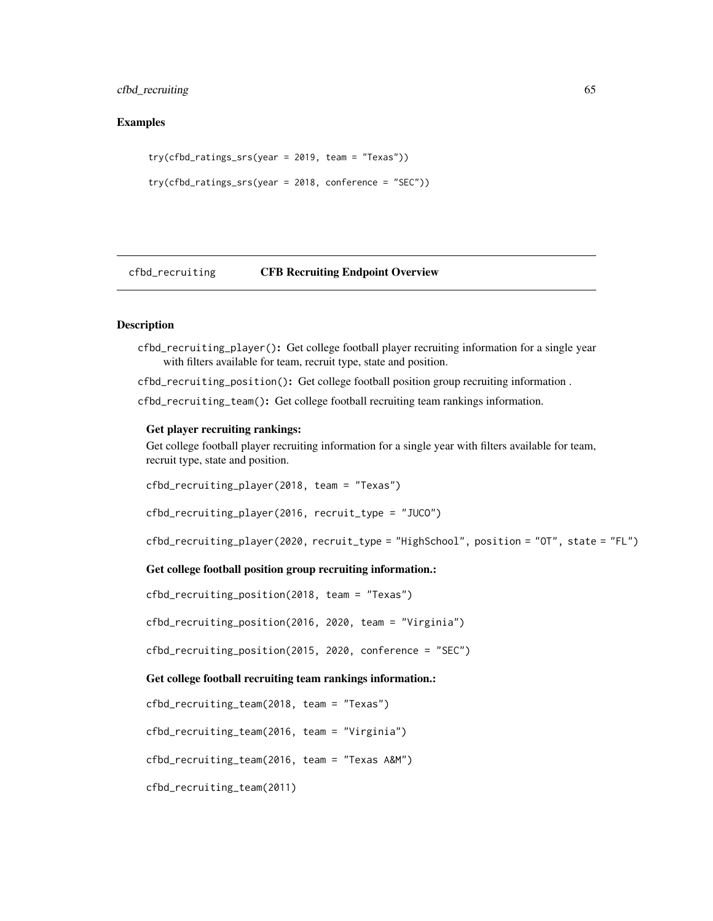cfbd\_recruiting 65

### Examples

```
try(cfbd_ratings_srs(year = 2019, team = "Texas"))
try(cfbd_ratings_srs(year = 2018, conference = "SEC"))
```
cfbd\_recruiting CFB Recruiting Endpoint Overview

### **Description**

cfbd\_recruiting\_player(): Get college football player recruiting information for a single year with filters available for team, recruit type, state and position.

cfbd\_recruiting\_position(): Get college football position group recruiting information . cfbd\_recruiting\_team(): Get college football recruiting team rankings information.

#### Get player recruiting rankings:

Get college football player recruiting information for a single year with filters available for team, recruit type, state and position.

cfbd\_recruiting\_player(2018, team = "Texas")

cfbd\_recruiting\_player(2016, recruit\_type = "JUCO")

```
cfbd_recruiting_player(2020, recruit_type = "HighSchool", position = "OT", state = "FL")
```
## Get college football position group recruiting information.:

cfbd\_recruiting\_position(2018, team = "Texas")

cfbd\_recruiting\_position(2016, 2020, team = "Virginia")

cfbd\_recruiting\_position(2015, 2020, conference = "SEC")

#### Get college football recruiting team rankings information.:

```
cfbd_recruiting_team(2018, team = "Texas")
```
cfbd\_recruiting\_team(2016, team = "Virginia")

cfbd\_recruiting\_team(2016, team = "Texas A&M")

cfbd\_recruiting\_team(2011)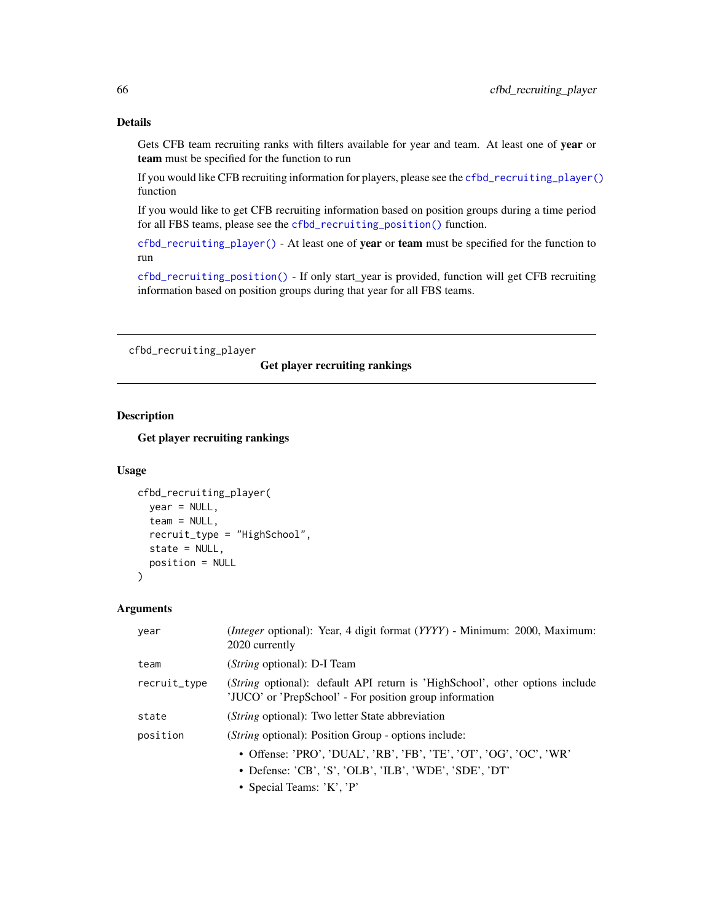### Details

Gets CFB team recruiting ranks with filters available for year and team. At least one of year or team must be specified for the function to run

If you would like CFB recruiting information for players, please see the [cfbd\\_recruiting\\_player\(\)](#page-65-0) function

If you would like to get CFB recruiting information based on position groups during a time period for all FBS teams, please see the [cfbd\\_recruiting\\_position\(\)](#page-67-0) function.

[cfbd\\_recruiting\\_player\(\)](#page-65-0) - At least one of year or team must be specified for the function to run

[cfbd\\_recruiting\\_position\(\)](#page-67-0) - If only start\_year is provided, function will get CFB recruiting information based on position groups during that year for all FBS teams.

<span id="page-65-0"></span>cfbd\_recruiting\_player

# Get player recruiting rankings

## Description

Get player recruiting rankings

#### Usage

```
cfbd_recruiting_player(
  year = NULL,team = NULL,
  recruit_type = "HighSchool",
  state = NULL,
  position = NULL
)
```
### Arguments

| year         | ( <i>Integer</i> optional): Year, 4 digit format (YYYY) - Minimum: 2000, Maximum:<br>2020 currently                                             |
|--------------|-------------------------------------------------------------------------------------------------------------------------------------------------|
| team         | (String optional): D-I Team                                                                                                                     |
| recruit_type | ( <i>String</i> optional): default API return is 'HighSchool', other options include<br>'JUCO' or 'PrepSchool' - For position group information |
| state        | ( <i>String</i> optional): Two letter State abbreviation                                                                                        |
| position     | ( <i>String</i> optional): Position Group - options include:                                                                                    |
|              | • Offense: 'PRO', 'DUAL', 'RB', 'FB', 'TE', 'OT', 'OG', 'OC', 'WR'                                                                              |
|              | • Defense: 'CB', 'S', 'OLB', 'ILB', 'WDE', 'SDE', 'DT'                                                                                          |
|              | • Special Teams: $K', P'$                                                                                                                       |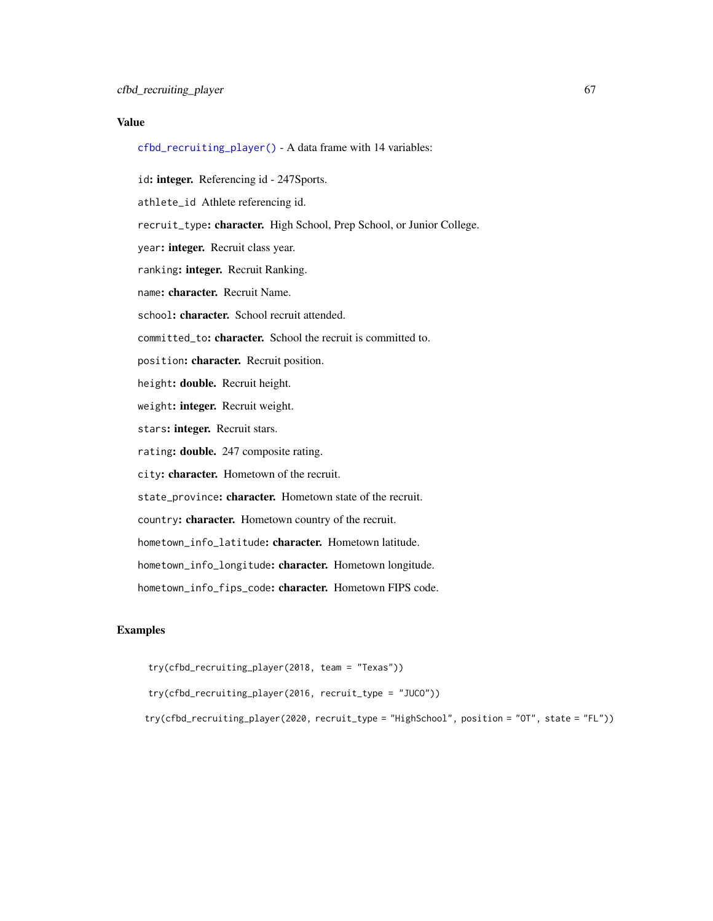### Value

[cfbd\\_recruiting\\_player\(\)](#page-65-0) - A data frame with 14 variables:

id: integer. Referencing id - 247Sports.

athlete\_id Athlete referencing id.

recruit\_type: character. High School, Prep School, or Junior College.

year: integer. Recruit class year.

ranking: integer. Recruit Ranking.

name: character. Recruit Name.

school: character. School recruit attended.

committed\_to: character. School the recruit is committed to.

position: character. Recruit position.

height: double. Recruit height.

weight: integer. Recruit weight.

stars: integer. Recruit stars.

rating: double. 247 composite rating.

city: character. Hometown of the recruit.

state\_province: character. Hometown state of the recruit.

country: character. Hometown country of the recruit.

hometown\_info\_latitude: character. Hometown latitude.

hometown\_info\_longitude: character. Hometown longitude.

hometown\_info\_fips\_code: character. Hometown FIPS code.

#### Examples

```
try(cfbd_recruiting_player(2018, team = "Texas"))
```
try(cfbd\_recruiting\_player(2016, recruit\_type = "JUCO"))

try(cfbd\_recruiting\_player(2020, recruit\_type = "HighSchool", position = "OT", state = "FL"))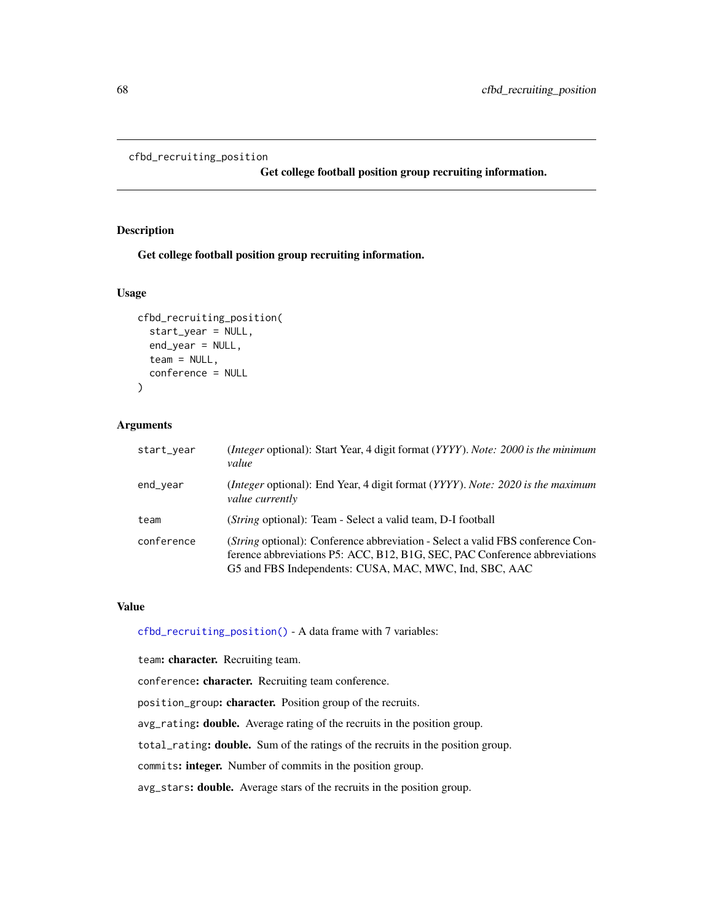```
cfbd_recruiting_position
```
Get college football position group recruiting information.

### Description

Get college football position group recruiting information.

## Usage

```
cfbd_recruiting_position(
  start_year = NULL,
  end_year = NULL,
  team = NULL,conference = NULL
)
```
### Arguments

| start_year | (Integer optional): Start Year, 4 digit format (YYYY). Note: 2000 is the minimum<br>value                                                                                                                               |
|------------|-------------------------------------------------------------------------------------------------------------------------------------------------------------------------------------------------------------------------|
| end_year   | (Integer optional): End Year, 4 digit format (YYYY). Note: 2020 is the maximum<br><i>value currently</i>                                                                                                                |
| team       | ( <i>String</i> optional): Team - Select a valid team, D-I football                                                                                                                                                     |
| conference | (String optional): Conference abbreviation - Select a valid FBS conference Con-<br>ference abbreviations P5: ACC, B12, B1G, SEC, PAC Conference abbreviations<br>G5 and FBS Independents: CUSA, MAC, MWC, Ind, SBC, AAC |

#### Value

[cfbd\\_recruiting\\_position\(\)](#page-67-0) - A data frame with 7 variables:

team: character. Recruiting team.

conference: character. Recruiting team conference.

position\_group: character. Position group of the recruits.

avg\_rating: double. Average rating of the recruits in the position group.

total\_rating: double. Sum of the ratings of the recruits in the position group.

commits: integer. Number of commits in the position group.

avg\_stars: double. Average stars of the recruits in the position group.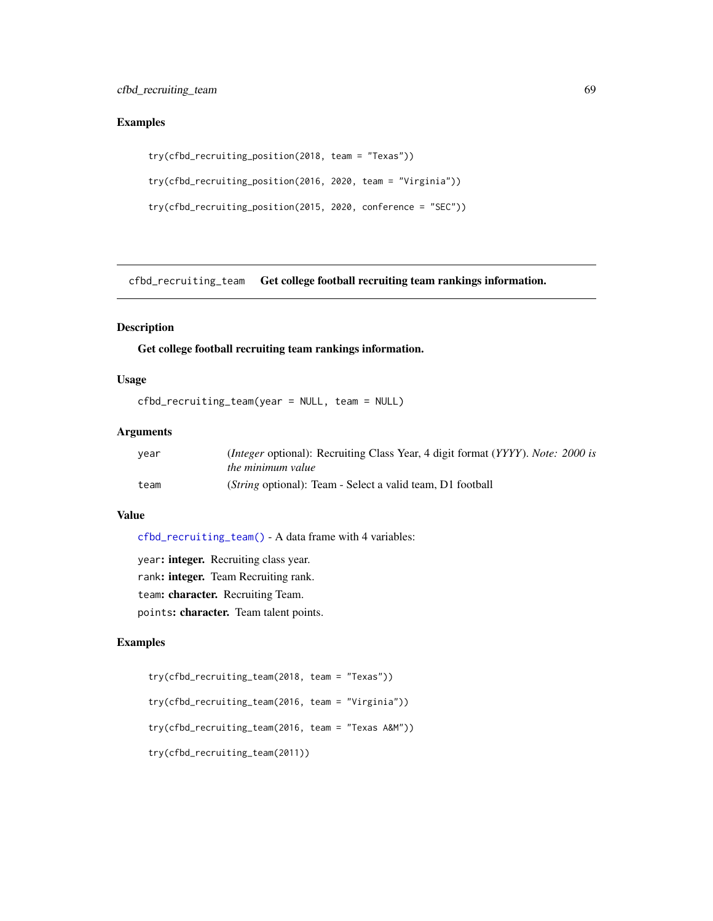## Examples

```
try(cfbd_recruiting_position(2018, team = "Texas"))
try(cfbd_recruiting_position(2016, 2020, team = "Virginia"))
try(cfbd_recruiting_position(2015, 2020, conference = "SEC"))
```
<span id="page-68-0"></span>cfbd\_recruiting\_team Get college football recruiting team rankings information.

## Description

Get college football recruiting team rankings information.

## Usage

cfbd\_recruiting\_team(year = NULL, team = NULL)

## Arguments

| vear | <i>(Integer optional):</i> Recruiting Class Year, 4 digit format ( <i>YYYY</i> ). <i>Note: 2000 is</i> |
|------|--------------------------------------------------------------------------------------------------------|
|      | <i>the minimum value</i>                                                                               |
| team | ( <i>String</i> optional): Team - Select a valid team, D1 football                                     |

#### Value

[cfbd\\_recruiting\\_team\(\)](#page-68-0) - A data frame with 4 variables:

year: integer. Recruiting class year. rank: integer. Team Recruiting rank. team: character. Recruiting Team. points: character. Team talent points.

## Examples

```
try(cfbd_recruiting_team(2018, team = "Texas"))
try(cfbd_recruiting_team(2016, team = "Virginia"))
try(cfbd_recruiting_team(2016, team = "Texas A&M"))
try(cfbd_recruiting_team(2011))
```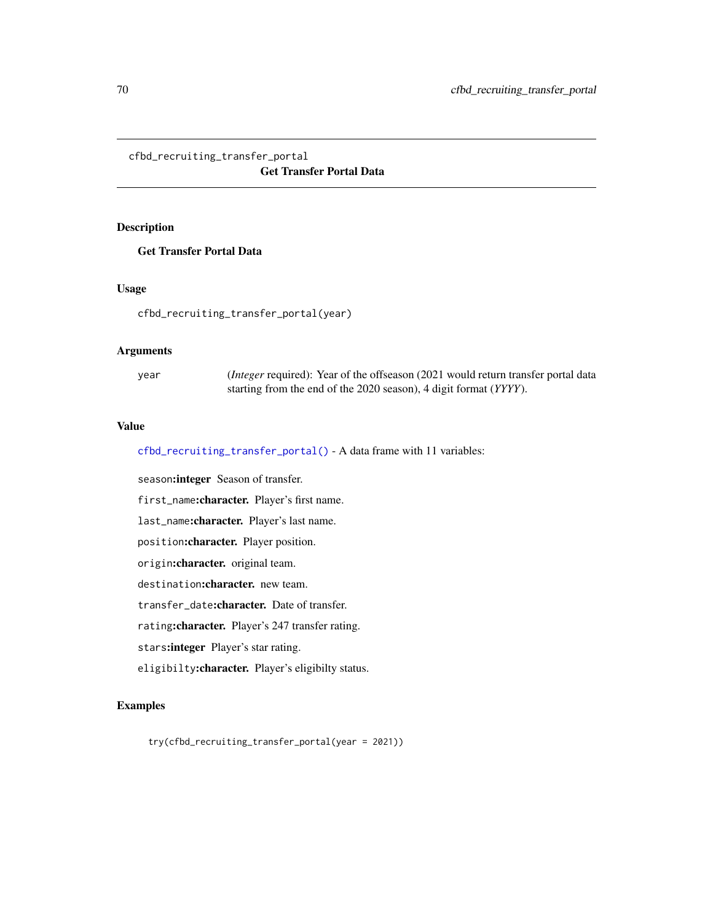<span id="page-69-0"></span>cfbd\_recruiting\_transfer\_portal Get Transfer Portal Data

## Description

Get Transfer Portal Data

## Usage

cfbd\_recruiting\_transfer\_portal(year)

## Arguments

year (*Integer* required): Year of the offseason (2021 would return transfer portal data starting from the end of the 2020 season), 4 digit format (*YYYY*).

## Value

[cfbd\\_recruiting\\_transfer\\_portal\(\)](#page-69-0) - A data frame with 11 variables:

season: integer Season of transfer. first\_name:character. Player's first name. last\_name:character. Player's last name. position:character. Player position. origin:character. original team. destination: character. new team. transfer\_date:character. Date of transfer. rating:character. Player's 247 transfer rating. stars:integer Player's star rating. eligibilty:character. Player's eligibilty status.

### Examples

try(cfbd\_recruiting\_transfer\_portal(year = 2021))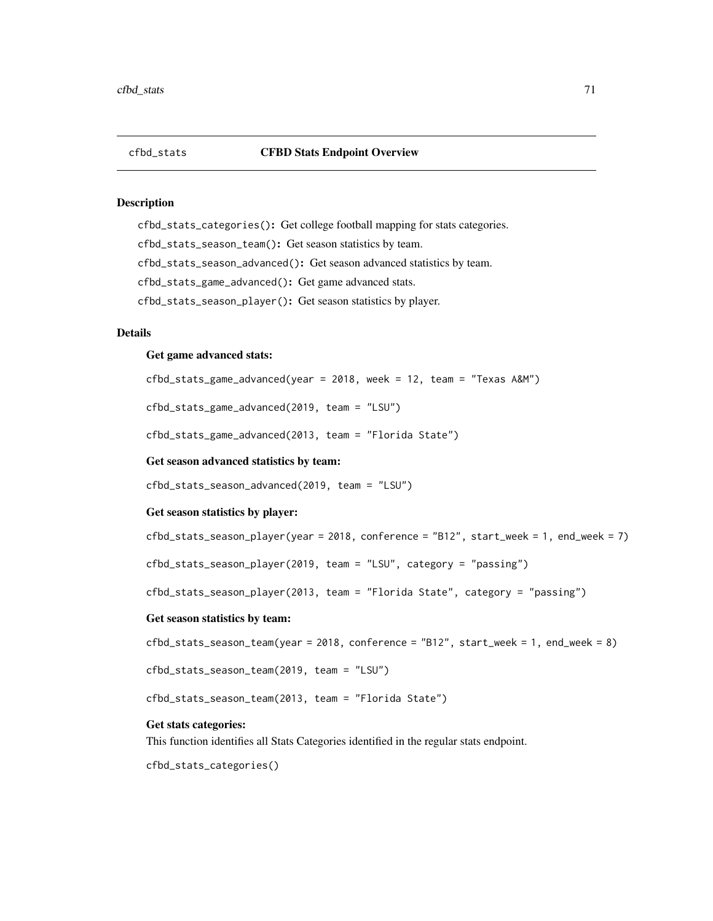# cfbd\_stats CFBD Stats Endpoint Overview

#### Description

cfbd\_stats\_categories(): Get college football mapping for stats categories. cfbd\_stats\_season\_team(): Get season statistics by team. cfbd\_stats\_season\_advanced(): Get season advanced statistics by team. cfbd\_stats\_game\_advanced(): Get game advanced stats. cfbd\_stats\_season\_player(): Get season statistics by player.

# Details

#### Get game advanced stats:

cfbd\_stats\_game\_advanced(year = 2018, week = 12, team = "Texas A&M")

cfbd\_stats\_game\_advanced(2019, team = "LSU")

cfbd\_stats\_game\_advanced(2013, team = "Florida State")

### Get season advanced statistics by team:

cfbd\_stats\_season\_advanced(2019, team = "LSU")

#### Get season statistics by player:

cfbd\_stats\_season\_player(year = 2018, conference = "B12", start\_week = 1, end\_week = 7)

cfbd\_stats\_season\_player(2019, team = "LSU", category = "passing")

cfbd\_stats\_season\_player(2013, team = "Florida State", category = "passing")

#### Get season statistics by team:

```
cfbd_stats_season_team(year = 2018, conference = "B12", start_week = 1, end_week = 8)
```
cfbd\_stats\_season\_team(2019, team = "LSU")

cfbd\_stats\_season\_team(2013, team = "Florida State")

#### Get stats categories:

This function identifies all Stats Categories identified in the regular stats endpoint.

cfbd\_stats\_categories()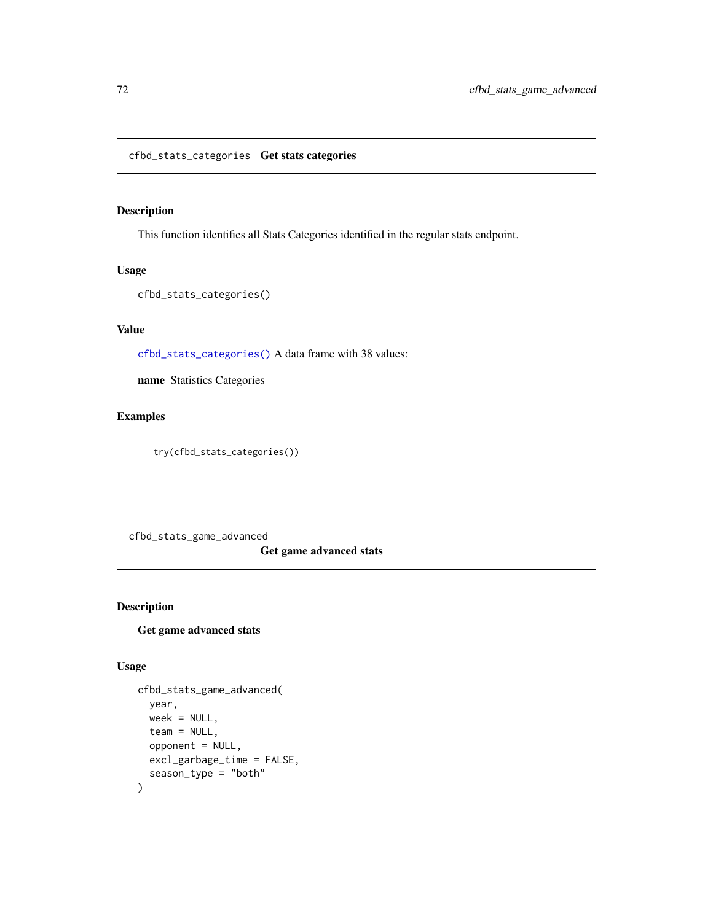<span id="page-71-0"></span>This function identifies all Stats Categories identified in the regular stats endpoint.

### Usage

```
cfbd_stats_categories()
```
# Value

[cfbd\\_stats\\_categories\(\)](#page-71-0) A data frame with 38 values:

name Statistics Categories

## Examples

try(cfbd\_stats\_categories())

cfbd\_stats\_game\_advanced

## Get game advanced stats

## Description

## Get game advanced stats

## Usage

```
cfbd_stats_game_advanced(
  year,
 week = NULL,team = NULL,
  opponent = NULL,
 excl_garbage_time = FALSE,
  season_type = "both"
\mathcal{E}
```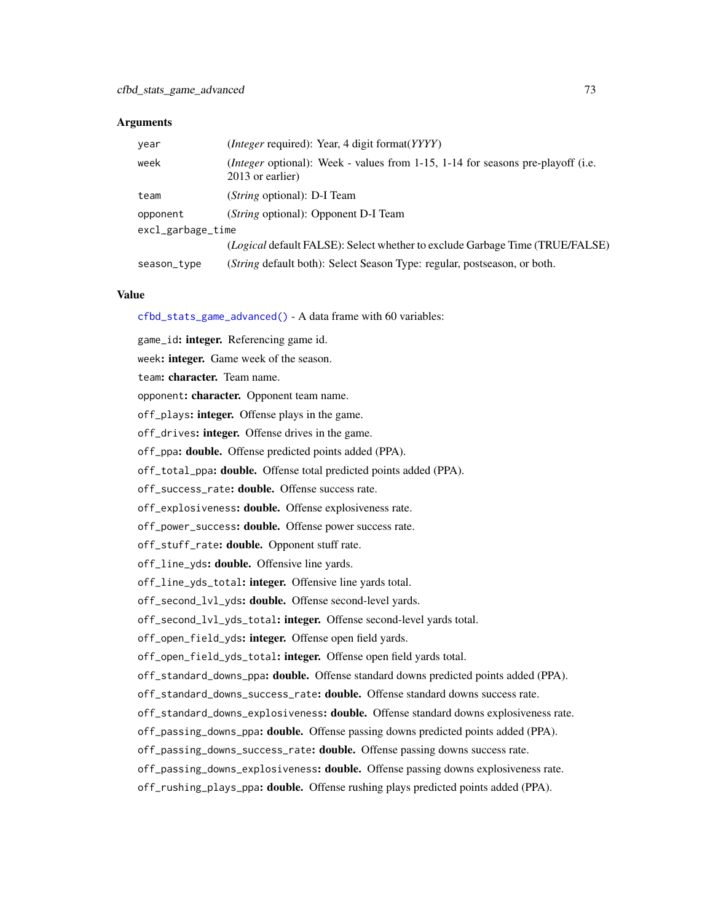#### **Arguments**

| year                  | ( <i>Integer</i> required): Year, 4 digit format( <i>YYYY</i> )                                                  |  |
|-----------------------|------------------------------------------------------------------------------------------------------------------|--|
| week                  | <i>(Integer optional)</i> : Week - values from $1-15$ , $1-14$ for seasons pre-playoff (i.e.<br>2013 or earlier) |  |
| team                  | ( <i>String</i> optional): D-I Team                                                                              |  |
| opponent              | ( <i>String</i> optional): Opponent D-I Team                                                                     |  |
| $excl\_garbage\_time$ |                                                                                                                  |  |
|                       | <i>(Logical default FALSE):</i> Select whether to exclude Garbage Time <i>(TRUE/FALSE)</i>                       |  |
| season_type           | (String default both): Select Season Type: regular, postseason, or both.                                         |  |

#### Value

[cfbd\\_stats\\_game\\_advanced\(\)](#page-71-0) - A data frame with 60 variables:

game\_id: integer. Referencing game id.

week: integer. Game week of the season.

team: character. Team name.

opponent: character. Opponent team name.

off\_plays: integer. Offense plays in the game.

off\_drives: integer. Offense drives in the game.

off\_ppa: **double.** Offense predicted points added (PPA).

off\_total\_ppa: double. Offense total predicted points added (PPA).

off\_success\_rate: double. Offense success rate.

off\_explosiveness: double. Offense explosiveness rate.

off\_power\_success: **double.** Offense power success rate.

off\_stuff\_rate: double. Opponent stuff rate.

off\_line\_yds: double. Offensive line yards.

off\_line\_yds\_total: integer. Offensive line yards total.

off\_second\_lvl\_yds: double. Offense second-level yards.

off\_second\_lvl\_yds\_total: integer. Offense second-level yards total.

off\_open\_field\_yds: integer. Offense open field yards.

off\_open\_field\_yds\_total: integer. Offense open field yards total.

off\_standard\_downs\_ppa: **double.** Offense standard downs predicted points added (PPA).

off\_standard\_downs\_success\_rate: double. Offense standard downs success rate.

off\_standard\_downs\_explosiveness: double. Offense standard downs explosiveness rate.

off\_passing\_downs\_ppa: double. Offense passing downs predicted points added (PPA).

off\_passing\_downs\_success\_rate: double. Offense passing downs success rate.

off\_passing\_downs\_explosiveness: double. Offense passing downs explosiveness rate.

off\_rushing\_plays\_ppa: double. Offense rushing plays predicted points added (PPA).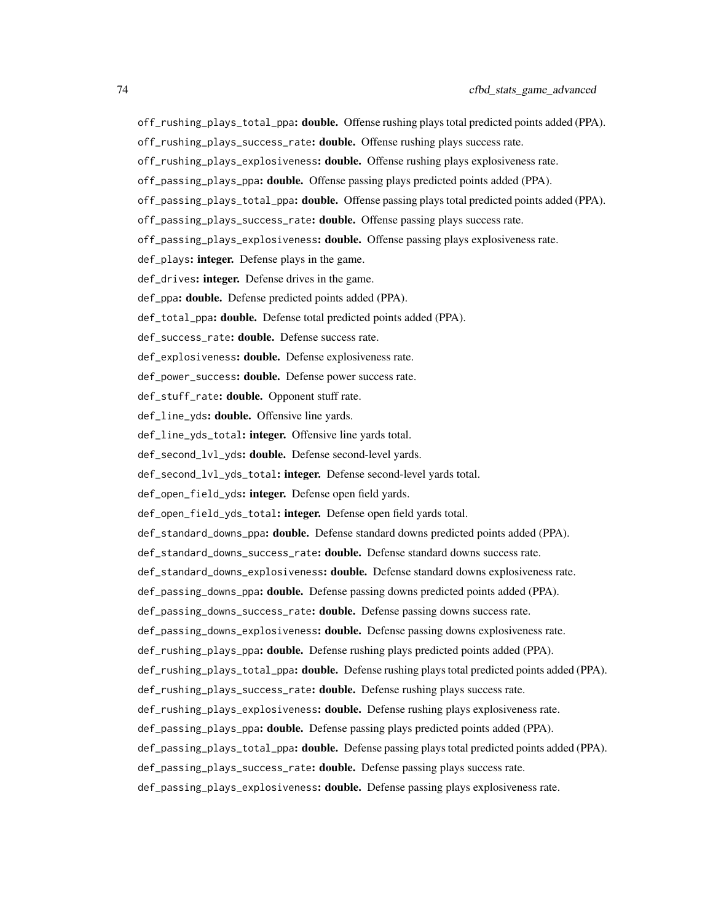- off\_rushing\_plays\_total\_ppa: double. Offense rushing plays total predicted points added (PPA).
- off\_rushing\_plays\_success\_rate: double. Offense rushing plays success rate.
- off\_rushing\_plays\_explosiveness: **double.** Offense rushing plays explosiveness rate.
- off\_passing\_plays\_ppa: double. Offense passing plays predicted points added (PPA).
- off\_passing\_plays\_total\_ppa: double. Offense passing plays total predicted points added (PPA).
- off\_passing\_plays\_success\_rate: double. Offense passing plays success rate.
- off\_passing\_plays\_explosiveness: double. Offense passing plays explosiveness rate.
- def\_plays: integer. Defense plays in the game.
- def\_drives: integer. Defense drives in the game.
- def\_ppa: **double.** Defense predicted points added (PPA).
- def\_total\_ppa: double. Defense total predicted points added (PPA).
- def\_success\_rate: double. Defense success rate.
- def\_explosiveness: double. Defense explosiveness rate.
- def\_power\_success: double. Defense power success rate.
- def\_stuff\_rate: double. Opponent stuff rate.
- def\_line\_yds: double. Offensive line yards.
- def\_line\_yds\_total: integer. Offensive line yards total.
- def\_second\_lvl\_yds: **double.** Defense second-level yards.
- def\_second\_lvl\_yds\_total: integer. Defense second-level yards total.
- def\_open\_field\_yds: integer. Defense open field yards.
- def\_open\_field\_yds\_total: integer. Defense open field yards total.
- def\_standard\_downs\_ppa: double. Defense standard downs predicted points added (PPA).
- def\_standard\_downs\_success\_rate: double. Defense standard downs success rate.
- def\_standard\_downs\_explosiveness: double. Defense standard downs explosiveness rate.
- def\_passing\_downs\_ppa: **double.** Defense passing downs predicted points added (PPA).
- def\_passing\_downs\_success\_rate: double. Defense passing downs success rate.
- def\_passing\_downs\_explosiveness: double. Defense passing downs explosiveness rate.
- def\_rushing\_plays\_ppa: **double.** Defense rushing plays predicted points added (PPA).
- def\_rushing\_plays\_total\_ppa: double. Defense rushing plays total predicted points added (PPA).
- def\_rushing\_plays\_success\_rate: double. Defense rushing plays success rate.
- def\_rushing\_plays\_explosiveness: **double.** Defense rushing plays explosiveness rate.
- def\_passing\_plays\_ppa: double. Defense passing plays predicted points added (PPA).
- def\_passing\_plays\_total\_ppa: **double.** Defense passing plays total predicted points added (PPA).
- def\_passing\_plays\_success\_rate: double. Defense passing plays success rate.
- def\_passing\_plays\_explosiveness: double. Defense passing plays explosiveness rate.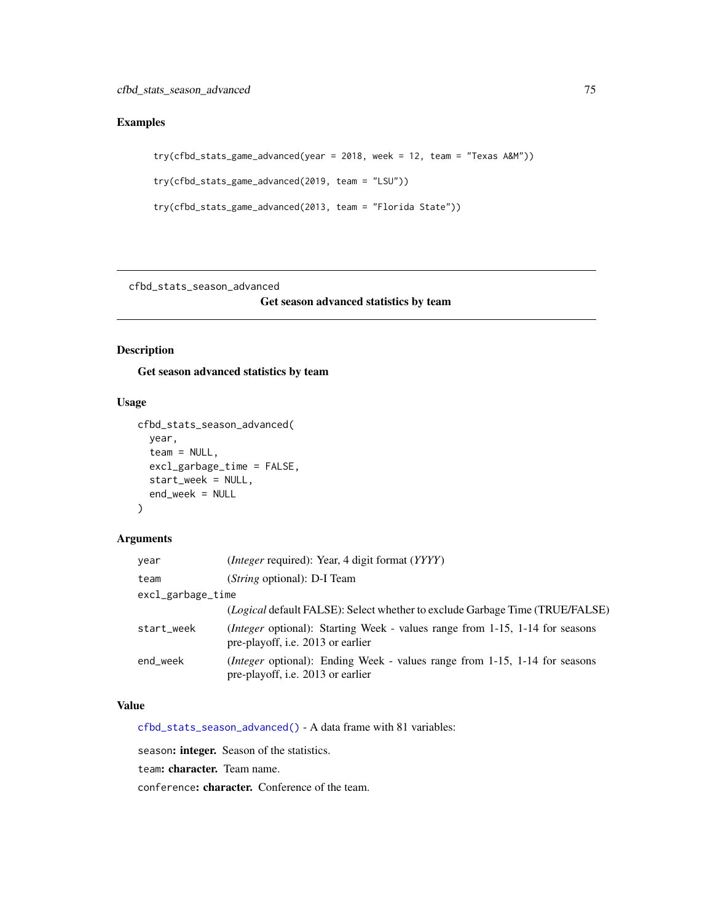# Examples

```
try(cfbd_stats_game_advanced(year = 2018, week = 12, team = "Texas A&M"))
try(cfbd_stats_game_advanced(2019, team = "LSU"))
try(cfbd_stats_game_advanced(2013, team = "Florida State"))
```
<span id="page-74-0"></span>cfbd\_stats\_season\_advanced

Get season advanced statistics by team

# Description

Get season advanced statistics by team

## Usage

```
cfbd_stats_season_advanced(
  year,
  team = NULL,
  excl_garbage_time = FALSE,
  start_week = NULL,
  end_week = NULL
\mathcal{L}
```
## Arguments

| year              | ( <i>Integer</i> required): Year, 4 digit format ( <i>YYYY</i> )                                                         |  |
|-------------------|--------------------------------------------------------------------------------------------------------------------------|--|
| team              | ( <i>String</i> optional): D-I Team                                                                                      |  |
| excl_garbage_time |                                                                                                                          |  |
|                   | ( <i>Logical</i> default FALSE): Select whether to exclude Garbage Time (TRUE/FALSE)                                     |  |
| start_week        | <i>(Integer optional):</i> Starting Week - values range from 1-15, 1-14 for seasons<br>pre-playoff, i.e. 2013 or earlier |  |
| end week          | ( <i>Integer</i> optional): Ending Week - values range from 1-15, 1-14 for seasons<br>pre-playoff, i.e. 2013 or earlier  |  |

## Value

[cfbd\\_stats\\_season\\_advanced\(\)](#page-74-0) - A data frame with 81 variables:

season: integer. Season of the statistics.

team: character. Team name.

conference: character. Conference of the team.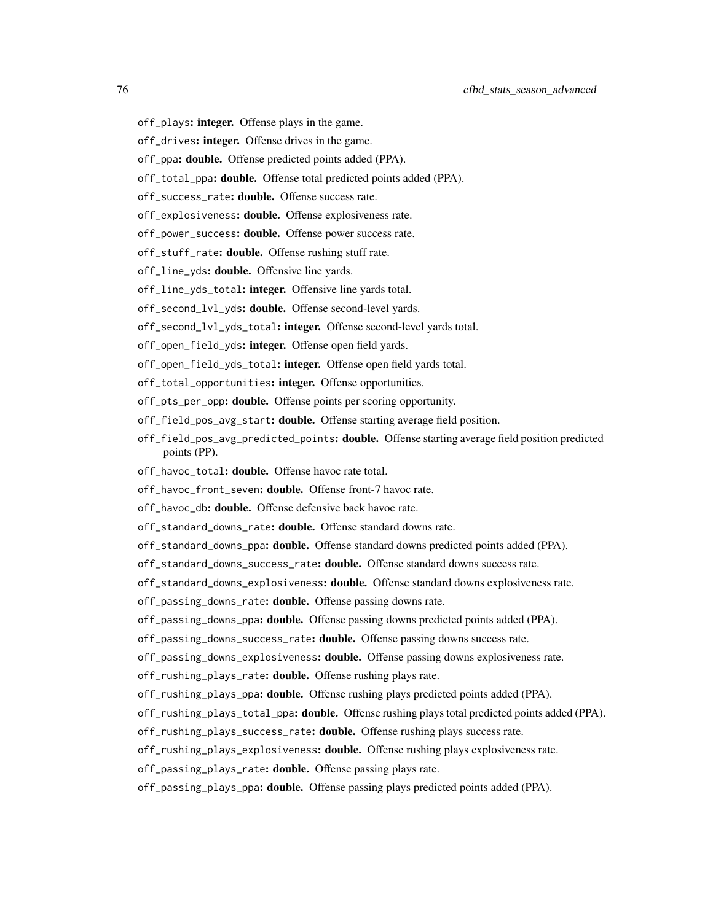- off\_plays: integer. Offense plays in the game.
- off\_drives: integer. Offense drives in the game.
- off\_ppa: **double.** Offense predicted points added (PPA).
- off\_total\_ppa: double. Offense total predicted points added (PPA).
- off\_success\_rate: double. Offense success rate.
- off\_explosiveness: double. Offense explosiveness rate.
- off\_power\_success: double. Offense power success rate.
- off\_stuff\_rate: double. Offense rushing stuff rate.
- off\_line\_yds: double. Offensive line yards.
- off\_line\_yds\_total: integer. Offensive line yards total.
- off\_second\_lvl\_yds: **double.** Offense second-level yards.
- off\_second\_lvl\_yds\_total: integer. Offense second-level yards total.
- off\_open\_field\_yds: integer. Offense open field yards.
- off\_open\_field\_yds\_total: integer. Offense open field yards total.
- off\_total\_opportunities: integer. Offense opportunities.
- off\_pts\_per\_opp: double. Offense points per scoring opportunity.
- off\_field\_pos\_avg\_start: double. Offense starting average field position.
- off\_field\_pos\_avg\_predicted\_points: double. Offense starting average field position predicted points (PP).
- off\_havoc\_total: double. Offense havoc rate total.
- off\_havoc\_front\_seven: double. Offense front-7 havoc rate.
- off\_havoc\_db: double. Offense defensive back havoc rate.
- off\_standard\_downs\_rate: **double.** Offense standard downs rate.
- off\_standard\_downs\_ppa: double. Offense standard downs predicted points added (PPA).
- off\_standard\_downs\_success\_rate: double. Offense standard downs success rate.
- off\_standard\_downs\_explosiveness: double. Offense standard downs explosiveness rate.
- off\_passing\_downs\_rate: double. Offense passing downs rate.
- off\_passing\_downs\_ppa: double. Offense passing downs predicted points added (PPA).
- off\_passing\_downs\_success\_rate: double. Offense passing downs success rate.
- off\_passing\_downs\_explosiveness: double. Offense passing downs explosiveness rate.
- off\_rushing\_plays\_rate: double. Offense rushing plays rate.
- off\_rushing\_plays\_ppa: double. Offense rushing plays predicted points added (PPA).
- off\_rushing\_plays\_total\_ppa: **double.** Offense rushing plays total predicted points added (PPA).
- off\_rushing\_plays\_success\_rate: double. Offense rushing plays success rate.
- off\_rushing\_plays\_explosiveness: **double.** Offense rushing plays explosiveness rate.
- off\_passing\_plays\_rate: **double.** Offense passing plays rate.
- off\_passing\_plays\_ppa: double. Offense passing plays predicted points added (PPA).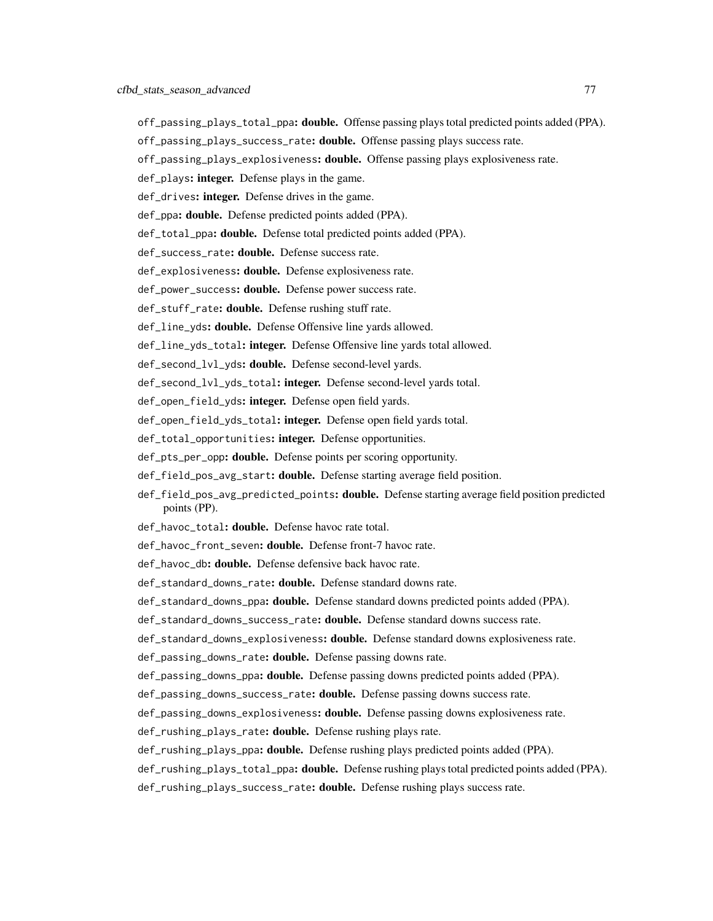- off\_passing\_plays\_total\_ppa: **double.** Offense passing plays total predicted points added (PPA).
- off\_passing\_plays\_success\_rate: double. Offense passing plays success rate.
- off\_passing\_plays\_explosiveness: double. Offense passing plays explosiveness rate.
- def\_plays: integer. Defense plays in the game.
- def\_drives: integer. Defense drives in the game.
- def\_ppa: **double.** Defense predicted points added (PPA).
- def\_total\_ppa: **double.** Defense total predicted points added (PPA).
- def\_success\_rate: double. Defense success rate.
- def\_explosiveness: double. Defense explosiveness rate.
- def\_power\_success: **double.** Defense power success rate.
- def\_stuff\_rate: double. Defense rushing stuff rate.
- def\_line\_yds: double. Defense Offensive line yards allowed.
- def\_line\_yds\_total: integer. Defense Offensive line yards total allowed.
- def\_second\_lvl\_yds: double. Defense second-level yards.
- def\_second\_lvl\_yds\_total: integer. Defense second-level yards total.
- def\_open\_field\_yds: integer. Defense open field yards.
- def\_open\_field\_yds\_total: integer. Defense open field yards total.
- def\_total\_opportunities: integer. Defense opportunities.
- def\_pts\_per\_opp: **double.** Defense points per scoring opportunity.
- def\_field\_pos\_avg\_start: **double.** Defense starting average field position.
- def\_field\_pos\_avg\_predicted\_points: **double.** Defense starting average field position predicted points (PP).
- def\_havoc\_total: double. Defense havoc rate total.
- def\_havoc\_front\_seven: double. Defense front-7 havoc rate.
- def\_havoc\_db: double. Defense defensive back havoc rate.
- def\_standard\_downs\_rate: double. Defense standard downs rate.
- def\_standard\_downs\_ppa: double. Defense standard downs predicted points added (PPA).
- def\_standard\_downs\_success\_rate: double. Defense standard downs success rate.
- def\_standard\_downs\_explosiveness: double. Defense standard downs explosiveness rate.
- def\_passing\_downs\_rate: **double.** Defense passing downs rate.
- def\_passing\_downs\_ppa: double. Defense passing downs predicted points added (PPA).
- def\_passing\_downs\_success\_rate: double. Defense passing downs success rate.
- def\_passing\_downs\_explosiveness: double. Defense passing downs explosiveness rate.
- def\_rushing\_plays\_rate: double. Defense rushing plays rate.
- def\_rushing\_plays\_ppa: **double.** Defense rushing plays predicted points added (PPA).
- def\_rushing\_plays\_total\_ppa: **double.** Defense rushing plays total predicted points added (PPA).
- def\_rushing\_plays\_success\_rate: double. Defense rushing plays success rate.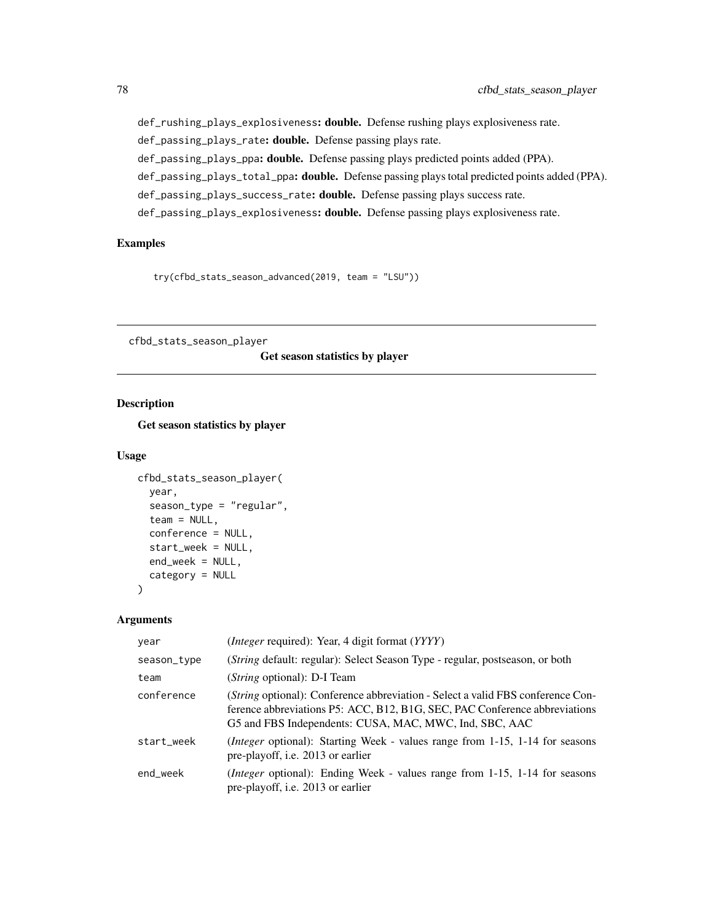def\_rushing\_plays\_explosiveness: double. Defense rushing plays explosiveness rate. def\_passing\_plays\_rate: double. Defense passing plays rate. def\_passing\_plays\_ppa: double. Defense passing plays predicted points added (PPA). def\_passing\_plays\_total\_ppa: double. Defense passing plays total predicted points added (PPA). def\_passing\_plays\_success\_rate: double. Defense passing plays success rate. def\_passing\_plays\_explosiveness: double. Defense passing plays explosiveness rate.

# Examples

```
try(cfbd_stats_season_advanced(2019, team = "LSU"))
```
<span id="page-77-0"></span>cfbd\_stats\_season\_player

Get season statistics by player

# Description

Get season statistics by player

## Usage

```
cfbd_stats_season_player(
  year,
  season_type = "regular",
  team = NULL,
  conference = NULL,
  start_week = NULL,
  end_week = NULL,
  category = NULL
)
```
#### Arguments

| year        | ( <i>Integer</i> required): Year, 4 digit format ( <i>YYYY</i> )                                                                                                                                                               |
|-------------|--------------------------------------------------------------------------------------------------------------------------------------------------------------------------------------------------------------------------------|
| season_type | (String default: regular): Select Season Type - regular, postseason, or both                                                                                                                                                   |
| team        | ( <i>String</i> optional): D-I Team                                                                                                                                                                                            |
| conference  | <i>(String optional):</i> Conference abbreviation - Select a valid FBS conference Con-<br>ference abbreviations P5: ACC, B12, B1G, SEC, PAC Conference abbreviations<br>G5 and FBS Independents: CUSA, MAC, MWC, Ind, SBC, AAC |
| start_week  | <i>(Integer optional):</i> Starting Week - values range from 1-15, 1-14 for seasons<br>pre-playoff, i.e. 2013 or earlier                                                                                                       |
| end week    | <i>(Integer</i> optional): Ending Week - values range from 1-15, 1-14 for seasons<br>pre-playoff, i.e. 2013 or earlier                                                                                                         |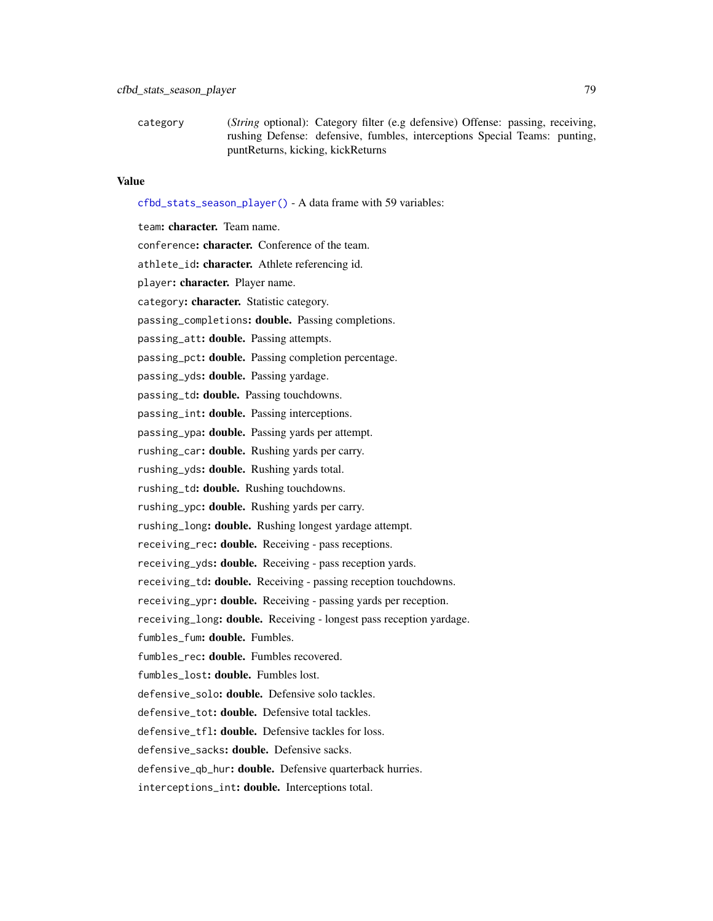category (*String* optional): Category filter (e.g defensive) Offense: passing, receiving, rushing Defense: defensive, fumbles, interceptions Special Teams: punting, puntReturns, kicking, kickReturns

#### Value

[cfbd\\_stats\\_season\\_player\(\)](#page-77-0) - A data frame with 59 variables:

team: character. Team name. conference: character. Conference of the team. athlete\_id: character. Athlete referencing id. player: character. Player name. category: character. Statistic category. passing\_completions: double. Passing completions. passing\_att: double. Passing attempts. passing\_pct: double. Passing completion percentage. passing\_yds: double. Passing yardage. passing\_td: double. Passing touchdowns. passing\_int: double. Passing interceptions. passing\_ypa: double. Passing yards per attempt. rushing\_car: double. Rushing yards per carry. rushing\_yds: double. Rushing yards total. rushing\_td: double. Rushing touchdowns. rushing\_ypc: **double.** Rushing yards per carry. rushing\_long: **double.** Rushing longest yardage attempt. receiving\_rec: double. Receiving - pass receptions. receiving\_yds: double. Receiving - pass reception yards. receiving\_td: double. Receiving - passing reception touchdowns. receiving\_ypr: double. Receiving - passing yards per reception. receiving\_long: double. Receiving - longest pass reception yardage. fumbles\_fum: double. Fumbles. fumbles\_rec: double. Fumbles recovered. fumbles\_lost: double. Fumbles lost. defensive solo: **double.** Defensive solo tackles. defensive\_tot: double. Defensive total tackles. defensive tfl: **double.** Defensive tackles for loss. defensive\_sacks: double. Defensive sacks. defensive\_qb\_hur: double. Defensive quarterback hurries.

interceptions\_int: double. Interceptions total.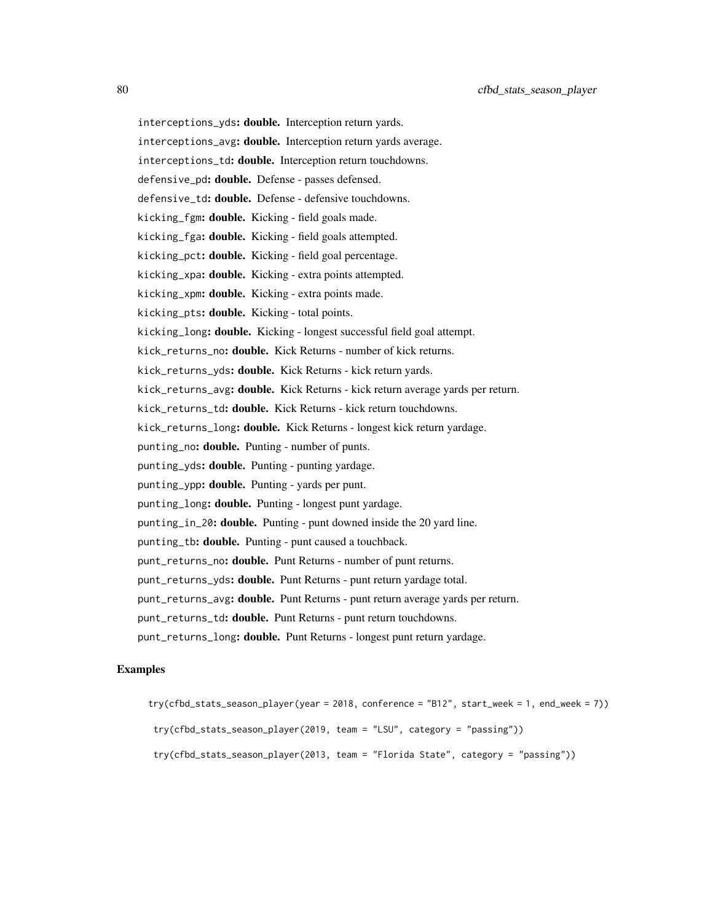```
interceptions_yds: double. Interception return yards.
interceptions_avg: double. Interception return yards average.
interceptions_td: double. Interception return touchdowns.
defensive_pd: double. Defense - passes defensed.
defensive_td: double. Defense - defensive touchdowns.
kicking_fgm: double. Kicking - field goals made.
kicking_fga: double. Kicking - field goals attempted.
kicking_pct: double. Kicking - field goal percentage.
kicking_xpa: double. Kicking - extra points attempted.
kicking_xpm: double. Kicking - extra points made.
kicking_pts: double. Kicking - total points.
kicking_long: double. Kicking - longest successful field goal attempt.
kick_returns_no: double. Kick Returns - number of kick returns.
kick_returns_yds: double. Kick Returns - kick return yards.
kick_returns_avg: double. Kick Returns - kick return average yards per return.
kick_returns_td: double. Kick Returns - kick return touchdowns.
kick_returns_long: double. Kick Returns - longest kick return yardage.
punting_no: double. Punting - number of punts.
punting_yds: double. Punting - punting yardage.
punting_ypp: double. Punting - yards per punt.
punting_long: double. Punting - longest punt yardage.
punting_in_20: double. Punting - punt downed inside the 20 yard line.
punting_tb: double. Punting - punt caused a touchback.
punt_returns_no: double. Punt Returns - number of punt returns.
punt_returns_yds: double. Punt Returns - punt return yardage total.
punt_returns_avg: double. Punt Returns - punt return average yards per return.
punt_returns_td: double. Punt Returns - punt return touchdowns.
punt_returns_long: double. Punt Returns - longest punt return yardage.
```
#### Examples

```
try(cfbd_stats_season_player(year = 2018, conference = "B12", start_week = 1, end_week = 7))
 try(cfbd_stats_season_player(2019, team = "LSU", category = "passing"))
 try(cfbd_stats_season_player(2013, team = "Florida State", category = "passing"))
```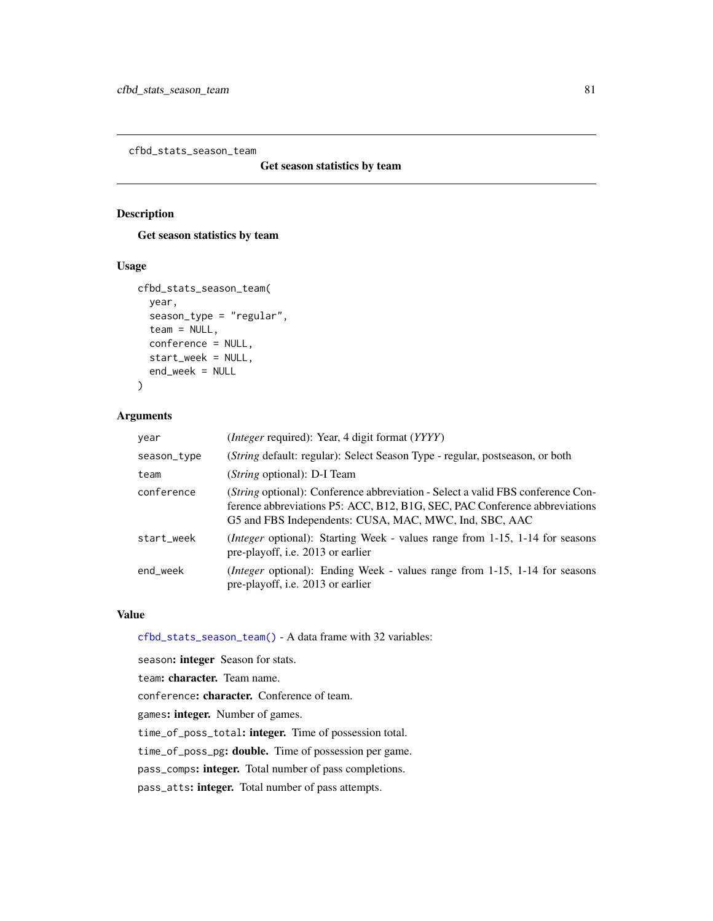<span id="page-80-0"></span>cfbd\_stats\_season\_team

Get season statistics by team

## Description

Get season statistics by team

#### Usage

```
cfbd_stats_season_team(
  year,
  season_type = "regular",
  team = NULL,conference = NULL,
  start_week = NULL,
  end_week = NULL
)
```
## Arguments

| year        | ( <i>Integer</i> required): Year, 4 digit format (YYYY)                                                                                                                                                                 |
|-------------|-------------------------------------------------------------------------------------------------------------------------------------------------------------------------------------------------------------------------|
| season_type | (String default: regular): Select Season Type - regular, postseason, or both                                                                                                                                            |
| team        | ( <i>String</i> optional): D-I Team                                                                                                                                                                                     |
| conference  | (String optional): Conference abbreviation - Select a valid FBS conference Con-<br>ference abbreviations P5: ACC, B12, B1G, SEC, PAC Conference abbreviations<br>G5 and FBS Independents: CUSA, MAC, MWC, Ind, SBC, AAC |
| start_week  | <i>(Integer optional):</i> Starting Week - values range from 1-15, 1-14 for seasons<br>pre-playoff, i.e. 2013 or earlier                                                                                                |
| end_week    | <i>(Integer optional):</i> Ending Week - values range from 1-15, 1-14 for seasons<br>pre-playoff, i.e. 2013 or earlier                                                                                                  |

## Value

[cfbd\\_stats\\_season\\_team\(\)](#page-80-0) - A data frame with 32 variables:

season: integer Season for stats.

team: character. Team name.

conference: character. Conference of team.

games: integer. Number of games.

time\_of\_poss\_total: integer. Time of possession total.

time\_of\_poss\_pg: double. Time of possession per game.

pass\_comps: integer. Total number of pass completions.

pass\_atts: integer. Total number of pass attempts.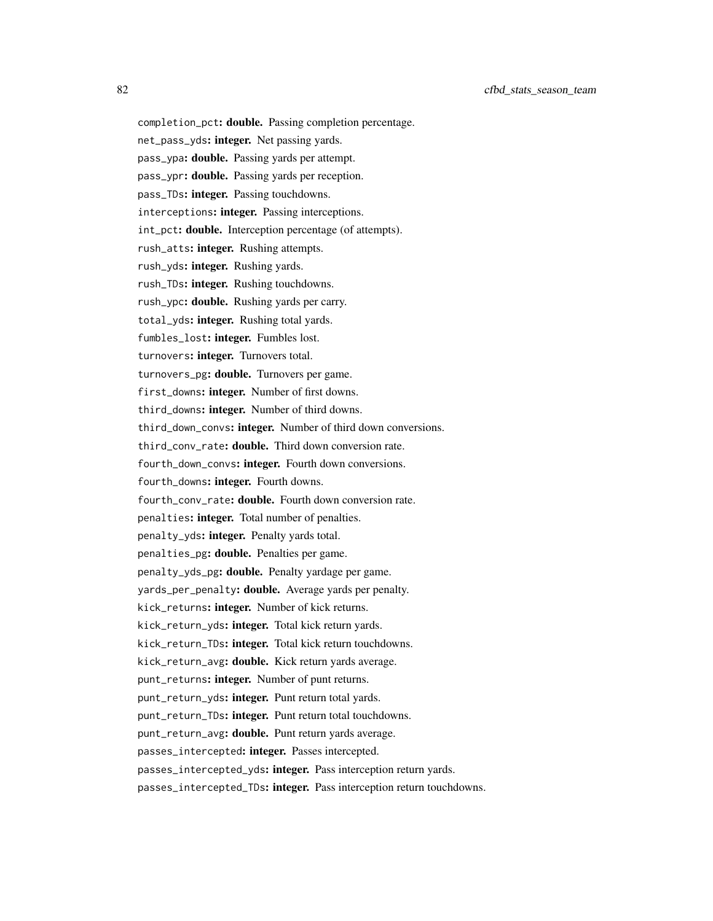completion\_pct: double. Passing completion percentage.

net\_pass\_yds: integer. Net passing yards.

pass\_ypa: double. Passing yards per attempt.

pass\_ypr: double. Passing yards per reception.

pass\_TDs: integer. Passing touchdowns.

interceptions: integer. Passing interceptions.

int\_pct: double. Interception percentage (of attempts).

rush\_atts: integer. Rushing attempts.

rush\_yds: integer. Rushing yards.

rush\_TDs: integer. Rushing touchdowns.

rush\_ypc: double. Rushing yards per carry.

total\_yds: integer. Rushing total yards.

fumbles\_lost: integer. Fumbles lost.

turnovers: integer. Turnovers total.

turnovers\_pg: double. Turnovers per game.

first\_downs: integer. Number of first downs.

third\_downs: integer. Number of third downs.

third\_down\_convs: integer. Number of third down conversions.

third\_conv\_rate: double. Third down conversion rate.

fourth\_down\_convs: integer. Fourth down conversions.

fourth\_downs: integer. Fourth downs.

fourth\_conv\_rate: double. Fourth down conversion rate.

penalties: integer. Total number of penalties.

penalty\_yds: integer. Penalty yards total.

penalties\_pg: double. Penalties per game.

penalty\_yds\_pg: double. Penalty yardage per game.

yards\_per\_penalty: **double.** Average yards per penalty.

kick\_returns: integer. Number of kick returns.

kick\_return\_yds: integer. Total kick return yards.

kick\_return\_TDs: integer. Total kick return touchdowns.

kick\_return\_avg: double. Kick return yards average.

punt\_returns: integer. Number of punt returns.

punt\_return\_yds: integer. Punt return total yards.

punt\_return\_TDs: integer. Punt return total touchdowns.

punt\_return\_avg: double. Punt return yards average.

passes\_intercepted: integer. Passes intercepted.

passes\_intercepted\_yds: integer. Pass interception return yards.

passes\_intercepted\_TDs: integer. Pass interception return touchdowns.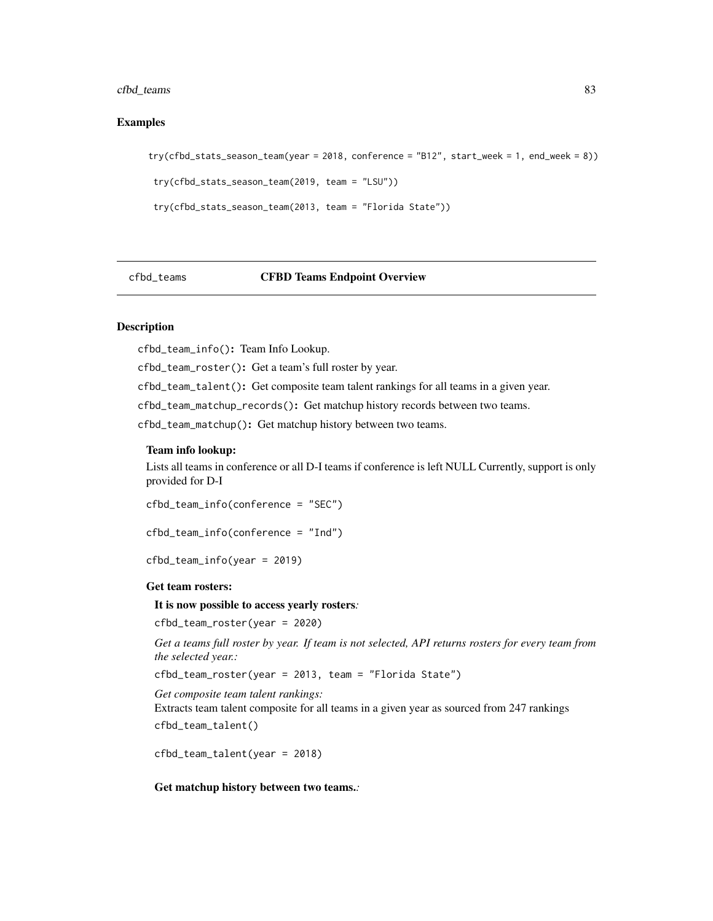#### cfbd\_teams 83

#### Examples

```
try(cfbd_stats_season_team(year = 2018, conference = "B12", start_week = 1, end_week = 8))
 try(cfbd_stats_season_team(2019, team = "LSU"))
 try(cfbd_stats_season_team(2013, team = "Florida State"))
```
#### cfbd\_teams CFBD Teams Endpoint Overview

# **Description**

cfbd\_team\_info(): Team Info Lookup.

cfbd\_team\_roster(): Get a team's full roster by year.

cfbd\_team\_talent(): Get composite team talent rankings for all teams in a given year.

cfbd\_team\_matchup\_records(): Get matchup history records between two teams.

cfbd\_team\_matchup(): Get matchup history between two teams.

#### Team info lookup:

Lists all teams in conference or all D-I teams if conference is left NULL Currently, support is only provided for D-I

cfbd\_team\_info(conference = "SEC")

```
cfbd_team_info(conference = "Ind")
```
cfbd\_team\_info(year = 2019)

#### Get team rosters:

#### It is now possible to access yearly rosters*:*

cfbd\_team\_roster(year = 2020)

*Get a teams full roster by year. If team is not selected, API returns rosters for every team from the selected year.:*

cfbd\_team\_roster(year = 2013, team = "Florida State")

*Get composite team talent rankings:*

Extracts team talent composite for all teams in a given year as sourced from 247 rankings cfbd\_team\_talent()

cfbd\_team\_talent(year = 2018)

Get matchup history between two teams.*:*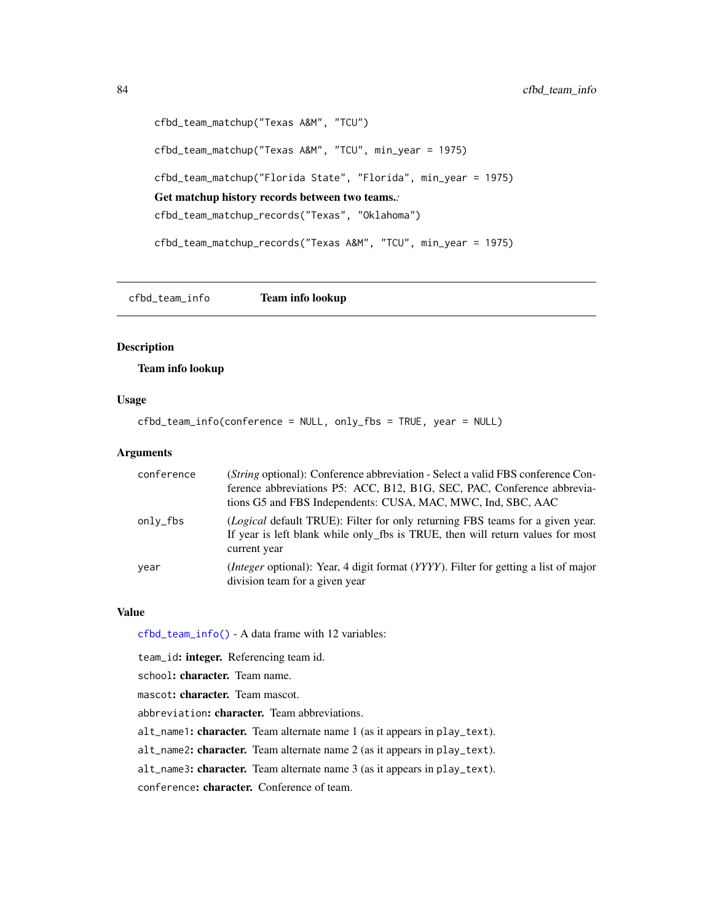```
cfbd_team_matchup("Texas A&M", "TCU")
cfbd_team_matchup("Texas A&M", "TCU", min_year = 1975)
cfbd_team_matchup("Florida State", "Florida", min_year = 1975)
Get matchup history records between two teams.:
cfbd_team_matchup_records("Texas", "Oklahoma")
cfbd_team_matchup_records("Texas A&M", "TCU", min_year = 1975)
```
<span id="page-83-0"></span>cfbd\_team\_info Team info lookup

#### Description

#### Team info lookup

#### Usage

cfbd\_team\_info(conference = NULL, only\_fbs = TRUE, year = NULL)

#### Arguments

| conference | ( <i>String</i> optional): Conference abbreviation - Select a valid FBS conference Con-<br>ference abbreviations P5: ACC, B12, B1G, SEC, PAC, Conference abbrevia-<br>tions G5 and FBS Independents: CUSA, MAC, MWC, Ind, SBC, AAC |
|------------|------------------------------------------------------------------------------------------------------------------------------------------------------------------------------------------------------------------------------------|
| only_fbs   | (Logical default TRUE): Filter for only returning FBS teams for a given year.<br>If year is left blank while only_fbs is TRUE, then will return values for most<br>current year                                                    |
| year       | <i>(Integer optional):</i> Year, 4 digit format <i>(YYYY)</i> . Filter for getting a list of major<br>division team for a given year                                                                                               |

#### Value

[cfbd\\_team\\_info\(\)](#page-83-0) - A data frame with 12 variables:

team\_id: integer. Referencing team id.

school: character. Team name.

mascot: character. Team mascot.

abbreviation: character. Team abbreviations.

alt\_name1: character. Team alternate name 1 (as it appears in play\_text).

alt\_name2: character. Team alternate name 2 (as it appears in play\_text).

alt\_name3: character. Team alternate name 3 (as it appears in play\_text).

conference: character. Conference of team.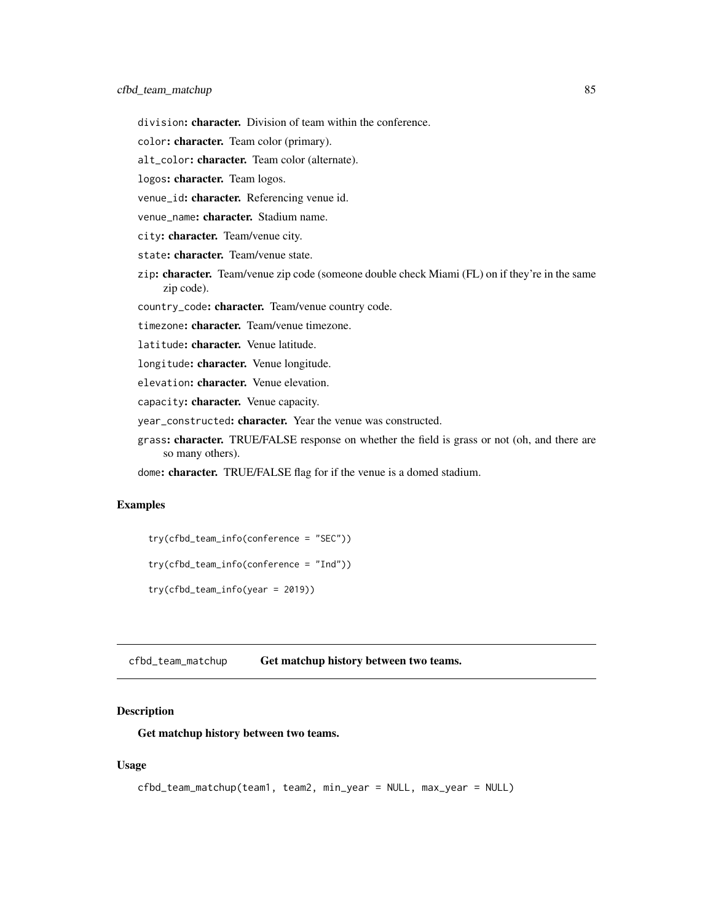division: character. Division of team within the conference.

color: character. Team color (primary).

alt\_color: character. Team color (alternate).

logos: character. Team logos.

venue\_id: character. Referencing venue id.

venue\_name: character. Stadium name.

city: character. Team/venue city.

state: character. Team/venue state.

zip: character. Team/venue zip code (someone double check Miami (FL) on if they're in the same zip code).

country\_code: character. Team/venue country code.

timezone: character. Team/venue timezone.

latitude: character. Venue latitude.

longitude: character. Venue longitude.

elevation: character. Venue elevation.

capacity: character. Venue capacity.

year\_constructed: character. Year the venue was constructed.

grass: character. TRUE/FALSE response on whether the field is grass or not (oh, and there are so many others).

dome: character. TRUE/FALSE flag for if the venue is a domed stadium.

# Examples

```
try(cfbd_team_info(conference = "SEC"))
try(cfbd_team_info(conference = "Ind"))
try(cfbd_team_info(year = 2019))
```
<span id="page-84-0"></span>cfbd\_team\_matchup Get matchup history between two teams.

#### Description

Get matchup history between two teams.

#### Usage

```
cfbd_team_matchup(team1, team2, min_year = NULL, max_year = NULL)
```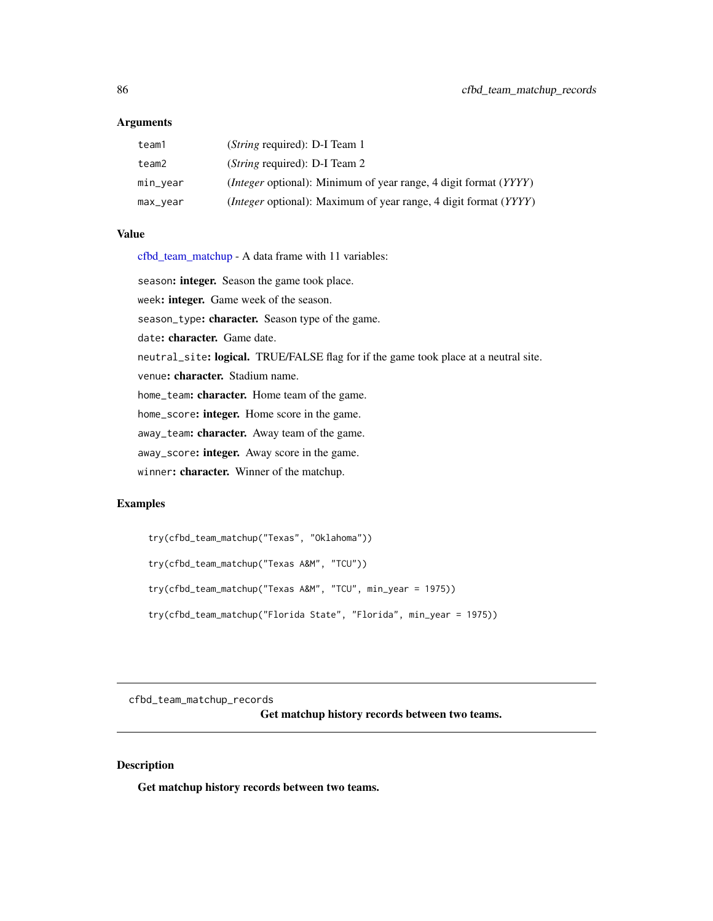#### **Arguments**

| team1    | ( <i>String required</i> ): D-I Team 1                                          |
|----------|---------------------------------------------------------------------------------|
| team2    | ( <i>String required</i> ): D-I Team 2                                          |
| min_vear | <i>(Integer optional)</i> : Minimum of year range, 4 digit format <i>(YYYY)</i> |
| max_vear | <i>(Integer optional)</i> : Maximum of year range, 4 digit format <i>(YYYY)</i> |

## Value

[cfbd\\_team\\_matchup](#page-84-0) - A data frame with 11 variables:

season: integer. Season the game took place.

week: integer. Game week of the season.

season\_type: character. Season type of the game.

date: character. Game date.

neutral\_site: logical. TRUE/FALSE flag for if the game took place at a neutral site.

venue: character. Stadium name.

home\_team: character. Home team of the game.

home\_score: integer. Home score in the game.

away\_team: character. Away team of the game.

away\_score: integer. Away score in the game.

winner: character. Winner of the matchup.

#### Examples

```
try(cfbd_team_matchup("Texas", "Oklahoma"))
try(cfbd_team_matchup("Texas A&M", "TCU"))
try(cfbd_team_matchup("Texas A&M", "TCU", min_year = 1975))
try(cfbd_team_matchup("Florida State", "Florida", min_year = 1975))
```
<span id="page-85-0"></span>cfbd\_team\_matchup\_records

Get matchup history records between two teams.

# Description

Get matchup history records between two teams.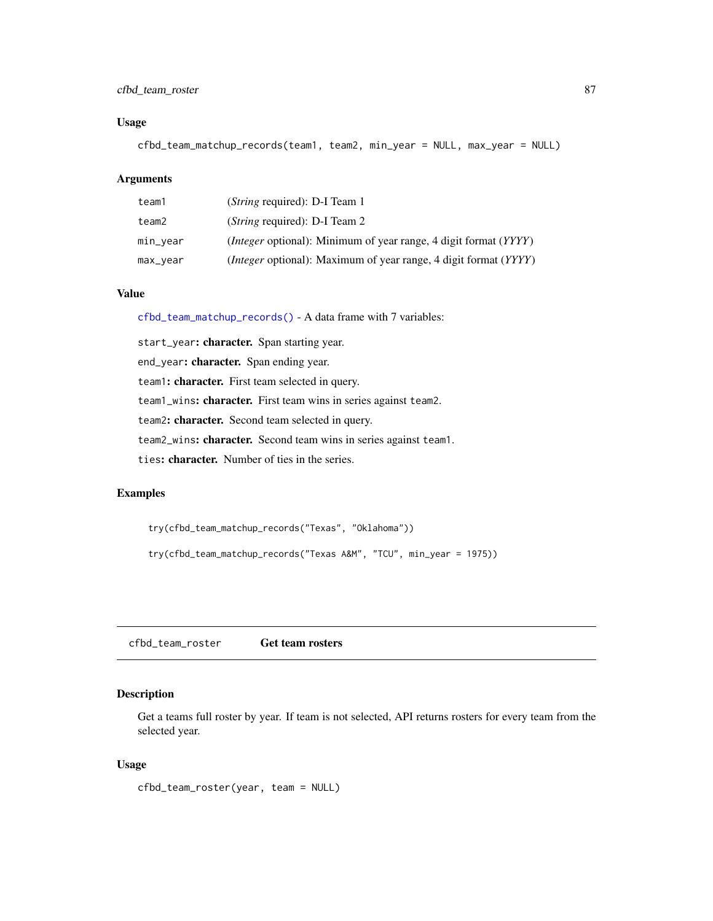## cfbd\_team\_roster 87

## Usage

cfbd\_team\_matchup\_records(team1, team2, min\_year = NULL, max\_year = NULL)

## Arguments

| team1    | ( <i>String</i> required): D-I Team 1                                           |
|----------|---------------------------------------------------------------------------------|
| team2    | ( <i>String</i> required): D-I Team 2                                           |
| min_vear | <i>(Integer optional)</i> : Minimum of year range, 4 digit format <i>(YYYY)</i> |
| max_year | <i>(Integer optional)</i> : Maximum of year range, 4 digit format <i>(YYYY)</i> |

## Value

[cfbd\\_team\\_matchup\\_records\(\)](#page-85-0) - A data frame with 7 variables:

start\_year: character. Span starting year. end\_year: character. Span ending year. team1: character. First team selected in query. team1\_wins: character. First team wins in series against team2. team2: character. Second team selected in query. team2\_wins: character. Second team wins in series against team1. ties: character. Number of ties in the series.

#### Examples

try(cfbd\_team\_matchup\_records("Texas", "Oklahoma"))

try(cfbd\_team\_matchup\_records("Texas A&M", "TCU", min\_year = 1975))

<span id="page-86-0"></span>cfbd\_team\_roster Get team rosters

## Description

Get a teams full roster by year. If team is not selected, API returns rosters for every team from the selected year.

#### Usage

cfbd\_team\_roster(year, team = NULL)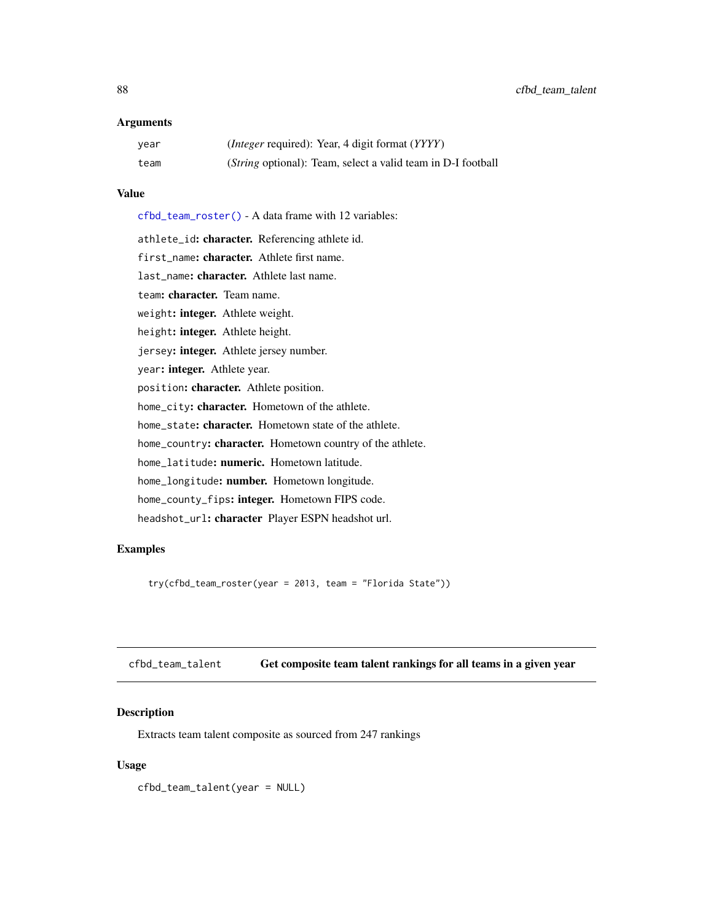#### **Arguments**

| year | ( <i>Integer</i> required): Year, 4 digit format ( <i>YYYY</i> )     |
|------|----------------------------------------------------------------------|
| team | ( <i>String</i> optional): Team, select a valid team in D-I football |

#### Value

[cfbd\\_team\\_roster\(\)](#page-86-0) - A data frame with 12 variables:

athlete\_id: character. Referencing athlete id. first\_name: character. Athlete first name. last\_name: character. Athlete last name. team: character. Team name. weight: integer. Athlete weight. height: integer. Athlete height. jersey: integer. Athlete jersey number. year: integer. Athlete year. position: character. Athlete position. home\_city: character. Hometown of the athlete. home\_state: character. Hometown state of the athlete. home\_country: character. Hometown country of the athlete. home\_latitude: numeric. Hometown latitude. home\_longitude: number. Hometown longitude. home\_county\_fips: integer. Hometown FIPS code. headshot\_url: character Player ESPN headshot url.

## Examples

try(cfbd\_team\_roster(year = 2013, team = "Florida State"))

<span id="page-87-0"></span>cfbd\_team\_talent Get composite team talent rankings for all teams in a given year

#### Description

Extracts team talent composite as sourced from 247 rankings

#### Usage

cfbd\_team\_talent(year = NULL)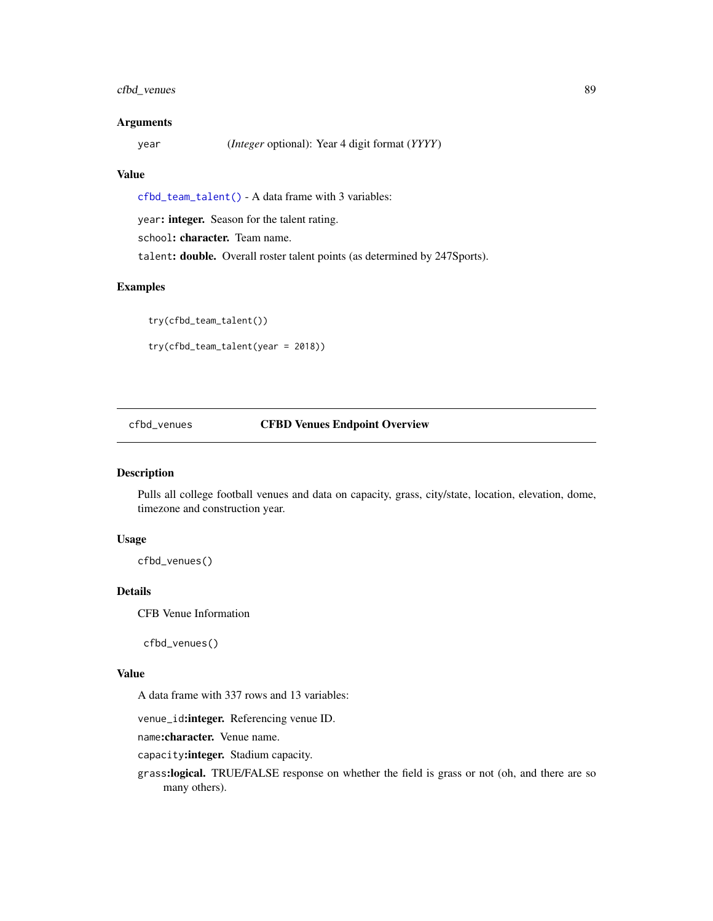## cfbd\_venues 89

#### Arguments

year (*Integer* optional): Year 4 digit format (*YYYY*)

#### Value

[cfbd\\_team\\_talent\(\)](#page-87-0) - A data frame with 3 variables:

year: integer. Season for the talent rating.

school: character. Team name.

talent: double. Overall roster talent points (as determined by 247Sports).

## Examples

```
try(cfbd_team_talent())
try(cfbd_team_talent(year = 2018))
```
## cfbd\_venues CFBD Venues Endpoint Overview

#### Description

Pulls all college football venues and data on capacity, grass, city/state, location, elevation, dome, timezone and construction year.

#### Usage

```
cfbd_venues()
```
#### Details

CFB Venue Information

cfbd\_venues()

## Value

A data frame with 337 rows and 13 variables:

venue\_id:integer. Referencing venue ID.

name:character. Venue name.

capacity:integer. Stadium capacity.

grass:logical. TRUE/FALSE response on whether the field is grass or not (oh, and there are so many others).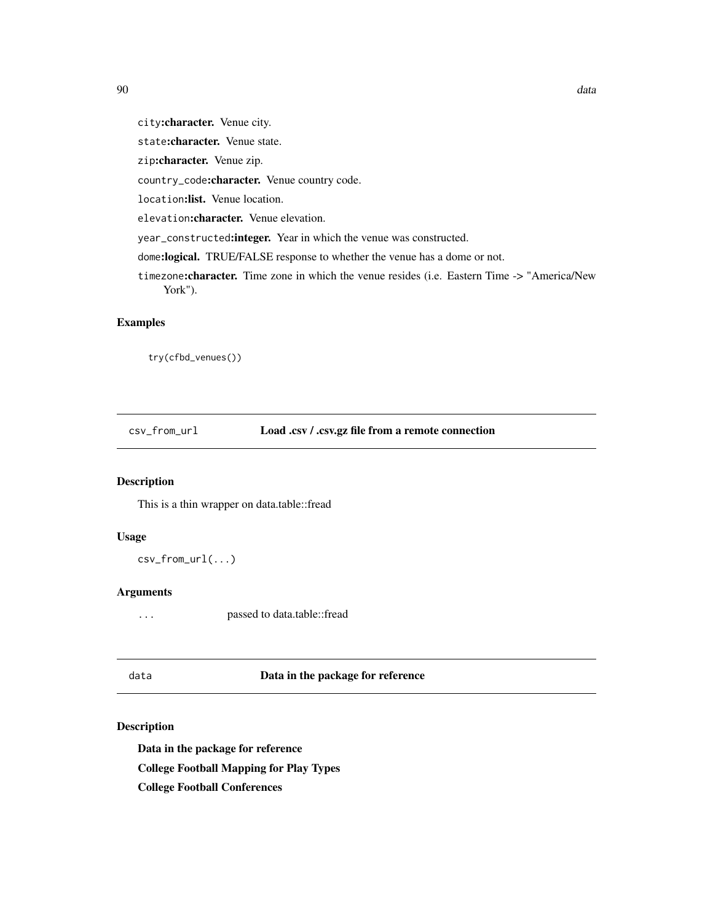city:character. Venue city.

state:character. Venue state.

zip:character. Venue zip.

country\_code:character. Venue country code.

location:list. Venue location.

elevation:character. Venue elevation.

year\_constructed:integer. Year in which the venue was constructed.

dome:logical. TRUE/FALSE response to whether the venue has a dome or not.

timezone: character. Time zone in which the venue resides (i.e. Eastern Time -> "America/New York").

#### Examples

try(cfbd\_venues())

csv\_from\_url Load .csv / .csv.gz file from a remote connection

#### Description

This is a thin wrapper on data.table::fread

## Usage

csv\_from\_url(...)

#### Arguments

... passed to data.table::fread

#### data Data in the package for reference

## Description

Data in the package for reference

College Football Mapping for Play Types

College Football Conferences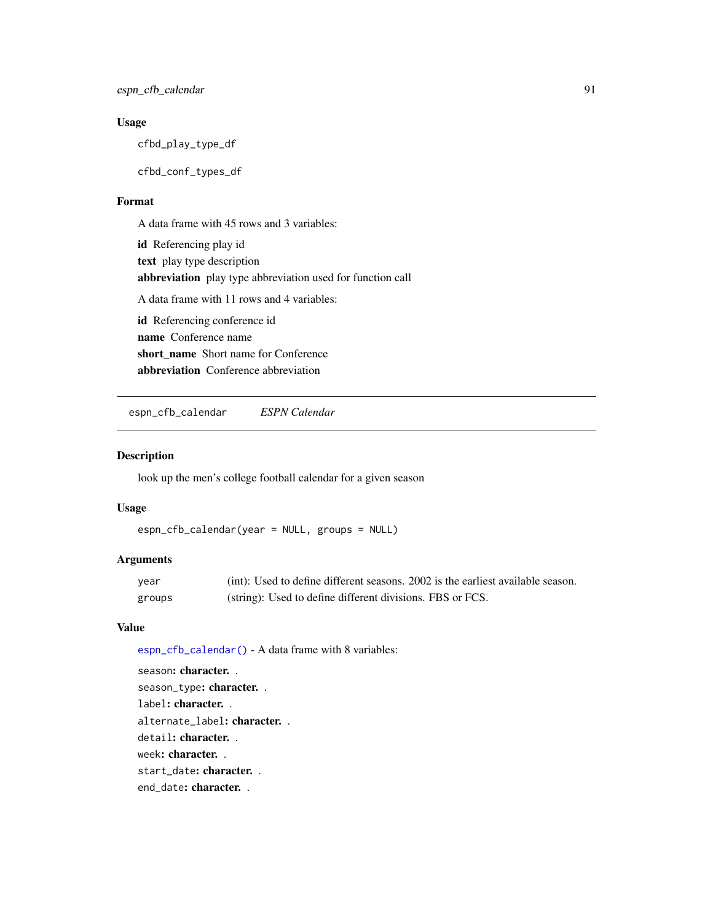## Usage

cfbd\_play\_type\_df

cfbd\_conf\_types\_df

#### Format

A data frame with 45 rows and 3 variables: id Referencing play id text play type description abbreviation play type abbreviation used for function call A data frame with 11 rows and 4 variables: id Referencing conference id name Conference name short name Short name for Conference abbreviation Conference abbreviation

<span id="page-90-0"></span>espn\_cfb\_calendar *ESPN Calendar*

#### Description

look up the men's college football calendar for a given season

#### Usage

```
espn_cfb_calendar(year = NULL, groups = NULL)
```
# Arguments

| year   | (int): Used to define different seasons. 2002 is the earliest available season. |
|--------|---------------------------------------------------------------------------------|
| groups | (string): Used to define different divisions. FBS or FCS.                       |

## Value

[espn\\_cfb\\_calendar\(\)](#page-90-0) - A data frame with 8 variables:

season: character. . season\_type: character. . label: character. . alternate\_label: character. . detail: character. . week: character. . start\_date: character. . end\_date: character. .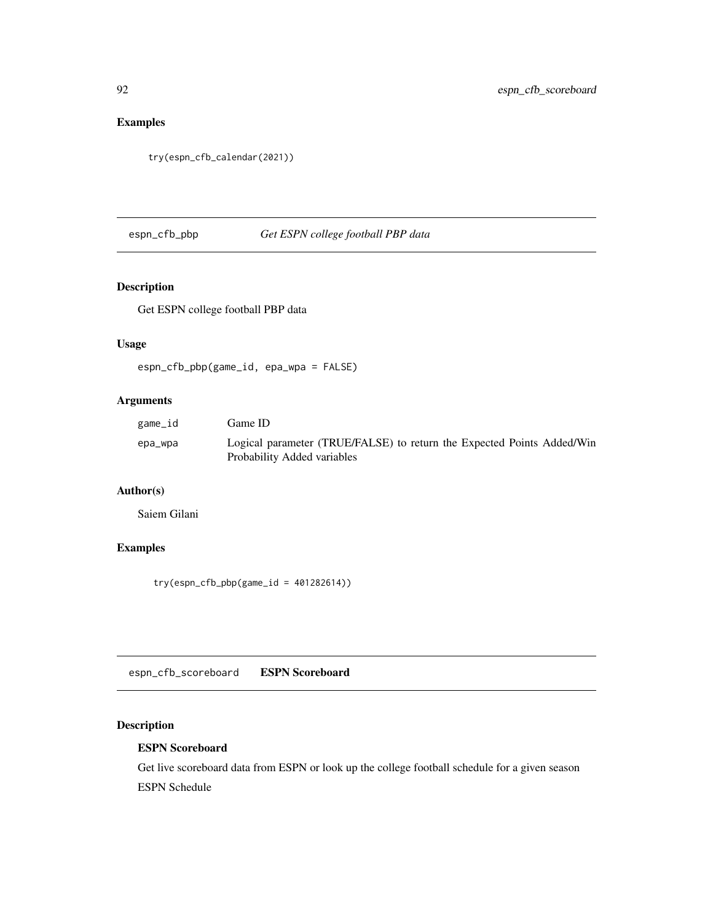# Examples

```
try(espn_cfb_calendar(2021))
```
espn\_cfb\_pbp *Get ESPN college football PBP data*

# Description

Get ESPN college football PBP data

## Usage

```
espn_cfb_pbp(game_id, epa_wpa = FALSE)
```
## Arguments

| game_id | Game ID                                                                                               |
|---------|-------------------------------------------------------------------------------------------------------|
| epa_wpa | Logical parameter (TRUE/FALSE) to return the Expected Points Added/Win<br>Probability Added variables |

# Author(s)

Saiem Gilani

## Examples

 $try(\text{espn\_cfb\_pbp}(\text{game\_id} = 401282614))$ 

<span id="page-91-0"></span>espn\_cfb\_scoreboard ESPN Scoreboard

# <span id="page-91-1"></span>Description

## ESPN Scoreboard

Get live scoreboard data from ESPN or look up the college football schedule for a given season ESPN Schedule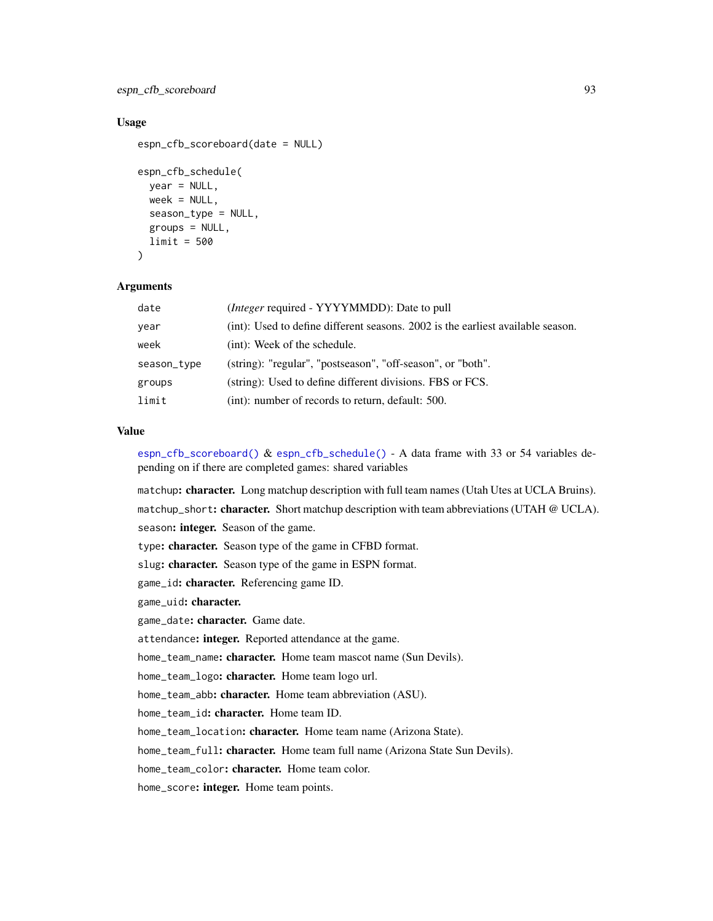espn\_cfb\_scoreboard 93

#### Usage

```
espn_cfb_scoreboard(date = NULL)
espn_cfb_schedule(
 year = NULL,
  week = NULL,season_type = NULL,
  groups = NULL,
  limit = 500
\lambda
```
#### Arguments

| date        | <i>(Integer required - YYYYMMDD): Date to pull</i>                              |
|-------------|---------------------------------------------------------------------------------|
| year        | (int): Used to define different seasons. 2002 is the earliest available season. |
| week        | (int): Week of the schedule.                                                    |
| season_type | (string): "regular", "postseason", "off-season", or "both".                     |
| groups      | (string): Used to define different divisions. FBS or FCS.                       |
| limit       | (int): number of records to return, default: 500.                               |

## Value

[espn\\_cfb\\_scoreboard\(\)](#page-91-0) & [espn\\_cfb\\_schedule\(\)](#page-91-1) - A data frame with 33 or 54 variables depending on if there are completed games: shared variables

matchup: character. Long matchup description with full team names (Utah Utes at UCLA Bruins). matchup\_short: character. Short matchup description with team abbreviations (UTAH @ UCLA). season: integer. Season of the game. type: character. Season type of the game in CFBD format. slug: character. Season type of the game in ESPN format. game\_id: character. Referencing game ID. game\_uid: character. game\_date: character. Game date. attendance: integer. Reported attendance at the game. home\_team\_name: character. Home team mascot name (Sun Devils). home\_team\_logo: character. Home team logo url. home\_team\_abb: character. Home team abbreviation (ASU). home\_team\_id: character. Home team ID. home\_team\_location: character. Home team name (Arizona State). home\_team\_full: character. Home team full name (Arizona State Sun Devils). home\_team\_color: character. Home team color. home\_score: integer. Home team points.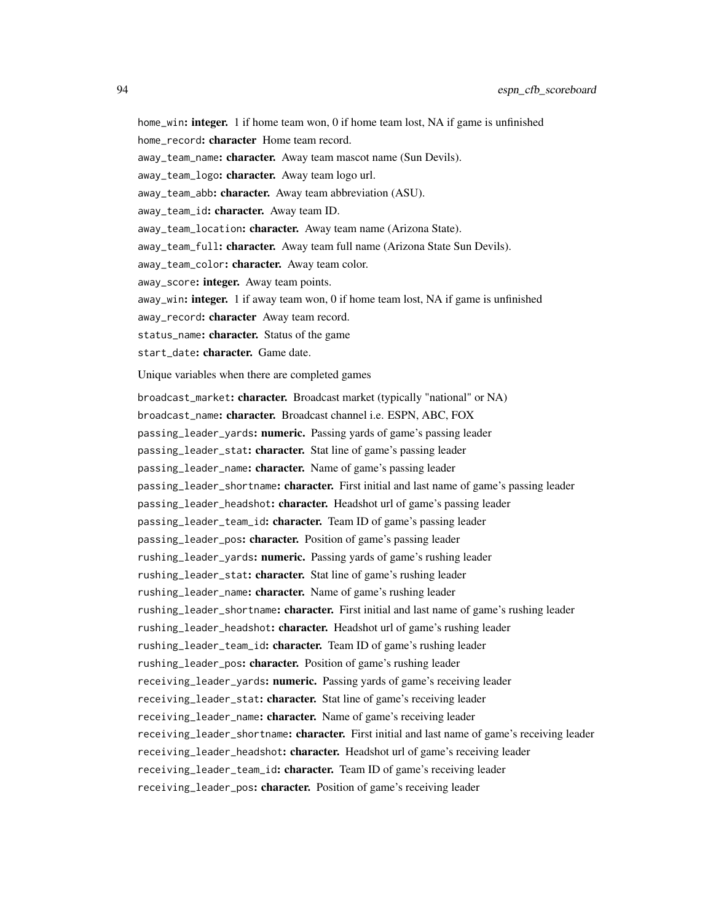home\_win: integer. 1 if home team won, 0 if home team lost, NA if game is unfinished

home\_record: character Home team record.

away\_team\_name: character. Away team mascot name (Sun Devils).

away\_team\_logo: character. Away team logo url.

away\_team\_abb: character. Away team abbreviation (ASU).

away\_team\_id: character. Away team ID.

away\_team\_location: character. Away team name (Arizona State).

away\_team\_full: character. Away team full name (Arizona State Sun Devils).

away\_team\_color: character. Away team color.

away\_score: integer. Away team points.

away\_win: integer. 1 if away team won, 0 if home team lost, NA if game is unfinished

away\_record: character Away team record.

status\_name: character. Status of the game

start\_date: character. Game date.

Unique variables when there are completed games

broadcast\_market: character. Broadcast market (typically "national" or NA) broadcast\_name: character. Broadcast channel i.e. ESPN, ABC, FOX passing\_leader\_yards: numeric. Passing yards of game's passing leader passing\_leader\_stat: character. Stat line of game's passing leader passing\_leader\_name: character. Name of game's passing leader passing\_leader\_shortname: character. First initial and last name of game's passing leader passing\_leader\_headshot: character. Headshot url of game's passing leader passing\_leader\_team\_id: character. Team ID of game's passing leader passing\_leader\_pos: character. Position of game's passing leader rushing\_leader\_yards: numeric. Passing yards of game's rushing leader rushing\_leader\_stat: character. Stat line of game's rushing leader rushing\_leader\_name: character. Name of game's rushing leader rushing\_leader\_shortname: character. First initial and last name of game's rushing leader rushing\_leader\_headshot: character. Headshot url of game's rushing leader rushing\_leader\_team\_id: character. Team ID of game's rushing leader rushing\_leader\_pos: character. Position of game's rushing leader receiving\_leader\_yards: numeric. Passing yards of game's receiving leader receiving\_leader\_stat: character. Stat line of game's receiving leader receiving\_leader\_name: character. Name of game's receiving leader receiving\_leader\_shortname: character. First initial and last name of game's receiving leader receiving\_leader\_headshot: character. Headshot url of game's receiving leader receiving\_leader\_team\_id: character. Team ID of game's receiving leader receiving\_leader\_pos: character. Position of game's receiving leader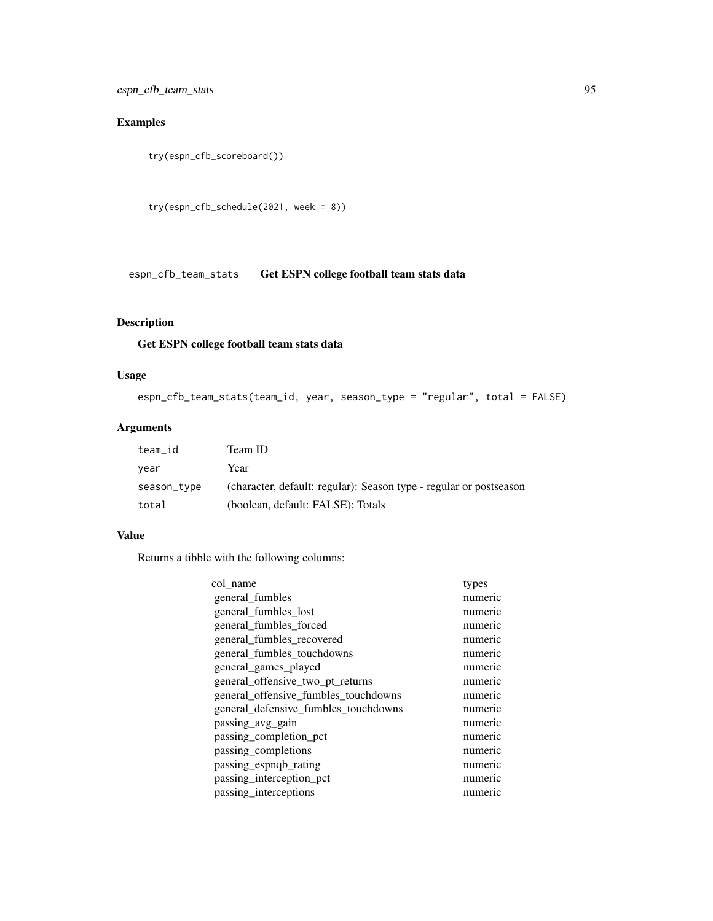espn\_cfb\_team\_stats 95

# Examples

```
try(espn_cfb_scoreboard())
```

```
try(espn_cfb_schedule(2021, week = 8))
```
espn\_cfb\_team\_stats Get ESPN college football team stats data

## Description

## Get ESPN college football team stats data

## Usage

```
espn_cfb_team_stats(team_id, year, season_type = "regular", total = FALSE)
```
## Arguments

| team id     | Team ID                                                            |
|-------------|--------------------------------------------------------------------|
| year        | Year                                                               |
| season_type | (character, default: regular): Season type - regular or postseason |
| total       | (boolean, default: FALSE): Totals                                  |

#### Value

Returns a tibble with the following columns:

| col name                             | types   |
|--------------------------------------|---------|
| general_fumbles                      | numeric |
| general fumbles lost                 | numeric |
| general_fumbles_forced               | numeric |
| general_fumbles_recovered            | numeric |
| general fumbles touchdowns           | numeric |
| general games played                 | numeric |
| general_offensive_two_pt_returns     | numeric |
| general_offensive_fumbles_touchdowns | numeric |
| general_defensive_fumbles_touchdowns | numeric |
| passing_avg_gain                     | numeric |
| passing completion pct               | numeric |
| passing_completions                  | numeric |
| passing_espnqb_rating                | numeric |
| passing_interception_pct             | numeric |
| passing interceptions                | numeric |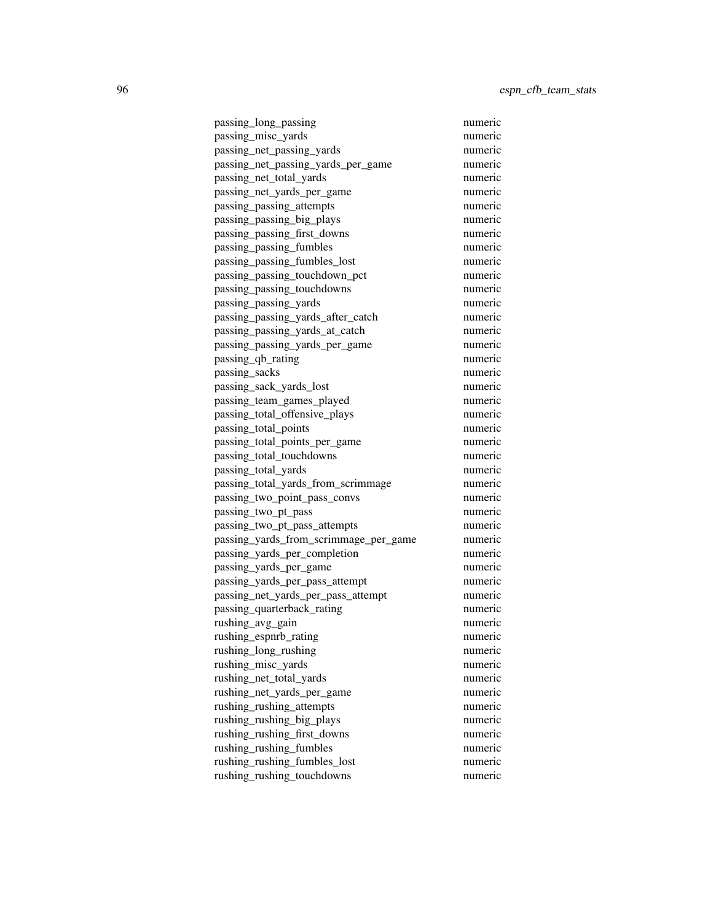passing\_long\_passing numeric passing\_misc\_yards numeric passing net passing vards numeric passing\_net\_passing\_yards\_per\_game numeric passing net total yards numeric passing\_net\_yards\_per\_game numeric passing\_passing\_attempts numeric passing\_passing\_big\_plays numeric passing passing first downs numeric passing\_passing\_fumbles numeric passing\_passing\_fumbles\_lost numeric passing\_passing\_touchdown\_pct numeric passing\_passing\_touchdowns numeric passing\_passing\_yards numeric passing\_passing\_yards\_after\_catch numeric passing\_passing\_yards\_at\_catch numeric passing\_passing\_yards\_per\_game numeric passing\_qb\_rating numeric passing sacks numeric passing\_sack\_yards\_lost numeric numeric passing\_team\_games\_played numeric passing total offensive plays numeric passing\_total\_points numeric passing\_total\_points\_per\_game numeric passing total touchdowns numeric passing total yards numeric passing\_total\_yards\_from\_scrimmage numeric passing\_two\_point\_pass\_convs numeric passing\_two\_pt\_pass numeric passing\_two\_pt\_pass\_attempts numeric passing\_yards\_from\_scrimmage\_per\_game numeric passing\_yards\_per\_completion numeric passing\_yards\_per\_game numeric passing\_yards\_per\_pass\_attempt numeric passing\_net\_yards\_per\_pass\_attempt numeric passing\_quarterback\_rating numeric rushing avg gain numeric rushing\_espnrb\_rating numeric rushing long rushing numeric rushing\_misc\_yards numeric rushing net total yards numeric rushing net yards per game numeric rushing rushing attempts numeric rushing\_rushing\_big\_plays numeric rushing rushing first downs numeric rushing\_rushing\_fumbles numeric rushing\_rushing\_fumbles\_lost numeric rushing\_rushing\_touchdowns numeric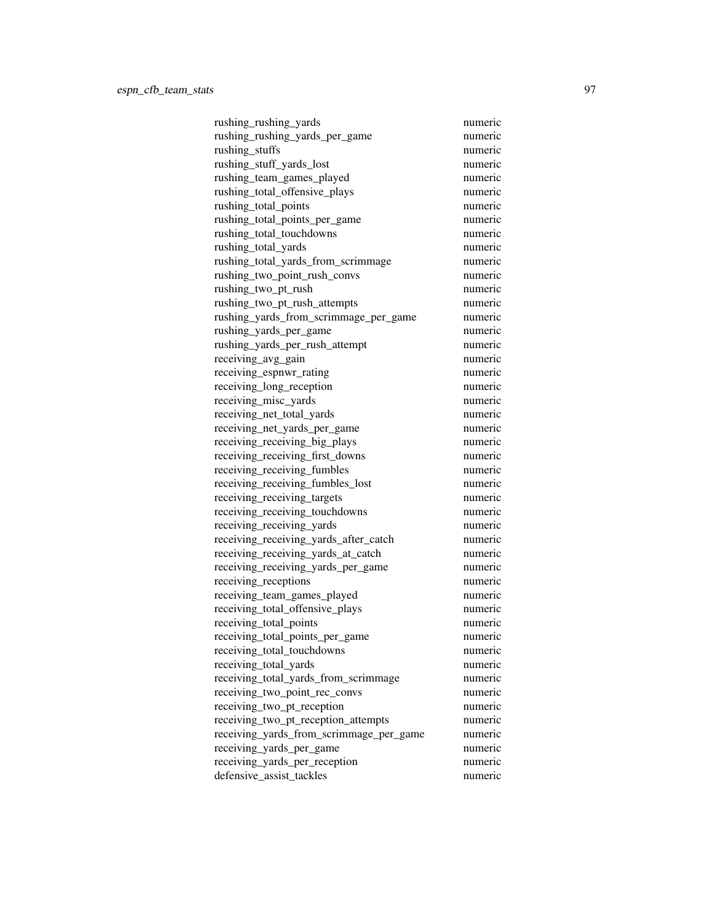rushing\_rushing\_yards numeric rushing\_rushing\_yards\_per\_game numeric rushing stuffs numeric rushing\_stuff\_yards\_lost numeric rushing team games played numeric rushing\_total\_offensive\_plays numeric rushing total points numeric rushing total points per game numeric rushing total touchdowns numeric rushing\_total\_yards numeric rushing\_total\_yards\_from\_scrimmage numeric rushing\_two\_point\_rush\_convs numeric rushing\_two\_pt\_rush numeric rushing\_two\_pt\_rush\_attempts numeric rushing\_yards\_from\_scrimmage\_per\_game numeric rushing\_yards\_per\_game numeric rushing\_yards\_per\_rush\_attempt numeric receiving\_avg\_gain numeric receiving espnwr rating numeric numeric receiving long reception numeric receiving\_misc\_yards numeric receiving net total yards numeric receiving\_net\_yards\_per\_game numeric receiving\_receiving\_big\_plays numeric receiving receiving first downs numeric receiving receiving fumbles numeric receiving\_receiving\_fumbles\_lost numeric receiving\_receiving\_targets numeric receiving\_receiving\_touchdowns numeric receiving\_receiving\_yards numeric receiving\_receiving\_yards\_after\_catch numeric receiving\_receiving\_yards\_at\_catch numeric receiving\_receiving\_yards\_per\_game numeric receiving\_receptions numeric receiving\_team\_games\_played numeric receiving\_total\_offensive\_plays numeric receiving total points numeric receiving\_total\_points\_per\_game numeric receiving total touchdowns numeric receiving\_total\_yards numeric receiving\_total\_yards\_from\_scrimmage numeric receiving two point rec\_convs numeric numeric receiving two pt reception numeric receiving\_two\_pt\_reception\_attempts numeric receiving\_yards\_from\_scrimmage\_per\_game numeric receiving\_yards\_per\_game numeric receiving\_yards\_per\_reception numeric defensive\_assist\_tackles numeric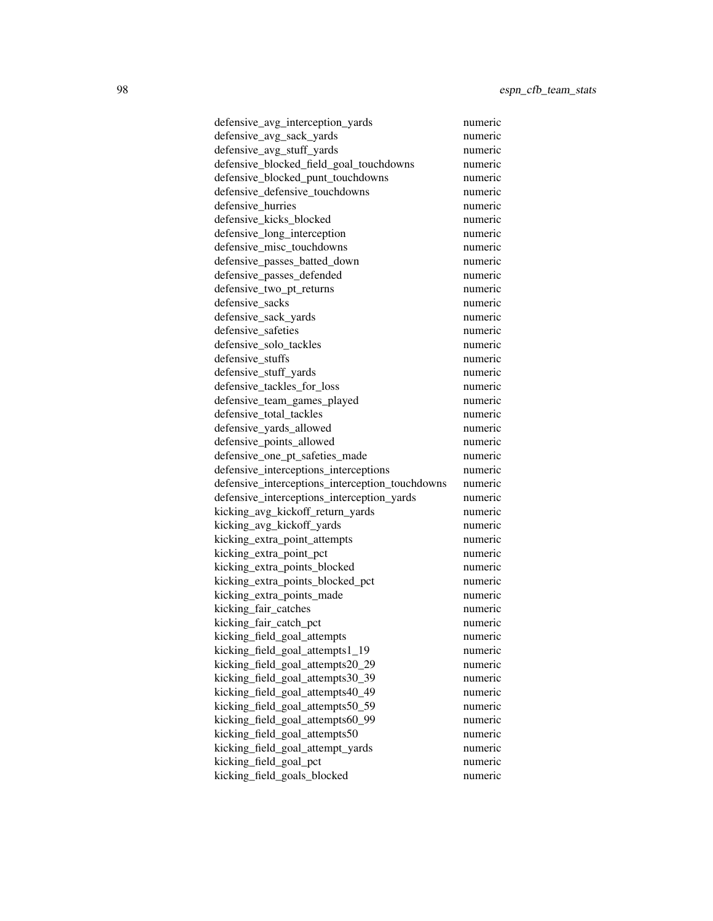defensive\_avg\_interception\_yards numeric defensive avg sack vards numeric defensive avg stuff yards numeric defensive\_blocked\_field\_goal\_touchdowns numeric defensive blocked punt touchdowns numeric defensive\_defensive\_touchdowns numeric defensive hurries numeric defensive kicks blocked numeric defensive long interception numeric defensive\_misc\_touchdowns numeric defensive\_passes\_batted\_down numeric defensive\_passes\_defended numeric defensive\_two\_pt\_returns numeric defensive\_sacks numeric defensive\_sack\_yards numeric defensive\_safeties numeric defensive solo tackles numeric defensive\_stuffs numeric numeric defensive stuff yards numeric defensive tackles for loss numeric defensive\_team\_games\_played numeric defensive total tackles numeric defensive\_yards\_allowed numeric defensive points allowed numeric defensive one pt safeties made numeric defensive interceptions interceptions numeric defensive\_interceptions\_interception\_touchdowns numeric defensive\_interceptions\_interception\_yards numeric kicking\_avg\_kickoff\_return\_yards numeric kicking\_avg\_kickoff\_yards numeric kicking\_extra\_point\_attempts numeric kicking\_extra\_point\_pct numeric kicking\_extra\_points\_blocked numeric kicking\_extra\_points\_blocked\_pct numeric kicking\_extra\_points\_made numeric kicking\_fair\_catches numeric kicking fair catch pct numeric kicking\_field\_goal\_attempts numeric kicking field goal attempts1\_19 numeric kicking\_field\_goal\_attempts20\_29 numeric kicking\_field\_goal\_attempts30\_39 numeric kicking field goal attempts40 49 numeric kicking field goal attempts50 59 numeric kicking\_field\_goal\_attempts60\_99 numeric kicking\_field\_goal\_attempts50 numeric kicking\_field\_goal\_attempt\_yards numeric kicking\_field\_goal\_pct numeric kicking\_field\_goals\_blocked numeric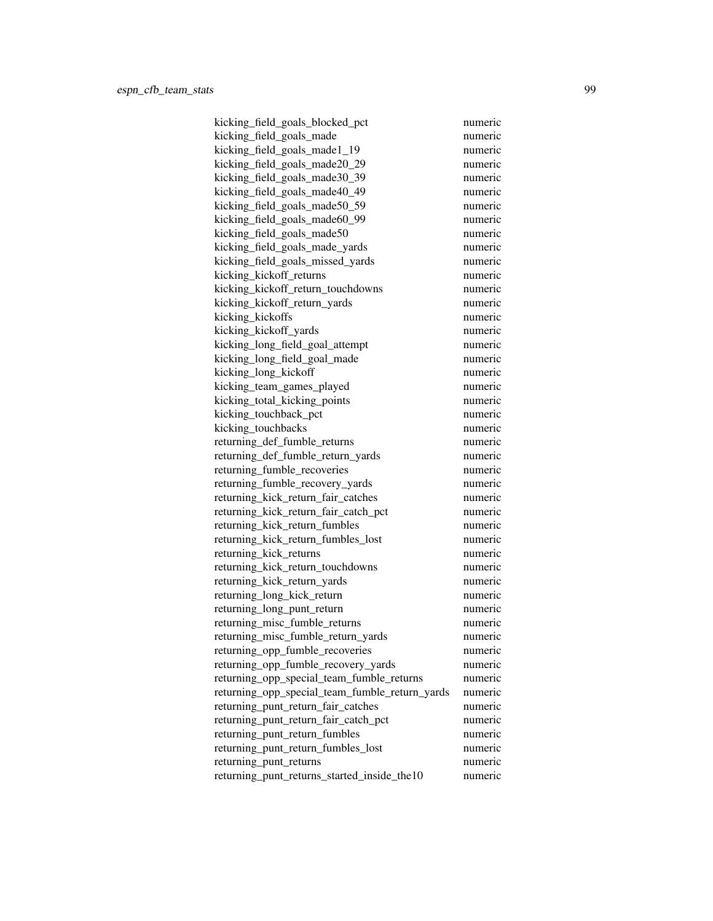kicking\_field\_goals\_blocked\_pct numeric kicking field goals made numeric kicking field goals made1 19 numeric kicking\_field\_goals\_made20\_29 numeric kicking field goals made30 39 numeric kicking\_field\_goals\_made40\_49 numeric kicking\_field\_goals\_made50\_59 numeric kicking field goals made60 99 numeric kicking field goals made50 numeric kicking\_field\_goals\_made\_yards numeric kicking\_field\_goals\_missed\_yards numeric kicking\_kickoff\_returns numeric kicking\_kickoff\_return\_touchdowns numeric kicking\_kickoff\_return\_yards numeric kicking\_kickoffs numeric kicking\_kickoff\_yards numeric kicking\_long\_field\_goal\_attempt numeric kicking\_long\_field\_goal\_made numeric kicking\_long\_kickoff numeric kicking team games played numeric kicking\_total\_kicking\_points numeric kicking touchback pct numeric kicking\_touchbacks numeric returning\_def\_fumble\_returns numeric returning def fumble return yards numeric returning fumble recoveries numeric returning\_fumble\_recovery\_yards numeric returning\_kick\_return\_fair\_catches numeric returning\_kick\_return\_fair\_catch\_pct numeric returning\_kick\_return\_fumbles numeric returning\_kick\_return\_fumbles\_lost numeric returning\_kick\_returns numeric returning\_kick\_return\_touchdowns numeric returning\_kick\_return\_yards numeric returning\_long\_kick\_return numeric numeric returning\_long\_punt\_return numeric returning misc fumble returns numeric returning\_misc\_fumble\_return\_yards numeric returning opp fumble recoveries numeric returning\_opp\_fumble\_recovery\_yards numeric returning\_opp\_special\_team\_fumble\_returns numeric returning\_opp\_special\_team\_fumble\_return\_yards numeric returning punt return fair catches numeric returning\_punt\_return\_fair\_catch\_pct numeric returning punt return fumbles numeric returning\_punt\_return\_fumbles\_lost numeric returning\_punt\_returns numeric returning\_punt\_returns\_started\_inside\_the10 numeric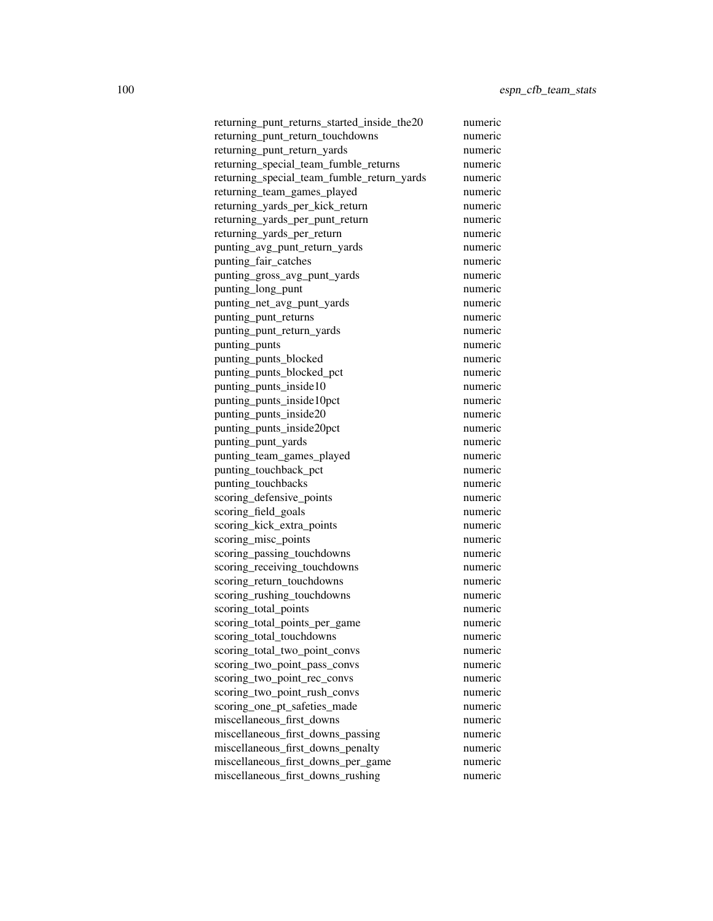returning\_punt\_returns\_started\_inside\_the20 numeric returning punt return touchdowns numeric returning punt return yards numeric returning\_special\_team\_fumble\_returns numeric returning\_special\_team\_fumble\_return\_yards numeric returning\_team\_games\_played numeric returning\_yards\_per\_kick\_return numeric returning yards per punt return numeric returning yards per return numeric punting\_avg\_punt\_return\_yards numeric punting\_fair\_catches numeric punting\_gross\_avg\_punt\_yards numeric punting\_long\_punt numeric punting\_net\_avg\_punt\_yards numeric punting\_punt\_returns numeric punting\_punt\_return\_yards numeric punting\_punts numeric punting\_punts\_blocked numeric punting\_punts\_blocked\_pct numeric punting punts inside10 numeric punting\_punts\_inside10pct numeric punting punts inside20 numeric punting\_punts\_inside20pct numeric punting\_punt\_yards numeric punting team games played numeric punting touchback pct numeric punting\_touchbacks numeric scoring\_defensive\_points numeric scoring\_field\_goals numeric scoring\_kick\_extra\_points numeric scoring\_misc\_points numeric scoring\_passing\_touchdowns numeric scoring\_receiving\_touchdowns numeric scoring\_return\_touchdowns numeric scoring\_rushing\_touchdowns numeric scoring\_total\_points numeric scoring total points per game numeric scoring\_total\_touchdowns numeric scoring total two point convs numeric scoring\_two\_point\_pass\_convs numeric scoring two point rec\_convs numeric numeric scoring two point rush convs numeric scoring one pt safeties made numeric miscellaneous\_first\_downs numeric miscellaneous first downs passing numeric miscellaneous\_first\_downs\_penalty numeric miscellaneous\_first\_downs\_per\_game numeric miscellaneous\_first\_downs\_rushing numeric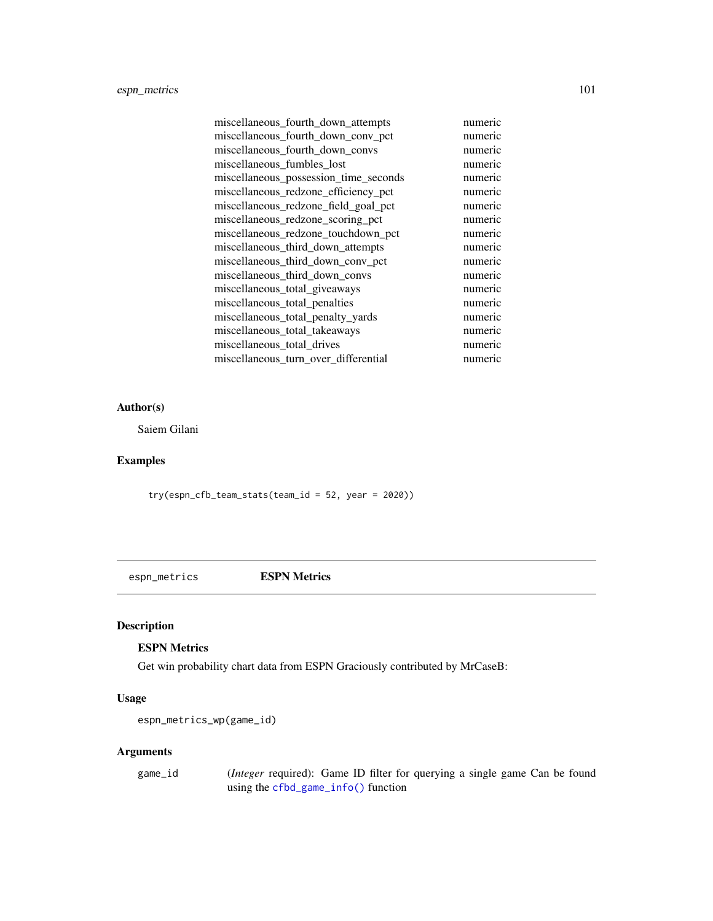# espn\_metrics 101

| miscellaneous_fourth_down_attempts    | numeric |
|---------------------------------------|---------|
| miscellaneous_fourth_down_conv_pct    | numeric |
| miscellaneous_fourth_down_convs       | numeric |
| miscellaneous fumbles lost            | numeric |
| miscellaneous_possession_time_seconds | numeric |
| miscellaneous_redzone_efficiency_pct  | numeric |
| miscellaneous_redzone_field_goal_pct  | numeric |
| miscellaneous_redzone_scoring_pct     | numeric |
| miscellaneous_redzone_touchdown_pct   | numeric |
| miscellaneous_third_down_attempts     | numeric |
| miscellaneous_third_down_conv_pct     | numeric |
| miscellaneous_third_down_convs        | numeric |
| miscellaneous_total_giveaways         | numeric |
| miscellaneous_total_penalties         | numeric |
| miscellaneous_total_penalty_yards     | numeric |
| miscellaneous_total_takeaways         | numeric |
| miscellaneous_total_drives            | numeric |
| miscellaneous_turn_over_differential  | numeric |

## Author(s)

Saiem Gilani

# Examples

try(espn\_cfb\_team\_stats(team\_id = 52, year = 2020))

espn\_metrics ESPN Metrics

# <span id="page-100-0"></span>Description

# ESPN Metrics

Get win probability chart data from ESPN Graciously contributed by MrCaseB:

# Usage

```
espn_metrics_wp(game_id)
```
## Arguments

game\_id (*Integer* required): Game ID filter for querying a single game Can be found using the [cfbd\\_game\\_info\(\)](#page-16-0) function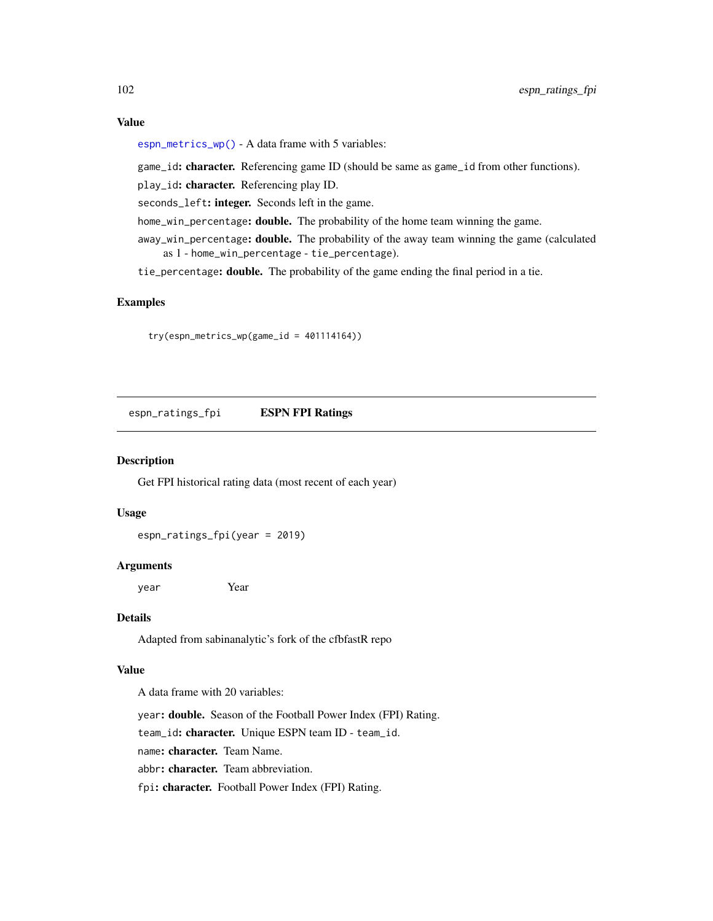# Value

[espn\\_metrics\\_wp\(\)](#page-100-0) - A data frame with 5 variables:

game\_id: character. Referencing game ID (should be same as game\_id from other functions).

play\_id: character. Referencing play ID.

seconds\_left: integer. Seconds left in the game.

home\_win\_percentage: double. The probability of the home team winning the game.

away\_win\_percentage: double. The probability of the away team winning the game (calculated as 1 - home\_win\_percentage - tie\_percentage).

tie\_percentage: double. The probability of the game ending the final period in a tie.

# Examples

try(espn\_metrics\_wp(game\_id = 401114164))

espn\_ratings\_fpi ESPN FPI Ratings

## Description

Get FPI historical rating data (most recent of each year)

#### Usage

espn\_ratings\_fpi(year = 2019)

#### Arguments

year Year

## Details

Adapted from sabinanalytic's fork of the cfbfastR repo

## Value

A data frame with 20 variables:

year: double. Season of the Football Power Index (FPI) Rating.

team\_id: character. Unique ESPN team ID - team\_id.

name: character. Team Name.

abbr: character. Team abbreviation.

fpi: character. Football Power Index (FPI) Rating.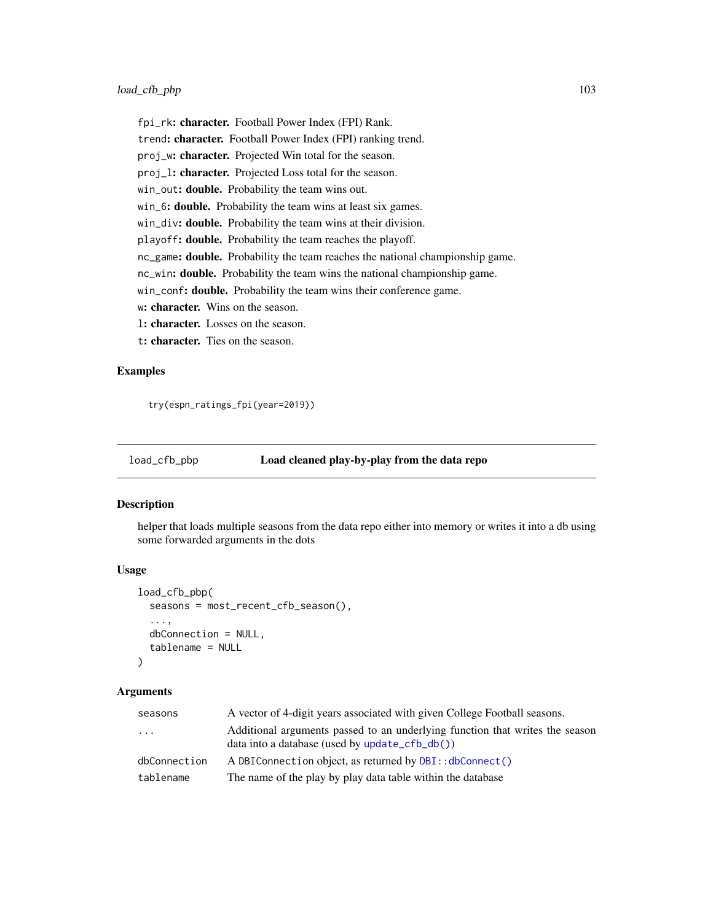fpi\_rk: character. Football Power Index (FPI) Rank. trend: character. Football Power Index (FPI) ranking trend. proj\_w: character. Projected Win total for the season. proj\_l: character. Projected Loss total for the season. win\_out: **double.** Probability the team wins out. win\_6: **double.** Probability the team wins at least six games. win\_div: double. Probability the team wins at their division. playoff: double. Probability the team reaches the playoff. nc\_game: double. Probability the team reaches the national championship game. nc\_win: double. Probability the team wins the national championship game. win\_conf: double. Probability the team wins their conference game. w: character. Wins on the season. l: character. Losses on the season. t: character. Ties on the season.

## Examples

try(espn\_ratings\_fpi(year=2019))

#### load\_cfb\_pbp Load cleaned play-by-play from the data repo

#### Description

helper that loads multiple seasons from the data repo either into memory or writes it into a db using some forwarded arguments in the dots

#### Usage

```
load_cfb_pbp(
  seasons = most_recent_cfb_season(),
  ...,
  dbConnection = NULL,
  tablename = NULL
\mathcal{L}
```
# Arguments

| seasons      | A vector of 4-digit years associated with given College Football seasons.                                                           |
|--------------|-------------------------------------------------------------------------------------------------------------------------------------|
| $\ddots$     | Additional arguments passed to an underlying function that writes the season<br>$data$ into a database (used by $update_cfb_db()$ ) |
| dbConnection | A DBIConnection object, as returned by DBI:: dbConnect()                                                                            |
| tablename    | The name of the play by play data table within the database                                                                         |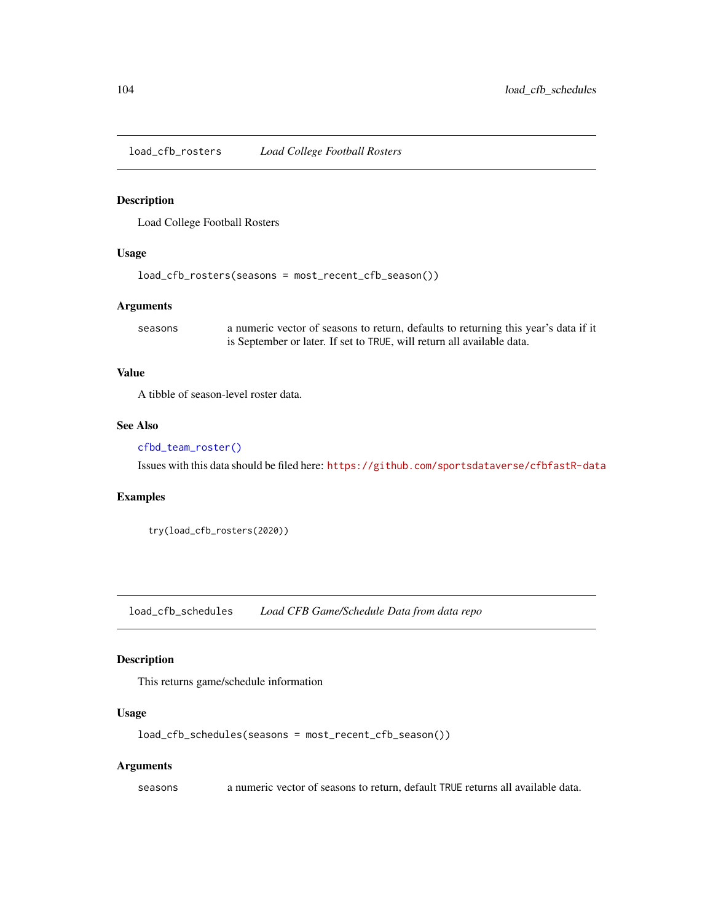load\_cfb\_rosters *Load College Football Rosters*

## Description

Load College Football Rosters

#### Usage

```
load_cfb_rosters(seasons = most_recent_cfb_season())
```
## Arguments

seasons a numeric vector of seasons to return, defaults to returning this year's data if it is September or later. If set to TRUE, will return all available data.

## Value

A tibble of season-level roster data.

## See Also

## [cfbd\\_team\\_roster\(\)](#page-86-0)

Issues with this data should be filed here: <https://github.com/sportsdataverse/cfbfastR-data>

#### Examples

```
try(load_cfb_rosters(2020))
```
load\_cfb\_schedules *Load CFB Game/Schedule Data from data repo*

# Description

This returns game/schedule information

## Usage

```
load_cfb_schedules(seasons = most_recent_cfb_season())
```
#### Arguments

seasons a numeric vector of seasons to return, default TRUE returns all available data.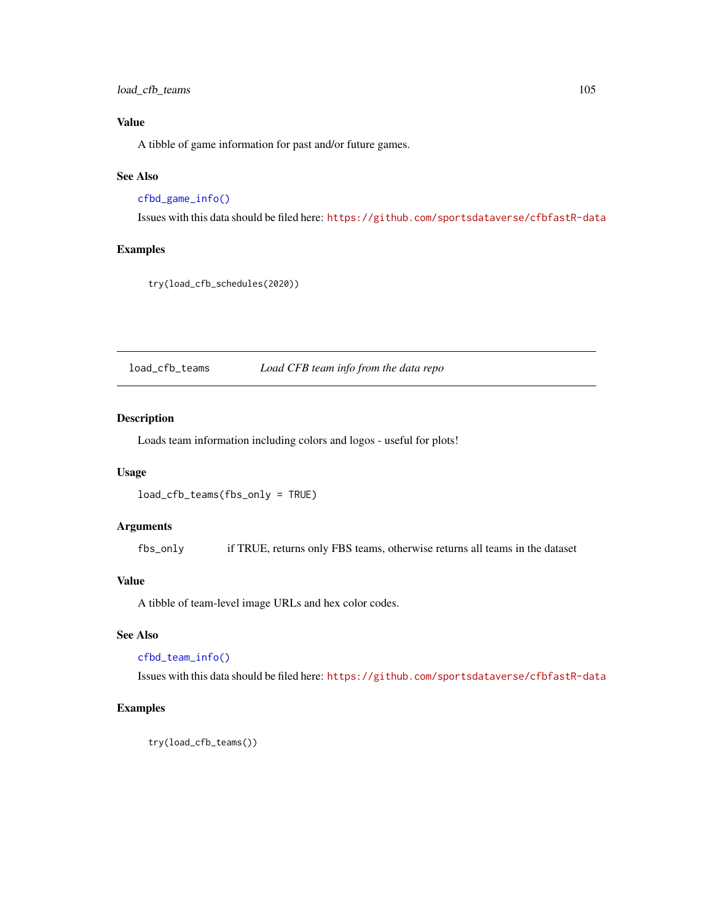load\_cfb\_teams 105

# Value

A tibble of game information for past and/or future games.

## See Also

[cfbd\\_game\\_info\(\)](#page-16-0)

Issues with this data should be filed here: <https://github.com/sportsdataverse/cfbfastR-data>

# Examples

try(load\_cfb\_schedules(2020))

load\_cfb\_teams *Load CFB team info from the data repo*

#### Description

Loads team information including colors and logos - useful for plots!

## Usage

load\_cfb\_teams(fbs\_only = TRUE)

## Arguments

fbs\_only if TRUE, returns only FBS teams, otherwise returns all teams in the dataset

## Value

A tibble of team-level image URLs and hex color codes.

#### See Also

[cfbd\\_team\\_info\(\)](#page-83-0)

Issues with this data should be filed here: <https://github.com/sportsdataverse/cfbfastR-data>

## Examples

try(load\_cfb\_teams())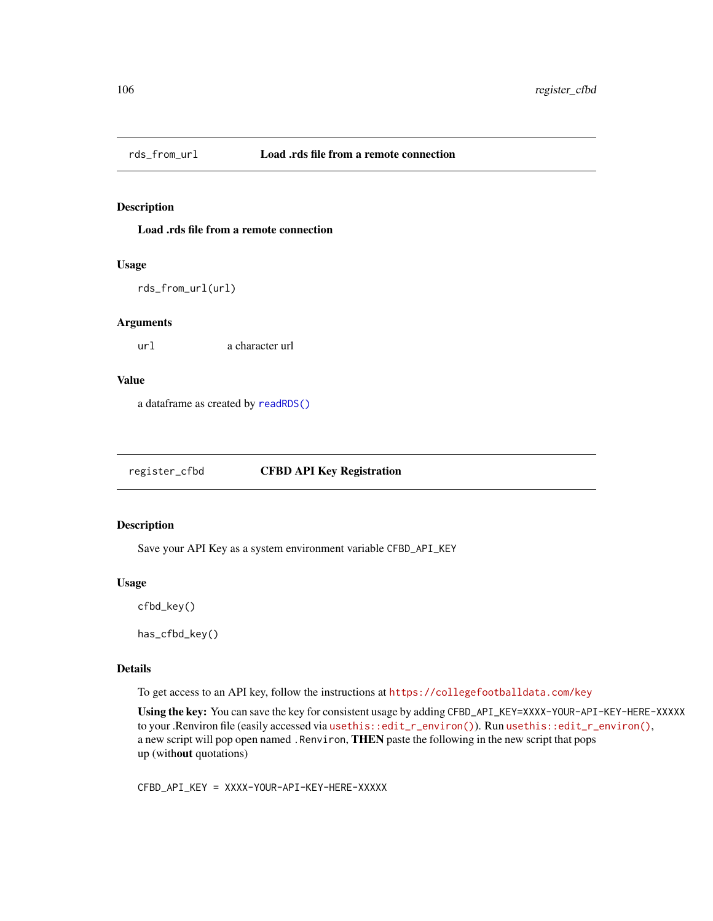## Description

Load .rds file from a remote connection

#### Usage

```
rds_from_url(url)
```
#### Arguments

url a character url

#### Value

a dataframe as created by [readRDS\(\)](#page-0-0)

register\_cfbd CFBD API Key Registration

## Description

Save your API Key as a system environment variable CFBD\_API\_KEY

#### Usage

cfbd\_key()

has\_cfbd\_key()

## Details

To get access to an API key, follow the instructions at <https://collegefootballdata.com/key>

Using the key: You can save the key for consistent usage by adding CFBD\_API\_KEY=XXXX-YOUR-API-KEY-HERE-XXXXX to your .Renviron file (easily accessed via [usethis::edit\\_r\\_environ\(\)](https://usethis.r-lib.org/reference/edit.html)). Run usethis::edit\_r\_environ(), a new script will pop open named .Renviron, THEN paste the following in the new script that pops up (without quotations)

CFBD\_API\_KEY = XXXX-YOUR-API-KEY-HERE-XXXXX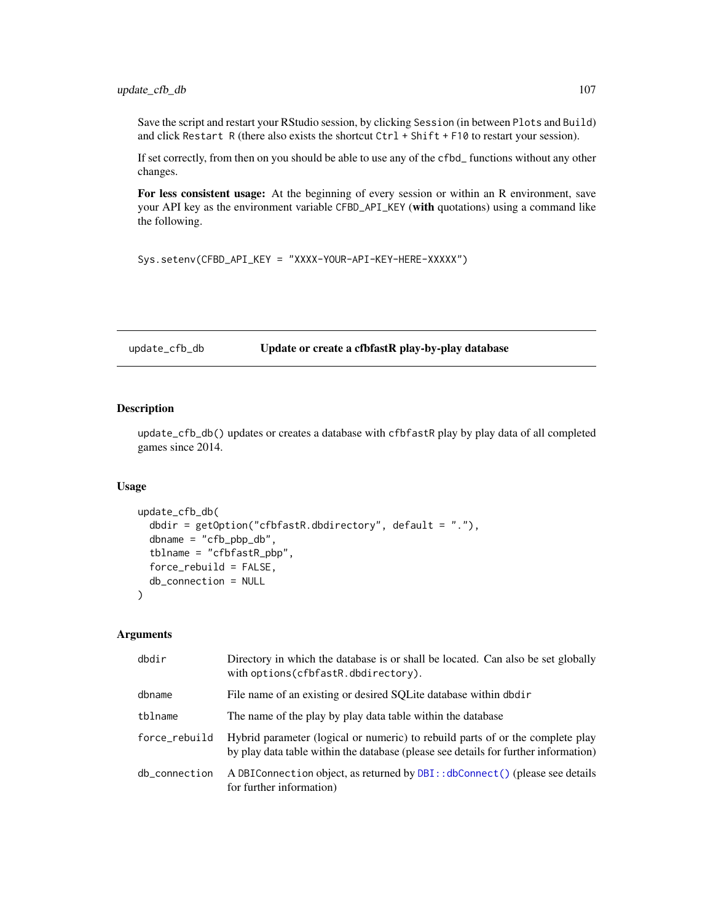Save the script and restart your RStudio session, by clicking Session (in between Plots and Build) and click Restart R (there also exists the shortcut Ctrl + Shift + F10 to restart your session).

If set correctly, from then on you should be able to use any of the cfbd\_ functions without any other changes.

For less consistent usage: At the beginning of every session or within an R environment, save your API key as the environment variable CFBD\_API\_KEY (with quotations) using a command like the following.

Sys.setenv(CFBD\_API\_KEY = "XXXX-YOUR-API-KEY-HERE-XXXXX")

<span id="page-106-0"></span>update\_cfb\_db Update or create a cfbfastR play-by-play database

## Description

update\_cfb\_db() updates or creates a database with cfbfastR play by play data of all completed games since 2014.

## Usage

```
update_cfb_db(
  dbdir = getOption("cfbfastR.dbdirectory", default = "."),
  dbname = "cfb_pbp_db",
  tblname = "cfbfastR_pbp",
  force_rebuild = FALSE,
  db_connection = NULL
)
```
#### Arguments

| dbdir         | Directory in which the database is or shall be located. Can also be set globally<br>with options(cfbfastR.dbdirectory).                                               |
|---------------|-----------------------------------------------------------------------------------------------------------------------------------------------------------------------|
| dbname        | File name of an existing or desired SQLite database within dbdir                                                                                                      |
| tblname       | The name of the play by play data table within the database                                                                                                           |
| force_rebuild | Hybrid parameter (logical or numeric) to rebuild parts of or the complete play<br>by play data table within the database (please see details for further information) |
| db_connection | A DBIConnection object, as returned by DBI:: dbConnect () (please see details<br>for further information)                                                             |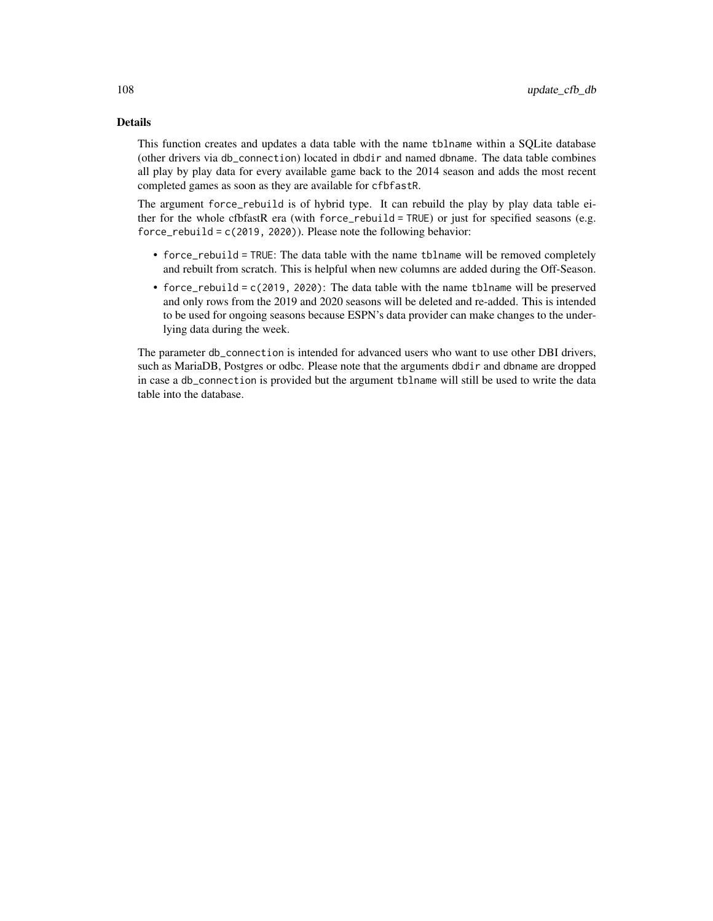## Details

This function creates and updates a data table with the name tblname within a SQLite database (other drivers via db\_connection) located in dbdir and named dbname. The data table combines all play by play data for every available game back to the 2014 season and adds the most recent completed games as soon as they are available for cfbfastR.

The argument force\_rebuild is of hybrid type. It can rebuild the play by play data table either for the whole cfbfastR era (with force\_rebuild = TRUE) or just for specified seasons (e.g. force\_rebuild = c(2019, 2020)). Please note the following behavior:

- force\_rebuild = TRUE: The data table with the name tblname will be removed completely and rebuilt from scratch. This is helpful when new columns are added during the Off-Season.
- force\_rebuild = c(2019, 2020): The data table with the name tblname will be preserved and only rows from the 2019 and 2020 seasons will be deleted and re-added. This is intended to be used for ongoing seasons because ESPN's data provider can make changes to the underlying data during the week.

The parameter db\_connection is intended for advanced users who want to use other DBI drivers, such as MariaDB, Postgres or odbc. Please note that the arguments dbdir and dbname are dropped in case a db\_connection is provided but the argument tblname will still be used to write the data table into the database.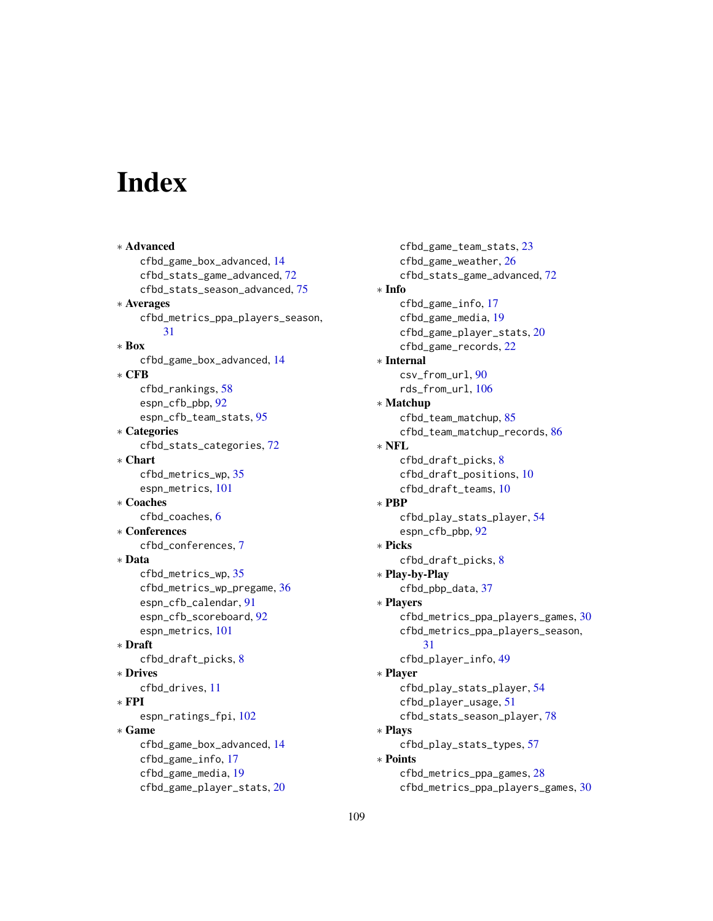## Index

∗ Advanced cfbd\_game\_box\_advanced, [14](#page-13-0) cfbd\_stats\_game\_advanced, [72](#page-71-0) cfbd\_stats\_season\_advanced, [75](#page-74-0) ∗ Averages cfbd\_metrics\_ppa\_players\_season, [31](#page-30-0) ∗ Box cfbd\_game\_box\_advanced, [14](#page-13-0) ∗ CFB cfbd\_rankings, [58](#page-57-0) espn\_cfb\_pbp, [92](#page-91-0) espn\_cfb\_team\_stats, [95](#page-94-0) ∗ Categories cfbd\_stats\_categories, [72](#page-71-0) ∗ Chart cfbd\_metrics\_wp, [35](#page-34-0) espn\_metrics, [101](#page-100-0) ∗ Coaches cfbd\_coaches, [6](#page-5-0) ∗ Conferences cfbd\_conferences, [7](#page-6-0) ∗ Data cfbd\_metrics\_wp, [35](#page-34-0) cfbd\_metrics\_wp\_pregame, [36](#page-35-0) espn\_cfb\_calendar, [91](#page-90-0) espn\_cfb\_scoreboard, [92](#page-91-0) espn\_metrics, [101](#page-100-0) ∗ Draft cfbd\_draft\_picks, [8](#page-7-0) ∗ Drives cfbd\_drives, [11](#page-10-0) ∗ FPI espn\_ratings\_fpi, [102](#page-101-0) ∗ Game cfbd\_game\_box\_advanced, [14](#page-13-0) cfbd\_game\_info, [17](#page-16-0) cfbd\_game\_media, [19](#page-18-0) cfbd\_game\_player\_stats, [20](#page-19-0)

cfbd\_game\_team\_stats, [23](#page-22-0) cfbd\_game\_weather, [26](#page-25-0) cfbd\_stats\_game\_advanced, [72](#page-71-0) ∗ Info cfbd\_game\_info, [17](#page-16-0) cfbd\_game\_media, [19](#page-18-0) cfbd\_game\_player\_stats, [20](#page-19-0) cfbd\_game\_records, [22](#page-21-0) ∗ Internal csv\_from\_url, [90](#page-89-0) rds\_from\_url, [106](#page-105-0) ∗ Matchup cfbd\_team\_matchup, [85](#page-84-0) cfbd\_team\_matchup\_records, [86](#page-85-0) ∗ NFL cfbd\_draft\_picks, [8](#page-7-0) cfbd\_draft\_positions, [10](#page-9-0) cfbd\_draft\_teams, [10](#page-9-0) ∗ PBP cfbd\_play\_stats\_player, [54](#page-53-0) espn\_cfb\_pbp, [92](#page-91-0) ∗ Picks cfbd\_draft\_picks, [8](#page-7-0) ∗ Play-by-Play cfbd\_pbp\_data, [37](#page-36-0) ∗ Players cfbd\_metrics\_ppa\_players\_games, [30](#page-29-0) cfbd\_metrics\_ppa\_players\_season, [31](#page-30-0) cfbd\_player\_info, [49](#page-48-0) ∗ Player cfbd\_play\_stats\_player, [54](#page-53-0) cfbd\_player\_usage, [51](#page-50-0) cfbd\_stats\_season\_player, [78](#page-77-0) ∗ Plays cfbd\_play\_stats\_types, [57](#page-56-0) ∗ Points cfbd\_metrics\_ppa\_games, [28](#page-27-0)

cfbd\_metrics\_ppa\_players\_games, [30](#page-29-0)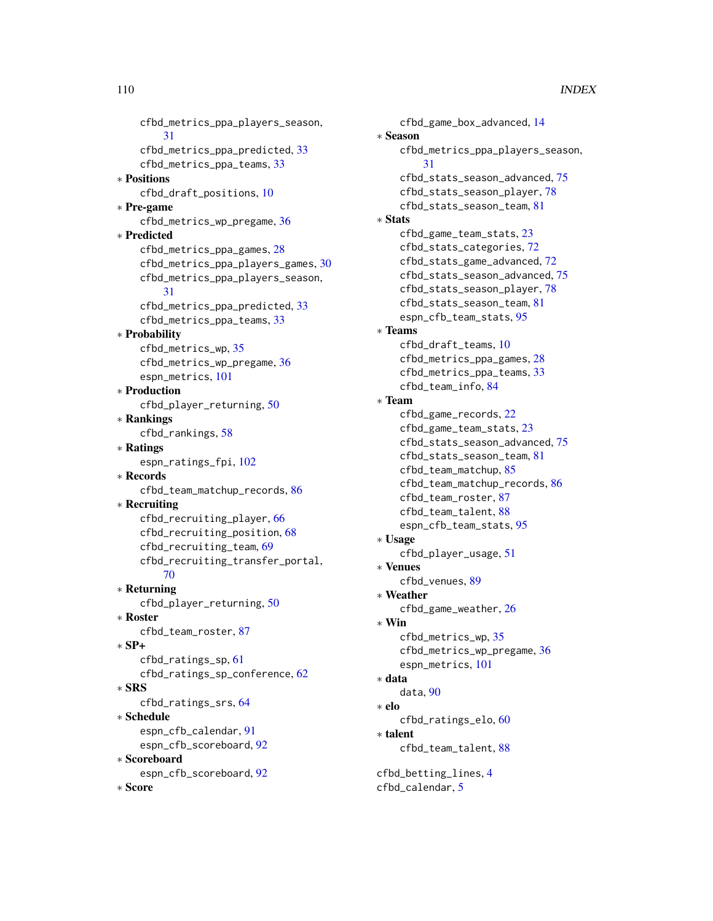cfbd\_metrics\_ppa\_players\_season, [31](#page-30-0) cfbd\_metrics\_ppa\_predicted, [33](#page-32-0) cfbd\_metrics\_ppa\_teams, [33](#page-32-0) ∗ Positions cfbd\_draft\_positions, [10](#page-9-0) ∗ Pre-game cfbd\_metrics\_wp\_pregame, [36](#page-35-0) ∗ Predicted cfbd\_metrics\_ppa\_games, [28](#page-27-0) cfbd\_metrics\_ppa\_players\_games, [30](#page-29-0) cfbd\_metrics\_ppa\_players\_season, [31](#page-30-0) cfbd\_metrics\_ppa\_predicted, [33](#page-32-0) cfbd\_metrics\_ppa\_teams, [33](#page-32-0) ∗ Probability cfbd\_metrics\_wp, [35](#page-34-0) cfbd\_metrics\_wp\_pregame, [36](#page-35-0) espn\_metrics, [101](#page-100-0) ∗ Production cfbd\_player\_returning, [50](#page-49-0) ∗ Rankings cfbd\_rankings, [58](#page-57-0) ∗ Ratings espn\_ratings\_fpi, [102](#page-101-0) ∗ Records cfbd\_team\_matchup\_records, [86](#page-85-0) ∗ Recruiting cfbd\_recruiting\_player, [66](#page-65-0) cfbd\_recruiting\_position, [68](#page-67-0) cfbd\_recruiting\_team, [69](#page-68-0) cfbd\_recruiting\_transfer\_portal, [70](#page-69-0) ∗ Returning cfbd\_player\_returning, [50](#page-49-0) ∗ Roster cfbd\_team\_roster, [87](#page-86-0) ∗ SP+ cfbd\_ratings\_sp, [61](#page-60-0) cfbd\_ratings\_sp\_conference, [62](#page-61-0) ∗ SRS cfbd\_ratings\_srs, [64](#page-63-0) ∗ Schedule espn\_cfb\_calendar, [91](#page-90-0) espn\_cfb\_scoreboard, [92](#page-91-0) ∗ Scoreboard espn\_cfb\_scoreboard, [92](#page-91-0) ∗ Score

cfbd\_game\_box\_advanced, [14](#page-13-0) ∗ Season cfbd\_metrics\_ppa\_players\_season, [31](#page-30-0) cfbd\_stats\_season\_advanced, [75](#page-74-0) cfbd\_stats\_season\_player, [78](#page-77-0) cfbd\_stats\_season\_team, [81](#page-80-0) ∗ Stats cfbd\_game\_team\_stats, [23](#page-22-0) cfbd\_stats\_categories, [72](#page-71-0) cfbd\_stats\_game\_advanced, [72](#page-71-0) cfbd\_stats\_season\_advanced, [75](#page-74-0) cfbd\_stats\_season\_player, [78](#page-77-0) cfbd\_stats\_season\_team, [81](#page-80-0) espn\_cfb\_team\_stats, [95](#page-94-0) ∗ Teams cfbd\_draft\_teams, [10](#page-9-0) cfbd\_metrics\_ppa\_games, [28](#page-27-0) cfbd\_metrics\_ppa\_teams, [33](#page-32-0) cfbd\_team\_info, [84](#page-83-0) ∗ Team cfbd\_game\_records, [22](#page-21-0) cfbd\_game\_team\_stats, [23](#page-22-0) cfbd\_stats\_season\_advanced, [75](#page-74-0) cfbd\_stats\_season\_team, [81](#page-80-0) cfbd\_team\_matchup, [85](#page-84-0) cfbd\_team\_matchup\_records, [86](#page-85-0) cfbd\_team\_roster, [87](#page-86-0) cfbd\_team\_talent, [88](#page-87-0) espn\_cfb\_team\_stats, [95](#page-94-0) ∗ Usage cfbd\_player\_usage, [51](#page-50-0) ∗ Venues cfbd\_venues, [89](#page-88-0) ∗ Weather cfbd\_game\_weather, [26](#page-25-0) ∗ Win cfbd\_metrics\_wp, [35](#page-34-0) cfbd\_metrics\_wp\_pregame, [36](#page-35-0) espn\_metrics, [101](#page-100-0) ∗ data data, [90](#page-89-0) ∗ elo cfbd\_ratings\_elo, [60](#page-59-0) ∗ talent cfbd\_team\_talent, [88](#page-87-0) cfbd\_betting\_lines, [4](#page-3-0) cfbd\_calendar, [5](#page-4-0)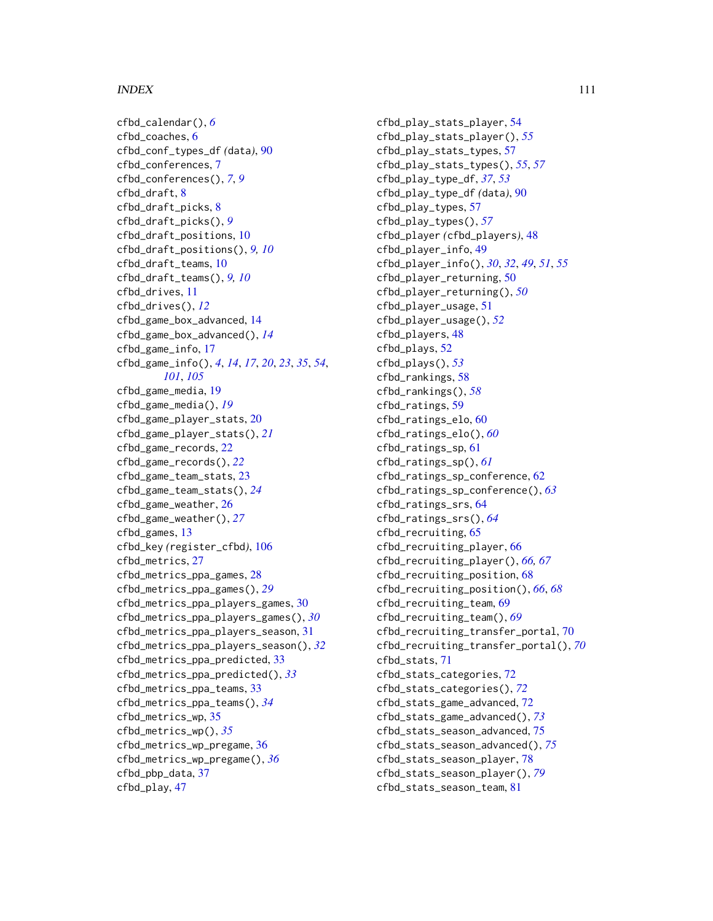## INDEX 111

```
cfbd_calendar(), 6
cfbd_coaches, 6
cfbd_conf_types_df (data), 90
cfbd_conferences, 7
cfbd_conferences(), 7, 9
cfbd_draft, 8
cfbd_draft_picks, 8
cfbd_draft_picks(), 9
cfbd_draft_positions, 10
cfbd_draft_positions(), 9, 10
cfbd_draft_teams, 10
cfbd_draft_teams(), 9, 10
cfbd_drives, 11
cfbd_drives(), 12
cfbd_game_box_advanced, 14
cfbd_game_box_advanced(), 14
cfbd_game_info, 17
cfbd_game_info(), 4, 14, 17, 20, 23, 35, 54,
        101, 105
cfbd_game_media, 19
cfbd_game_media(), 19
cfbd_game_player_stats, 20
cfbd_game_player_stats(), 21
cfbd_game_records, 22
cfbd_game_records(), 22
cfbd_game_team_stats, 23
cfbd_game_team_stats(), 24
cfbd_game_weather, 26
cfbd_game_weather(), 27
cfbd_games, 13
cfbd_key (register_cfbd), 106
cfbd_metrics, 27
cfbd_metrics_ppa_games, 28
cfbd_metrics_ppa_games(), 29
cfbd_metrics_ppa_players_games, 30
cfbd_metrics_ppa_players_games(), 30
cfbd_metrics_ppa_players_season, 31
cfbd_metrics_ppa_players_season(), 32
cfbd_metrics_ppa_predicted, 33
cfbd_metrics_ppa_predicted(), 33
cfbd_metrics_ppa_teams, 33
cfbd_metrics_ppa_teams(), 34
cfbd_metrics_wp, 35
cfbd_metrics_wp(), 35
cfbd_metrics_wp_pregame, 36
cfbd_metrics_wp_pregame(), 36
cfbd_pbp_data, 37
cfbd_play, 47
```
cfbd\_play\_stats\_player, [54](#page-53-0) cfbd\_play\_stats\_player(), *[55](#page-54-0)* cfbd\_play\_stats\_types, [57](#page-56-0) cfbd\_play\_stats\_types(), *[55](#page-54-0)*, *[57](#page-56-0)* cfbd\_play\_type\_df, *[37](#page-36-0)*, *[53](#page-52-0)* cfbd\_play\_type\_df *(*data*)*, [90](#page-89-0) cfbd\_play\_types, [57](#page-56-0) cfbd\_play\_types(), *[57](#page-56-0)* cfbd\_player *(*cfbd\_players*)*, [48](#page-47-0) cfbd\_player\_info, [49](#page-48-0) cfbd\_player\_info(), *[30](#page-29-0)*, *[32](#page-31-0)*, *[49](#page-48-0)*, *[51](#page-50-0)*, *[55](#page-54-0)* cfbd\_player\_returning, [50](#page-49-0) cfbd\_player\_returning(), *[50](#page-49-0)* cfbd\_player\_usage, [51](#page-50-0) cfbd\_player\_usage(), *[52](#page-51-0)* cfbd\_players, [48](#page-47-0) cfbd\_plays, [52](#page-51-0) cfbd\_plays(), *[53](#page-52-0)* cfbd\_rankings, [58](#page-57-0) cfbd\_rankings(), *[58](#page-57-0)* cfbd\_ratings, [59](#page-58-0) cfbd\_ratings\_elo, [60](#page-59-0) cfbd\_ratings\_elo(), *[60](#page-59-0)* cfbd\_ratings\_sp, [61](#page-60-0) cfbd\_ratings\_sp(), *[61](#page-60-0)* cfbd\_ratings\_sp\_conference, [62](#page-61-0) cfbd\_ratings\_sp\_conference(), *[63](#page-62-0)* cfbd\_ratings\_srs, [64](#page-63-0) cfbd\_ratings\_srs(), *[64](#page-63-0)* cfbd\_recruiting, [65](#page-64-0) cfbd\_recruiting\_player, [66](#page-65-0) cfbd\_recruiting\_player(), *[66,](#page-65-0) [67](#page-66-0)* cfbd\_recruiting\_position, [68](#page-67-0) cfbd\_recruiting\_position(), *[66](#page-65-0)*, *[68](#page-67-0)* cfbd\_recruiting\_team, [69](#page-68-0) cfbd\_recruiting\_team(), *[69](#page-68-0)* cfbd\_recruiting\_transfer\_portal, [70](#page-69-0) cfbd\_recruiting\_transfer\_portal(), *[70](#page-69-0)* cfbd\_stats, [71](#page-70-0) cfbd\_stats\_categories, [72](#page-71-0) cfbd\_stats\_categories(), *[72](#page-71-0)* cfbd\_stats\_game\_advanced, [72](#page-71-0) cfbd\_stats\_game\_advanced(), *[73](#page-72-0)* cfbd\_stats\_season\_advanced, [75](#page-74-0) cfbd\_stats\_season\_advanced(), *[75](#page-74-0)* cfbd\_stats\_season\_player, [78](#page-77-0) cfbd\_stats\_season\_player(), *[79](#page-78-0)* cfbd\_stats\_season\_team, [81](#page-80-0)